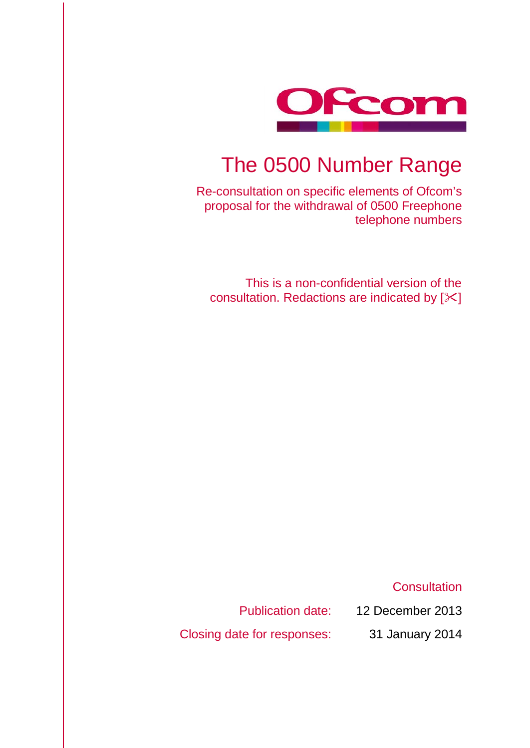

# The 0500 Number Range

Re-consultation on specific elements of Ofcom's proposal for the withdrawal of 0500 Freephone telephone numbers

This is a non-confidential version of the consultation. Redactions are indicated by  $[\times]$ 

**Consultation** 

Publication date: 12 December 2013

Closing date for responses: 31 January 2014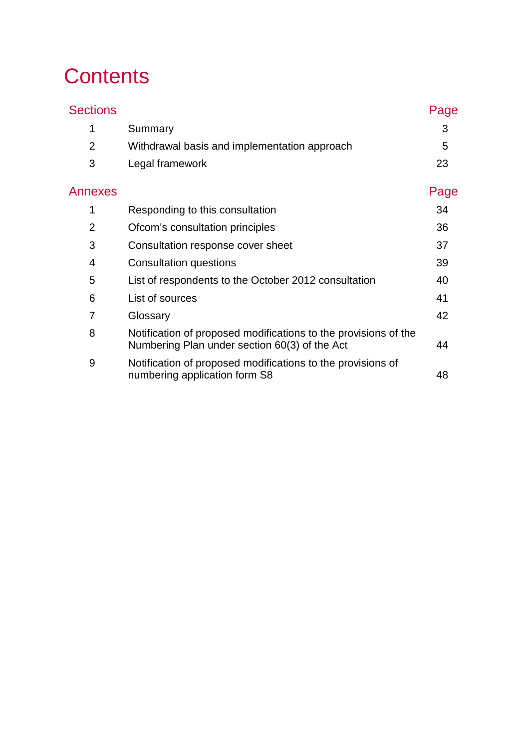# **Contents**

| <b>Sections</b> |                                                                                                                  | Page |
|-----------------|------------------------------------------------------------------------------------------------------------------|------|
| 1               | Summary                                                                                                          | 3    |
| $\overline{2}$  | Withdrawal basis and implementation approach                                                                     | 5    |
| 3               | Legal framework                                                                                                  | 23   |
| Annexes         |                                                                                                                  | Page |
| 1               | Responding to this consultation                                                                                  | 34   |
| $\overline{2}$  | Ofcom's consultation principles                                                                                  | 36   |
| 3               | Consultation response cover sheet                                                                                | 37   |
| 4               | <b>Consultation questions</b>                                                                                    | 39   |
| 5               | List of respondents to the October 2012 consultation                                                             | 40   |
| 6               | List of sources                                                                                                  | 41   |
| 7               | Glossary                                                                                                         | 42   |
| 8               | Notification of proposed modifications to the provisions of the<br>Numbering Plan under section 60(3) of the Act | 44   |
| 9               | Notification of proposed modifications to the provisions of<br>numbering application form S8                     | 48   |
|                 |                                                                                                                  |      |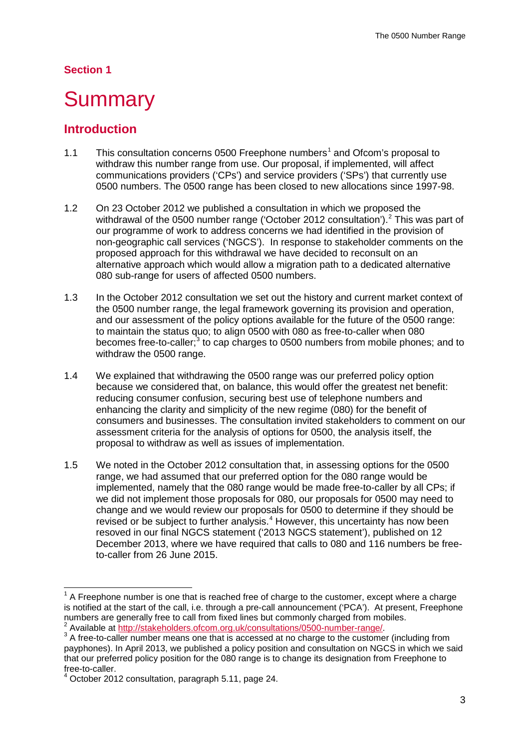### **Section 1**

## <span id="page-3-0"></span>**Summary**

## **Introduction**

- [1](#page-3-1).1 This consultation concerns 0500 Freephone numbers<sup>1</sup> and Ofcom's proposal to withdraw this number range from use. Our proposal, if implemented, will affect communications providers ('CPs') and service providers ('SPs') that currently use 0500 numbers. The 0500 range has been closed to new allocations since 1997-98.
- 1.2 On 23 October 2012 we published a consultation in which we proposed the withdrawal of the 0500 number range ('October [2](#page-3-2)012 consultation').<sup>2</sup> This was part of our programme of work to address concerns we had identified in the provision of non-geographic call services ('NGCS'). In response to stakeholder comments on the proposed approach for this withdrawal we have decided to reconsult on an alternative approach which would allow a migration path to a dedicated alternative 080 sub-range for users of affected 0500 numbers.
- 1.3 In the October 2012 consultation we set out the history and current market context of the 0500 number range, the legal framework governing its provision and operation, and our assessment of the policy options available for the future of the 0500 range: to maintain the status quo; to align 0500 with 080 as free-to-caller when 080 becomes free-to-caller;<sup>[3](#page-3-3)</sup> to cap charges to 0500 numbers from mobile phones; and to withdraw the 0500 range.
- 1.4 We explained that withdrawing the 0500 range was our preferred policy option because we considered that, on balance, this would offer the greatest net benefit: reducing consumer confusion, securing best use of telephone numbers and enhancing the clarity and simplicity of the new regime (080) for the benefit of consumers and businesses. The consultation invited stakeholders to comment on our assessment criteria for the analysis of options for 0500, the analysis itself, the proposal to withdraw as well as issues of implementation.
- 1.5 We noted in the October 2012 consultation that, in assessing options for the 0500 range, we had assumed that our preferred option for the 080 range would be implemented, namely that the 080 range would be made free-to-caller by all CPs; if we did not implement those proposals for 080, our proposals for 0500 may need to change and we would review our proposals for 0500 to determine if they should be revised or be subject to further analysis.<sup>[4](#page-3-4)</sup> However, this uncertainty has now been resoved in our final NGCS statement ('2013 NGCS statement'), published on 12 December 2013, where we have required that calls to 080 and 116 numbers be freeto-caller from 26 June 2015.

<span id="page-3-1"></span> $1$  A Freephone number is one that is reached free of charge to the customer, except where a charge is notified at the start of the call, i.e. through a pre-call announcement ('PCA'). At present, Freephone numbers are generally free to call from fixed lines but commonly charged from mobiles.

<span id="page-3-2"></span> $3$  Available at  $\frac{http://stakeholders.ofcom.org.uk/consultations/0500-number-range/}{$ <br> $3$  A free-to-caller number means one that is accessed at no charge to the customer (including from

<span id="page-3-3"></span>payphones). In April 2013, we published a policy position and consultation on NGCS in which we said that our preferred policy position for the 080 range is to change its designation from Freephone to free-to-caller.

<span id="page-3-4"></span>October 2012 consultation, paragraph 5.11, page 24.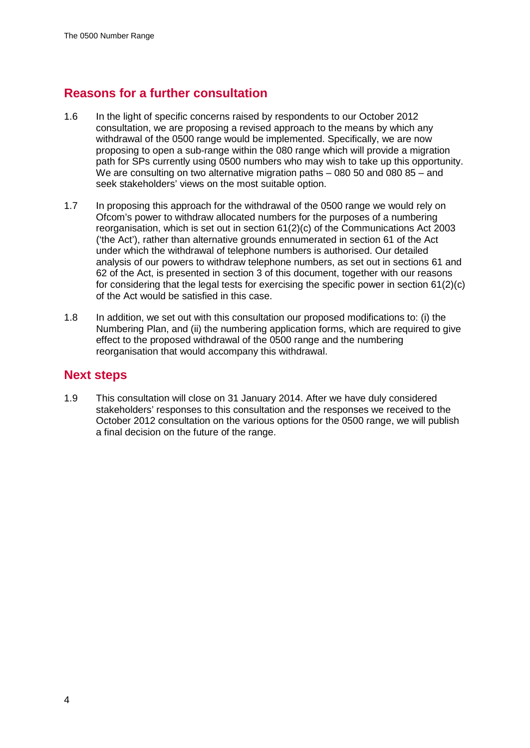## **Reasons for a further consultation**

- 1.6 In the light of specific concerns raised by respondents to our October 2012 consultation, we are proposing a revised approach to the means by which any withdrawal of the 0500 range would be implemented. Specifically, we are now proposing to open a sub-range within the 080 range which will provide a migration path for SPs currently using 0500 numbers who may wish to take up this opportunity. We are consulting on two alternative migration paths – 080 50 and 080 85 – and seek stakeholders' views on the most suitable option.
- 1.7 In proposing this approach for the withdrawal of the 0500 range we would rely on Ofcom's power to withdraw allocated numbers for the purposes of a numbering reorganisation, which is set out in section 61(2)(c) of the Communications Act 2003 ('the Act'), rather than alternative grounds ennumerated in section 61 of the Act under which the withdrawal of telephone numbers is authorised. Our detailed analysis of our powers to withdraw telephone numbers, as set out in sections 61 and 62 of the Act, is presented in section 3 of this document, together with our reasons for considering that the legal tests for exercising the specific power in section 61(2)(c) of the Act would be satisfied in this case.
- 1.8 In addition, we set out with this consultation our proposed modifications to: (i) the Numbering Plan, and (ii) the numbering application forms, which are required to give effect to the proposed withdrawal of the 0500 range and the numbering reorganisation that would accompany this withdrawal.

## **Next steps**

1.9 This consultation will close on 31 January 2014. After we have duly considered stakeholders' responses to this consultation and the responses we received to the October 2012 consultation on the various options for the 0500 range, we will publish a final decision on the future of the range.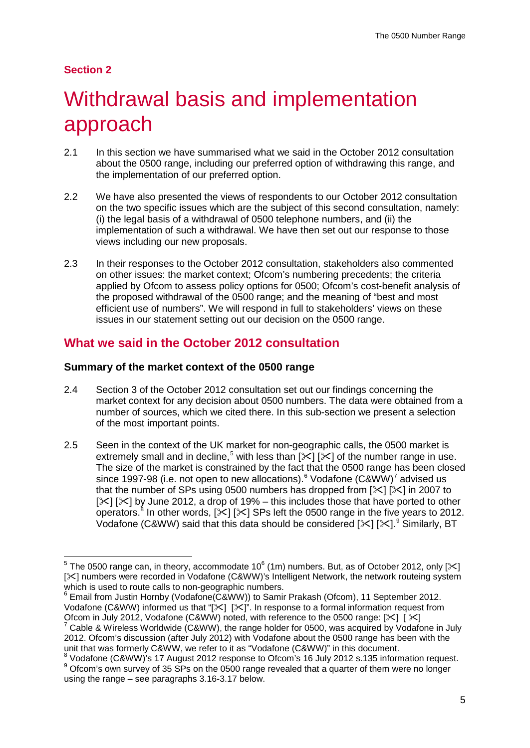## **Section 2**

# <span id="page-5-0"></span>Withdrawal basis and implementation approach

- 2.1 In this section we have summarised what we said in the October 2012 consultation about the 0500 range, including our preferred option of withdrawing this range, and the implementation of our preferred option.
- 2.2 We have also presented the views of respondents to our October 2012 consultation on the two specific issues which are the subject of this second consultation, namely: (i) the legal basis of a withdrawal of 0500 telephone numbers, and (ii) the implementation of such a withdrawal. We have then set out our response to those views including our new proposals.
- 2.3 In their responses to the October 2012 consultation, stakeholders also commented on other issues: the market context; Ofcom's numbering precedents; the criteria applied by Ofcom to assess policy options for 0500; Ofcom's cost-benefit analysis of the proposed withdrawal of the 0500 range; and the meaning of "best and most efficient use of numbers". We will respond in full to stakeholders' views on these issues in our statement setting out our decision on the 0500 range.

## **What we said in the October 2012 consultation**

## **Summary of the market context of the 0500 range**

- 2.4 Section 3 of the October 2012 consultation set out our findings concerning the market context for any decision about 0500 numbers. The data were obtained from a number of sources, which we cited there. In this sub-section we present a selection of the most important points.
- 2.5 Seen in the context of the UK market for non-geographic calls, the 0500 market is extremely small and in decline,<sup>[5](#page-5-1)</sup> with less than  $[\times]$  [ $\le$ ] of the number range in use. The size of the market is constrained by the fact that the 0500 range has been closed since 1997-98 (i.e. not open to new allocations).<sup>[6](#page-5-2)</sup> Vodafone (C&WW)<sup>[7](#page-5-3)</sup> advised us that the number of SPs using 0500 numbers has dropped from  $[\times]$   $[\times]$  in 2007 to  $[\times] [\times]$  by June 2012, a drop of 19% – this includes those that have ported to other operators.<sup>[8](#page-5-4)</sup> In other words,  $[\times] [\times]$  SPs left the 0500 range in the five years to 2012. Vodafone (C&WW) said that this data should be considered  $[\times]$  [ $\times$ ].<sup>[9](#page-5-5)</sup> Similarly, BT

<span id="page-5-1"></span><sup>&</sup>lt;sup>5</sup> The 0500 range can, in theory, accommodate 10<sup>6</sup> (1m) numbers. But, as of October 2012, only [ $\ge$ ] [ $\ge$ ] numbers were recorded in Vodafone (C&WW)'s Intelligent Network, the network routeing system which is used to route calls to non-geographic numbers.<br><sup>6</sup> Email from Justin Hornby (Vodafone(C&WW)) to Samir Prakash (Ofcom), 11 September 2012.

<span id="page-5-2"></span>Vodafone (C&WW) informed us that " $[\times]$   $[\times]$ ". In response to a formal information request from Ofcom in July 2012, Vodafone (C&WW) noted, with reference to the 0500 range:  $[\times]$   $[\times]$ Cable & Wireless Worldwide (C&WW), the range holder for 0500, was acquired by Vodafone in July

<span id="page-5-3"></span><sup>2012.</sup> Ofcom's discussion (after July 2012) with Vodafone about the 0500 range has been with the unit that was formerly C&WW, we refer to it as "Vodafone (C&WW)" in this document.<br><sup>8</sup> Vodafone (C&WW)'s 17 August 2012 response to Ofcom's 16 July 2012 s.135 information request.

<span id="page-5-5"></span><span id="page-5-4"></span> $8$  Ofcom's own survey of 35 SPs on the 0500 range revealed that a quarter of them were no longer using the range – see paragraphs 3.16-3.17 below.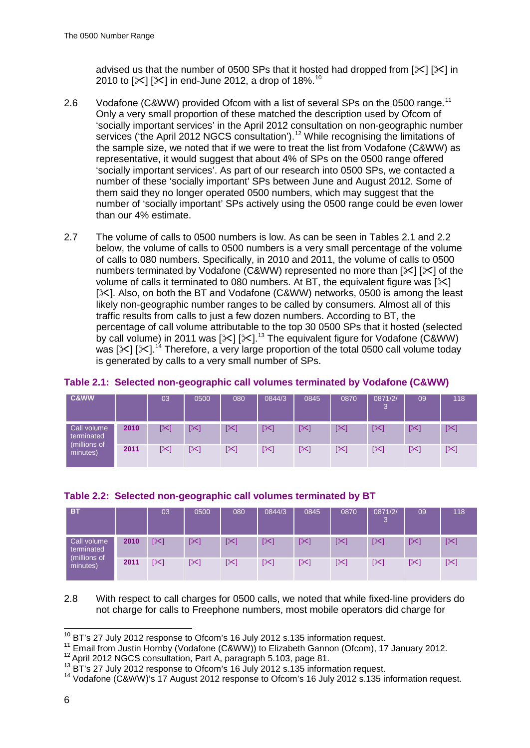advised us that the number of 0500 SPs that it hosted had dropped from  $[\times] [\times]$  in 20[10](#page-6-0) to  $[\times] [\times]$  in end-June 2012, a drop of 18%.<sup>10</sup>

- 2.6 Vodafone (C&WW) provided Ofcom with a list of several SPs on the 0500 range.<sup>[11](#page-6-1)</sup> Only a very small proportion of these matched the description used by Ofcom of 'socially important services' in the April 2012 consultation on non-geographic number services ('the April 20[12](#page-6-2) NGCS consultation').<sup>12</sup> While recognising the limitations of the sample size, we noted that if we were to treat the list from Vodafone (C&WW) as representative, it would suggest that about 4% of SPs on the 0500 range offered 'socially important services'. As part of our research into 0500 SPs, we contacted a number of these 'socially important' SPs between June and August 2012. Some of them said they no longer operated 0500 numbers, which may suggest that the number of 'socially important' SPs actively using the 0500 range could be even lower than our 4% estimate.
- 2.7 The volume of calls to 0500 numbers is low. As can be seen in Tables 2.1 and 2.2 below, the volume of calls to 0500 numbers is a very small percentage of the volume of calls to 080 numbers. Specifically, in 2010 and 2011, the volume of calls to 0500 numbers terminated by Vodafone (C&WW) represented no more than  $[\times] [\times]$  of the volume of calls it terminated to 080 numbers. At BT, the equivalent figure was  $[\times]$ [ $\angle$ ]. Also, on both the BT and Vodafone (C&WW) networks, 0500 is among the least likely non-geographic number ranges to be called by consumers. Almost all of this traffic results from calls to just a few dozen numbers. According to BT, the percentage of call volume attributable to the top 30 0500 SPs that it hosted (selected by call volume) in 2011 was  $[\times]$   $[\times]$ .<sup>[13](#page-6-3)</sup> The equivalent figure for Vodafone (C&WW) was [ $\mathcal{K}$ ] [ $\mathcal{K}$ ].<sup>[14](#page-6-4)</sup> Therefore, a very large proportion of the total 0500 call volume today is generated by calls to a very small number of SPs.

| C&WW                                                  |      | 03  | 0500 | 080        | 0844/3             | 0845 | 0870 | 0871/2/<br>3 | 09  | 118 |
|-------------------------------------------------------|------|-----|------|------------|--------------------|------|------|--------------|-----|-----|
| Call volume<br>terminated<br>(millions of<br>minutes) | 2010 | [≫] | ו≫]  | [≻]        | $\left[\gg\right]$ | [≻]  | [≻]  | $[\times]$   | [≻  | [≻] |
|                                                       | 2011 | [≻] | ו≫]  | $[\times]$ | $\mathbb{R}$       | [≫ן  | [≻]  | $\mathbb{R}$ | [≻] | [≻] |

## **Table 2.1: Selected non-geographic call volumes terminated by Vodafone (C&WW)**

| BT.                                                   |      | 03                     | 0500 | 080        | 0844/3     | 0845         | 0870 | 0871/2/<br>3 | 09  | 118        |
|-------------------------------------------------------|------|------------------------|------|------------|------------|--------------|------|--------------|-----|------------|
| Call volume<br>terminated<br>(millions of<br>minutes) | 2010 | $\mathbb{R}$           | [⊁3  | $[\times]$ | $[\times]$ | $\mathbb{K}$ | [≻]  | $[\times]$   | [≻  | [≻]        |
|                                                       | 2011 | $\mathsf{I}\mathsf{X}$ | [≻]  | $[\times]$ | [≻]        | [≫ן          | [≻]  | [≻]          | [≻] | $[\times]$ |

2.8 With respect to call charges for 0500 calls, we noted that while fixed-line providers do not charge for calls to Freephone numbers, most mobile operators did charge for

<span id="page-6-1"></span><span id="page-6-0"></span><sup>&</sup>lt;sup>10</sup> BT's 27 July 2012 response to Ofcom's 16 July 2012 s.135 information request.<br><sup>11</sup> Email from Justin Hornby (Vodafone (C&WW)) to Elizabeth Gannon (Ofcom), 17 January 2012.<br><sup>12</sup> April 2012 NGCS consultation, Part A, p

<span id="page-6-2"></span>

<span id="page-6-3"></span>

<span id="page-6-4"></span>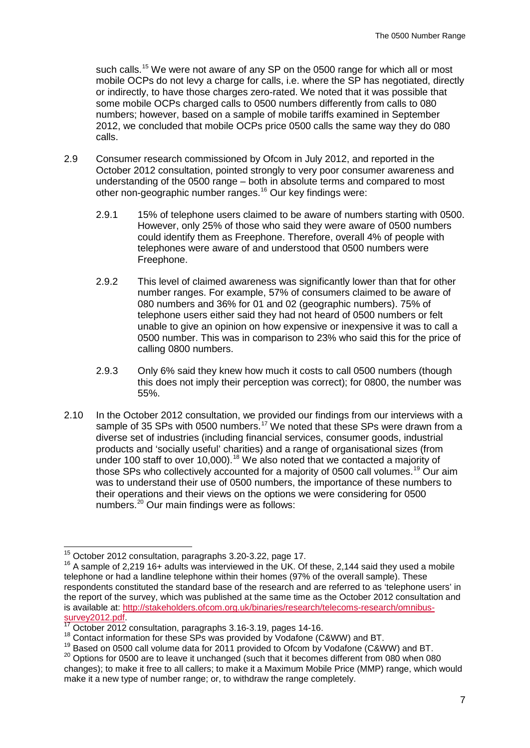such calls.<sup>[15](#page-7-0)</sup> We were not aware of any SP on the 0500 range for which all or most mobile OCPs do not levy a charge for calls, i.e. where the SP has negotiated, directly or indirectly, to have those charges zero-rated. We noted that it was possible that some mobile OCPs charged calls to 0500 numbers differently from calls to 080 numbers; however, based on a sample of mobile tariffs examined in September 2012, we concluded that mobile OCPs price 0500 calls the same way they do 080 calls.

- 2.9 Consumer research commissioned by Ofcom in July 2012, and reported in the October 2012 consultation, pointed strongly to very poor consumer awareness and understanding of the 0500 range – both in absolute terms and compared to most other non-geographic number ranges. [16](#page-7-1) Our key findings were:
	- 2.9.1 15% of telephone users claimed to be aware of numbers starting with 0500. However, only 25% of those who said they were aware of 0500 numbers could identify them as Freephone. Therefore, overall 4% of people with telephones were aware of and understood that 0500 numbers were Freephone.
	- 2.9.2 This level of claimed awareness was significantly lower than that for other number ranges. For example, 57% of consumers claimed to be aware of 080 numbers and 36% for 01 and 02 (geographic numbers). 75% of telephone users either said they had not heard of 0500 numbers or felt unable to give an opinion on how expensive or inexpensive it was to call a 0500 number. This was in comparison to 23% who said this for the price of calling 0800 numbers.
	- 2.9.3 Only 6% said they knew how much it costs to call 0500 numbers (though this does not imply their perception was correct); for 0800, the number was 55%.
- 2.10 In the October 2012 consultation, we provided our findings from our interviews with a sample of 35 SPs with 0500 numbers.<sup>[17](#page-7-2)</sup> We noted that these SPs were drawn from a diverse set of industries (including financial services, consumer goods, industrial products and 'socially useful' charities) and a range of organisational sizes (from under 100 staff to over 10,000).<sup>[18](#page-7-3)</sup> We also noted that we contacted a majority of those SPs who collectively accounted for a majority of 0500 call volumes.<sup>[19](#page-7-4)</sup> Our aim was to understand their use of 0500 numbers, the importance of these numbers to their operations and their views on the options we were considering for 0500 numbers.[20](#page-7-5) Our main findings were as follows:

<span id="page-7-1"></span><span id="page-7-0"></span><sup>&</sup>lt;sup>15</sup> October 2012 consultation, paragraphs 3.20-3.22, page 17.<br><sup>16</sup> A sample of 2.219 16+ adults was interviewed in the UK. Of these, 2,144 said they used a mobile telephone or had a landline telephone within their homes (97% of the overall sample). These respondents constituted the standard base of the research and are referred to as 'telephone users' in the report of the survey, which was published at the same time as the October 2012 consultation and is available at: http://stakeholders.ofcom.org.uk/binaries/research/telecoms-research/omnibus-<br>survey2012.pdf

<span id="page-7-2"></span> $\frac{17}{18}$  October 2012 consultation, paragraphs 3.16-3.19, pages 14-16.<br><sup>18</sup> Contact information for these SPs was provided by Vodafone (C&WW) and BT.

<span id="page-7-3"></span> $19$  Based on 0500 call volume data for 2011 provided to Ofcom by Vodafone (C&WW) and BT.

<span id="page-7-5"></span><span id="page-7-4"></span> $20$  Options for 0500 are to leave it unchanged (such that it becomes different from 080 when 080 changes); to make it free to all callers; to make it a Maximum Mobile Price (MMP) range, which would make it a new type of number range; or, to withdraw the range completely.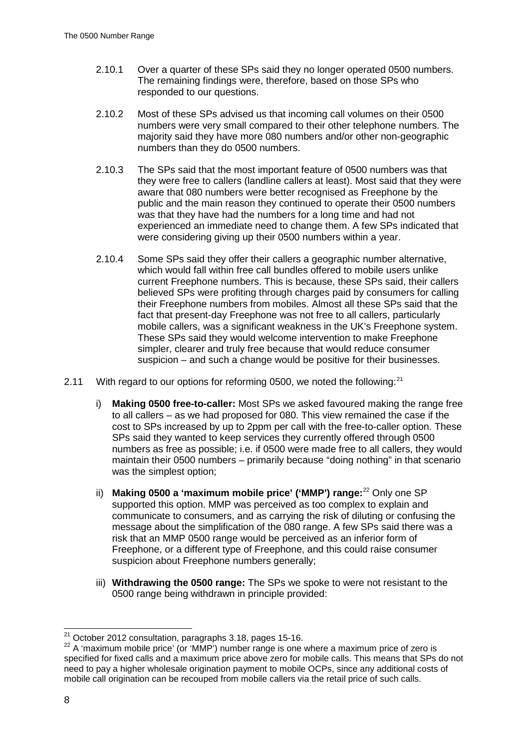- 2.10.1 Over a quarter of these SPs said they no longer operated 0500 numbers. The remaining findings were, therefore, based on those SPs who responded to our questions.
- 2.10.2 Most of these SPs advised us that incoming call volumes on their 0500 numbers were very small compared to their other telephone numbers. The majority said they have more 080 numbers and/or other non-geographic numbers than they do 0500 numbers.
- 2.10.3 The SPs said that the most important feature of 0500 numbers was that they were free to callers (landline callers at least). Most said that they were aware that 080 numbers were better recognised as Freephone by the public and the main reason they continued to operate their 0500 numbers was that they have had the numbers for a long time and had not experienced an immediate need to change them. A few SPs indicated that were considering giving up their 0500 numbers within a year.
- 2.10.4 Some SPs said they offer their callers a geographic number alternative, which would fall within free call bundles offered to mobile users unlike current Freephone numbers. This is because, these SPs said, their callers believed SPs were profiting through charges paid by consumers for calling their Freephone numbers from mobiles. Almost all these SPs said that the fact that present-day Freephone was not free to all callers, particularly mobile callers, was a significant weakness in the UK's Freephone system. These SPs said they would welcome intervention to make Freephone simpler, clearer and truly free because that would reduce consumer suspicion – and such a change would be positive for their businesses.
- 2.11 With regard to our options for reforming 0500, we noted the following:  $21$ 
	- i) **Making 0500 free-to-caller:** Most SPs we asked favoured making the range free to all callers – as we had proposed for 080. This view remained the case if the cost to SPs increased by up to 2ppm per call with the free-to-caller option. These SPs said they wanted to keep services they currently offered through 0500 numbers as free as possible; i.e. if 0500 were made free to all callers, they would maintain their 0500 numbers – primarily because "doing nothing" in that scenario was the simplest option;
	- ii) **Making 0500 a 'maximum mobile price' ('MMP') range:** [22](#page-8-1) Only one SP supported this option. MMP was perceived as too complex to explain and communicate to consumers, and as carrying the risk of diluting or confusing the message about the simplification of the 080 range. A few SPs said there was a risk that an MMP 0500 range would be perceived as an inferior form of Freephone, or a different type of Freephone, and this could raise consumer suspicion about Freephone numbers generally:
	- iii) **Withdrawing the 0500 range:** The SPs we spoke to were not resistant to the 0500 range being withdrawn in principle provided:

 <sup>21</sup> October 2012 consultation, paragraphs 3.18, pages 15-16.

<span id="page-8-1"></span><span id="page-8-0"></span><sup>22</sup> A 'maximum mobile price' (or 'MMP') number range is one where a maximum price of zero is specified for fixed calls and a maximum price above zero for mobile calls. This means that SPs do not need to pay a higher wholesale origination payment to mobile OCPs, since any additional costs of mobile call origination can be recouped from mobile callers via the retail price of such calls.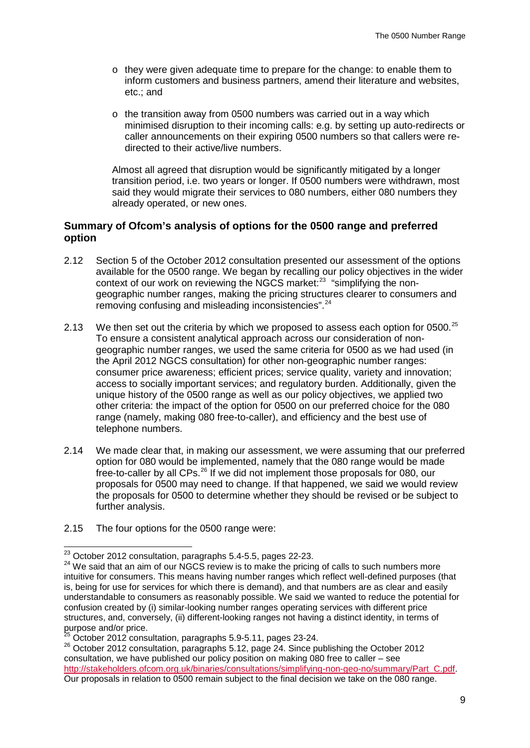- o they were given adequate time to prepare for the change: to enable them to inform customers and business partners, amend their literature and websites, etc.; and
- o the transition away from 0500 numbers was carried out in a way which minimised disruption to their incoming calls: e.g. by setting up auto-redirects or caller announcements on their expiring 0500 numbers so that callers were redirected to their active/live numbers.

Almost all agreed that disruption would be significantly mitigated by a longer transition period, i.e. two years or longer. If 0500 numbers were withdrawn, most said they would migrate their services to 080 numbers, either 080 numbers they already operated, or new ones.

## **Summary of Ofcom's analysis of options for the 0500 range and preferred option**

- 2.12 Section 5 of the October 2012 consultation presented our assessment of the options available for the 0500 range. We began by recalling our policy objectives in the wider context of our work on reviewing the NGCS market:<sup>[23](#page-9-0)</sup> "simplifying the nongeographic number ranges, making the pricing structures clearer to consumers and removing confusing and misleading inconsistencies".<sup>[24](#page-9-1)</sup>
- 2.13 We then set out the criteria by which we proposed to assess each option for 0500.<sup>[25](#page-9-2)</sup> To ensure a consistent analytical approach across our consideration of nongeographic number ranges, we used the same criteria for 0500 as we had used (in the April 2012 NGCS consultation) for other non-geographic number ranges: consumer price awareness; efficient prices; service quality, variety and innovation; access to socially important services; and regulatory burden. Additionally, given the unique history of the 0500 range as well as our policy objectives, we applied two other criteria: the impact of the option for 0500 on our preferred choice for the 080 range (namely, making 080 free-to-caller), and efficiency and the best use of telephone numbers.
- 2.14 We made clear that, in making our assessment, we were assuming that our preferred option for 080 would be implemented, namely that the 080 range would be made free-to-caller by all CPs.[26](#page-9-3) If we did not implement those proposals for 080, our proposals for 0500 may need to change. If that happened, we said we would review the proposals for 0500 to determine whether they should be revised or be subject to further analysis.
- 2.15 The four options for the 0500 range were:

<span id="page-9-1"></span><span id="page-9-0"></span> $^{23}$  October 2012 consultation, paragraphs 5.4-5.5, pages 22-23.<br><sup>24</sup> We said that an aim of our NGCS review is to make the pricing of calls to such numbers more intuitive for consumers. This means having number ranges which reflect well-defined purposes (that is, being for use for services for which there is demand), and that numbers are as clear and easily understandable to consumers as reasonably possible. We said we wanted to reduce the potential for confusion created by (i) similar-looking number ranges operating services with different price structures, and, conversely, (ii) different-looking ranges not having a distinct identity, in terms of<br>purpose and/or price.<br> $\frac{25}{25}$  Ostal as 2010 cancellation assessed a 5.0 5.11 assessed at a 2010 2010

 $5$  October 2012 consultation, paragraphs 5.9-5.11, pages 23-24.

<span id="page-9-3"></span><span id="page-9-2"></span><sup>26</sup> October 2012 consultation, paragraphs 5.12, page 24. Since publishing the October 2012 consultation, we have published our policy position on making 080 free to caller – see [http://stakeholders.ofcom.org.uk/binaries/consultations/simplifying-non-geo-no/summary/Part\\_C.pdf.](http://stakeholders.ofcom.org.uk/binaries/consultations/simplifying-non-geo-no/summary/Part_C.pdf) Our proposals in relation to 0500 remain subject to the final decision we take on the 080 range.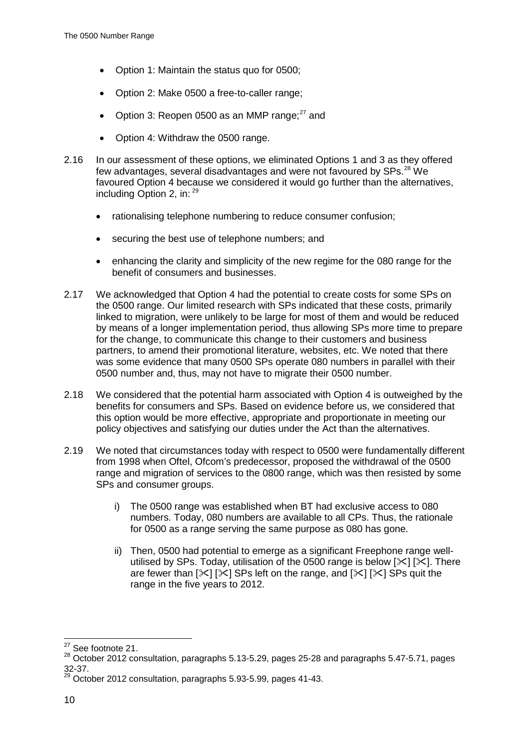- Option 1: Maintain the status quo for 0500;
- Option 2: Make 0500 a free-to-caller range;
- Option 3: Reopen 0500 as an MMP range: $27$  and
- Option 4: Withdraw the 0500 range.
- 2.16 In our assessment of these options, we eliminated Options 1 and 3 as they offered few advantages, several disadvantages and were not favoured by SPs.<sup>[28](#page-10-1)</sup> We favoured Option 4 because we considered it would go further than the alternatives, including Option 2, in: [29](#page-10-2)
	- rationalising telephone numbering to reduce consumer confusion;
	- securing the best use of telephone numbers; and
	- enhancing the clarity and simplicity of the new regime for the 080 range for the benefit of consumers and businesses.
- 2.17 We acknowledged that Option 4 had the potential to create costs for some SPs on the 0500 range. Our limited research with SPs indicated that these costs, primarily linked to migration, were unlikely to be large for most of them and would be reduced by means of a longer implementation period, thus allowing SPs more time to prepare for the change, to communicate this change to their customers and business partners, to amend their promotional literature, websites, etc. We noted that there was some evidence that many 0500 SPs operate 080 numbers in parallel with their 0500 number and, thus, may not have to migrate their 0500 number.
- 2.18 We considered that the potential harm associated with Option 4 is outweighed by the benefits for consumers and SPs. Based on evidence before us, we considered that this option would be more effective, appropriate and proportionate in meeting our policy objectives and satisfying our duties under the Act than the alternatives.
- 2.19 We noted that circumstances today with respect to 0500 were fundamentally different from 1998 when Oftel, Ofcom's predecessor, proposed the withdrawal of the 0500 range and migration of services to the 0800 range, which was then resisted by some SPs and consumer groups.
	- i) The 0500 range was established when BT had exclusive access to 080 numbers. Today, 080 numbers are available to all CPs. Thus, the rationale for 0500 as a range serving the same purpose as 080 has gone.
	- ii) Then, 0500 had potential to emerge as a significant Freephone range wellutilised by SPs. Today, utilisation of the 0500 range is below  $[\times]$  [ $\times$ ]. There are fewer than  $[\times]$  [ $\times$ ] SPs left on the range, and [ $\times$ ] [ $\times$ ] SPs quit the range in the five years to 2012.

<span id="page-10-1"></span><span id="page-10-0"></span><sup>&</sup>lt;sup>27</sup> See footnote 21.<br><sup>28</sup> October 2012 consultation, paragraphs 5.13-5.29, pages 25-28 and paragraphs 5.47-5.71, pages 32-37.

<span id="page-10-2"></span> $^9$  October 2012 consultation, paragraphs 5.93-5.99, pages 41-43.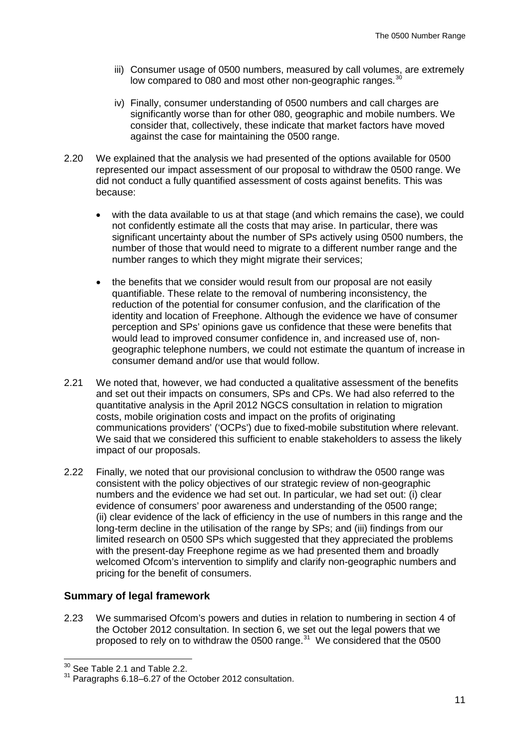- iii) Consumer usage of 0500 numbers, measured by call volumes, are extremely low compared to 080 and most other non-geographic ranges.<sup>[30](#page-11-0)</sup>
- iv) Finally, consumer understanding of 0500 numbers and call charges are significantly worse than for other 080, geographic and mobile numbers. We consider that, collectively, these indicate that market factors have moved against the case for maintaining the 0500 range.
- 2.20 We explained that the analysis we had presented of the options available for 0500 represented our impact assessment of our proposal to withdraw the 0500 range. We did not conduct a fully quantified assessment of costs against benefits. This was because:
	- with the data available to us at that stage (and which remains the case), we could not confidently estimate all the costs that may arise. In particular, there was significant uncertainty about the number of SPs actively using 0500 numbers, the number of those that would need to migrate to a different number range and the number ranges to which they might migrate their services:
	- the benefits that we consider would result from our proposal are not easily quantifiable. These relate to the removal of numbering inconsistency, the reduction of the potential for consumer confusion, and the clarification of the identity and location of Freephone. Although the evidence we have of consumer perception and SPs' opinions gave us confidence that these were benefits that would lead to improved consumer confidence in, and increased use of, nongeographic telephone numbers, we could not estimate the quantum of increase in consumer demand and/or use that would follow.
- 2.21 We noted that, however, we had conducted a qualitative assessment of the benefits and set out their impacts on consumers, SPs and CPs. We had also referred to the quantitative analysis in the April 2012 NGCS consultation in relation to migration costs, mobile origination costs and impact on the profits of originating communications providers' ('OCPs') due to fixed-mobile substitution where relevant. We said that we considered this sufficient to enable stakeholders to assess the likely impact of our proposals.
- 2.22 Finally, we noted that our provisional conclusion to withdraw the 0500 range was consistent with the policy objectives of our strategic review of non-geographic numbers and the evidence we had set out. In particular, we had set out: (i) clear evidence of consumers' poor awareness and understanding of the 0500 range; (ii) clear evidence of the lack of efficiency in the use of numbers in this range and the long-term decline in the utilisation of the range by SPs; and (iii) findings from our limited research on 0500 SPs which suggested that they appreciated the problems with the present-day Freephone regime as we had presented them and broadly welcomed Ofcom's intervention to simplify and clarify non-geographic numbers and pricing for the benefit of consumers.

## **Summary of legal framework**

2.23 We summarised Ofcom's powers and duties in relation to numbering in section 4 of the October 2012 consultation. In section 6, we set out the legal powers that we proposed to rely on to withdraw the 0500 range.<sup>31</sup> We considered that the 0500

<span id="page-11-0"></span><sup>&</sup>lt;sup>30</sup> See Table 2.1 and Table 2.2.

<span id="page-11-1"></span><sup>31</sup> Paragraphs 6.18–6.27 of the October 2012 consultation.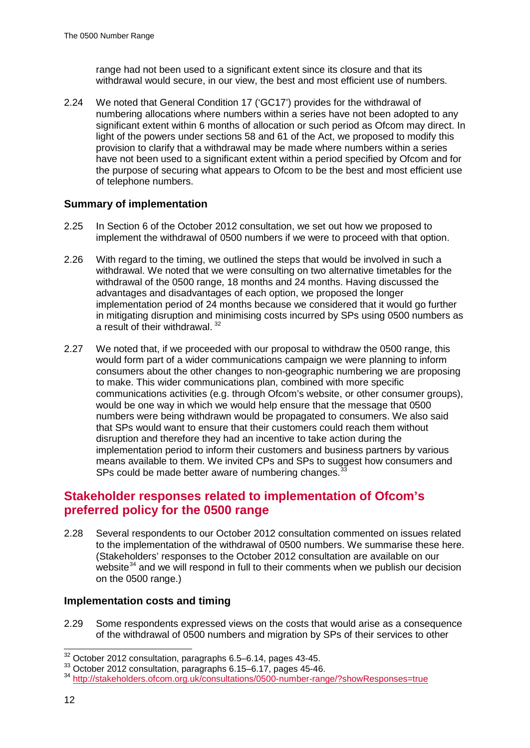range had not been used to a significant extent since its closure and that its withdrawal would secure, in our view, the best and most efficient use of numbers.

2.24 We noted that General Condition 17 ('GC17') provides for the withdrawal of numbering allocations where numbers within a series have not been adopted to any significant extent within 6 months of allocation or such period as Ofcom may direct. In light of the powers under sections 58 and 61 of the Act, we proposed to modify this provision to clarify that a withdrawal may be made where numbers within a series have not been used to a significant extent within a period specified by Ofcom and for the purpose of securing what appears to Ofcom to be the best and most efficient use of telephone numbers.

## **Summary of implementation**

- 2.25 In Section 6 of the October 2012 consultation, we set out how we proposed to implement the withdrawal of 0500 numbers if we were to proceed with that option.
- 2.26 With regard to the timing, we outlined the steps that would be involved in such a withdrawal. We noted that we were consulting on two alternative timetables for the withdrawal of the 0500 range, 18 months and 24 months. Having discussed the advantages and disadvantages of each option, we proposed the longer implementation period of 24 months because we considered that it would go further in mitigating disruption and minimising costs incurred by SPs using 0500 numbers as a result of their withdrawal. [32](#page-12-0)
- 2.27 We noted that, if we proceeded with our proposal to withdraw the 0500 range, this would form part of a wider communications campaign we were planning to inform consumers about the other changes to non-geographic numbering we are proposing to make. This wider communications plan, combined with more specific communications activities (e.g. through Ofcom's website, or other consumer groups), would be one way in which we would help ensure that the message that 0500 numbers were being withdrawn would be propagated to consumers. We also said that SPs would want to ensure that their customers could reach them without disruption and therefore they had an incentive to take action during the implementation period to inform their customers and business partners by various means available to them. We invited CPs and SPs to suggest how consumers and SPs could be made better aware of numbering changes.<sup>3</sup>

## **Stakeholder responses related to implementation of Ofcom's preferred policy for the 0500 range**

2.28 Several respondents to our October 2012 consultation commented on issues related to the implementation of the withdrawal of 0500 numbers. We summarise these here. (Stakeholders' responses to the October 2012 consultation are available on our website $34$  and we will respond in full to their comments when we publish our decision on the 0500 range.)

### **Implementation costs and timing**

2.29 Some respondents expressed views on the costs that would arise as a consequence of the withdrawal of 0500 numbers and migration by SPs of their services to other

<span id="page-12-0"></span> <sup>32</sup> October 2012 consultation, paragraphs 6.5–6.14, pages 43-45.

<sup>33</sup> October 2012 consultation, paragraphs 6.15–6.17, pages 45-46.

<span id="page-12-2"></span><span id="page-12-1"></span><sup>34</sup> <http://stakeholders.ofcom.org.uk/consultations/0500-number-range/?showResponses=true>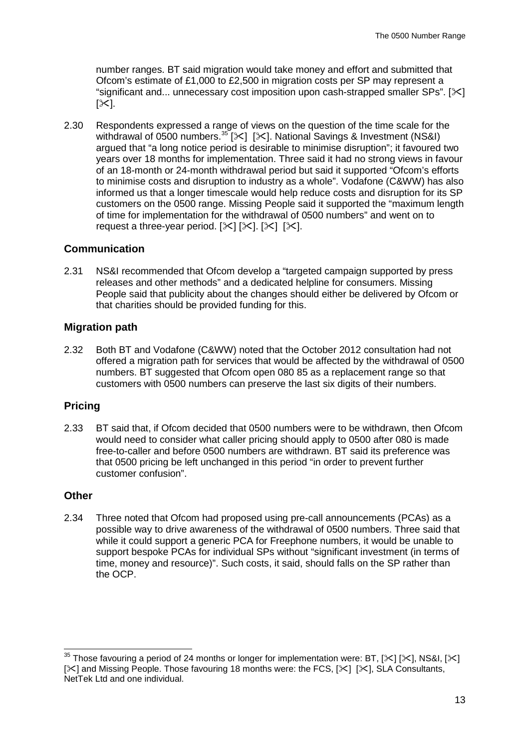number ranges. BT said migration would take money and effort and submitted that Ofcom's estimate of £1,000 to £2,500 in migration costs per SP may represent a "significant and... unnecessary cost imposition upon cash-strapped smaller  $SPs$ ". [ $\geq$ ]  $[\times]$ .

2.30 Respondents expressed a range of views on the question of the time scale for the withdrawal of 0500 numbers.  $35$  [ $\le$ ] [ $\le$ ]. National Savings & Investment (NS&I) argued that "a long notice period is desirable to minimise disruption"; it favoured two years over 18 months for implementation. Three said it had no strong views in favour of an 18-month or 24-month withdrawal period but said it supported "Ofcom's efforts to minimise costs and disruption to industry as a whole". Vodafone (C&WW) has also informed us that a longer timescale would help reduce costs and disruption for its SP customers on the 0500 range. Missing People said it supported the "maximum length of time for implementation for the withdrawal of 0500 numbers" and went on to request a three-year period.  $[\times] [\times]$ .  $[\times]$ .

## **Communication**

2.31 NS&I recommended that Ofcom develop a "targeted campaign supported by press releases and other methods" and a dedicated helpline for consumers. Missing People said that publicity about the changes should either be delivered by Ofcom or that charities should be provided funding for this.

## **Migration path**

2.32 Both BT and Vodafone (C&WW) noted that the October 2012 consultation had not offered a migration path for services that would be affected by the withdrawal of 0500 numbers. BT suggested that Ofcom open 080 85 as a replacement range so that customers with 0500 numbers can preserve the last six digits of their numbers.

## **Pricing**

2.33 BT said that, if Ofcom decided that 0500 numbers were to be withdrawn, then Ofcom would need to consider what caller pricing should apply to 0500 after 080 is made free-to-caller and before 0500 numbers are withdrawn. BT said its preference was that 0500 pricing be left unchanged in this period "in order to prevent further customer confusion".

## **Other**

2.34 Three noted that Ofcom had proposed using pre-call announcements (PCAs) as a possible way to drive awareness of the withdrawal of 0500 numbers. Three said that while it could support a generic PCA for Freephone numbers, it would be unable to support bespoke PCAs for individual SPs without "significant investment (in terms of time, money and resource)". Such costs, it said, should falls on the SP rather than the OCP.

<span id="page-13-0"></span><sup>&</sup>lt;sup>35</sup> Those favouring a period of 24 months or longer for implementation were: BT, [ $\le$ ] [ $\le$ ], NS&I, [ $\le$ ]  $[\times]$  and Missing People. Those favouring 18 months were: the FCS,  $[\times]$   $[\times]$ , SLA Consultants, NetTek Ltd and one individual.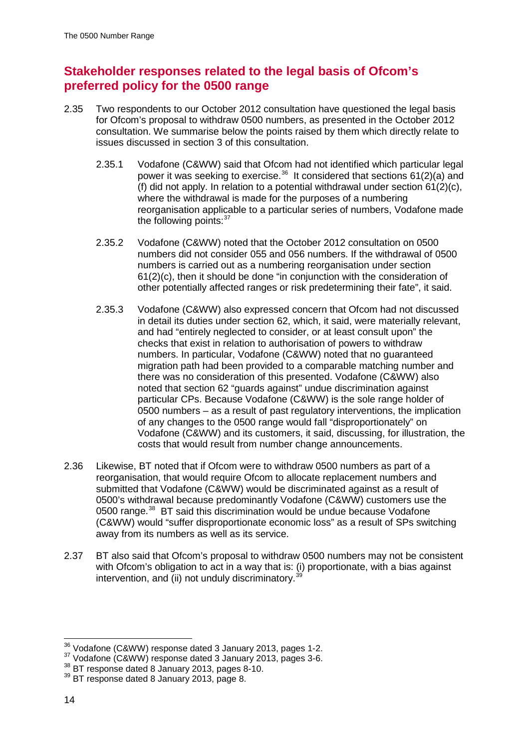## **Stakeholder responses related to the legal basis of Ofcom's preferred policy for the 0500 range**

- 2.35 Two respondents to our October 2012 consultation have questioned the legal basis for Ofcom's proposal to withdraw 0500 numbers, as presented in the October 2012 consultation. We summarise below the points raised by them which directly relate to issues discussed in section 3 of this consultation.
	- 2.35.1 Vodafone (C&WW) said that Ofcom had not identified which particular legal power it was seeking to exercise.<sup>36</sup> It considered that sections  $61(2)(a)$  and (f) did not apply. In relation to a potential withdrawal under section 61(2)(c), where the withdrawal is made for the purposes of a numbering reorganisation applicable to a particular series of numbers, Vodafone made the following points: $37$
	- 2.35.2 Vodafone (C&WW) noted that the October 2012 consultation on 0500 numbers did not consider 055 and 056 numbers. If the withdrawal of 0500 numbers is carried out as a numbering reorganisation under section 61(2)(c), then it should be done "in conjunction with the consideration of other potentially affected ranges or risk predetermining their fate", it said.
	- 2.35.3 Vodafone (C&WW) also expressed concern that Ofcom had not discussed in detail its duties under section 62, which, it said, were materially relevant, and had "entirely neglected to consider, or at least consult upon" the checks that exist in relation to authorisation of powers to withdraw numbers. In particular, Vodafone (C&WW) noted that no guaranteed migration path had been provided to a comparable matching number and there was no consideration of this presented. Vodafone (C&WW) also noted that section 62 "guards against" undue discrimination against particular CPs. Because Vodafone (C&WW) is the sole range holder of 0500 numbers – as a result of past regulatory interventions, the implication of any changes to the 0500 range would fall "disproportionately" on Vodafone (C&WW) and its customers, it said, discussing, for illustration, the costs that would result from number change announcements.
- 2.36 Likewise, BT noted that if Ofcom were to withdraw 0500 numbers as part of a reorganisation, that would require Ofcom to allocate replacement numbers and submitted that Vodafone (C&WW) would be discriminated against as a result of 0500's withdrawal because predominantly Vodafone (C&WW) customers use the 0500 range.<sup>[38](#page-14-2)</sup> BT said this discrimination would be undue because Vodafone (C&WW) would "suffer disproportionate economic loss" as a result of SPs switching away from its numbers as well as its service.
- 2.37 BT also said that Ofcom's proposal to withdraw 0500 numbers may not be consistent with Ofcom's obligation to act in a way that is: (i) proportionate, with a bias against intervention, and  $(i)$  not unduly discriminatory.<sup>36</sup>

<span id="page-14-0"></span> <sup>36</sup> Vodafone (C&WW) response dated 3 January 2013, pages 1-2.

<span id="page-14-1"></span><sup>&</sup>lt;sup>37</sup> Vodafone (C&WW) response dated 3 January 2013, pages 3-6.

<span id="page-14-2"></span><sup>38</sup> BT response dated 8 January 2013, pages 8-10.

<span id="page-14-3"></span><sup>&</sup>lt;sup>39</sup> BT response dated 8 January 2013, page 8.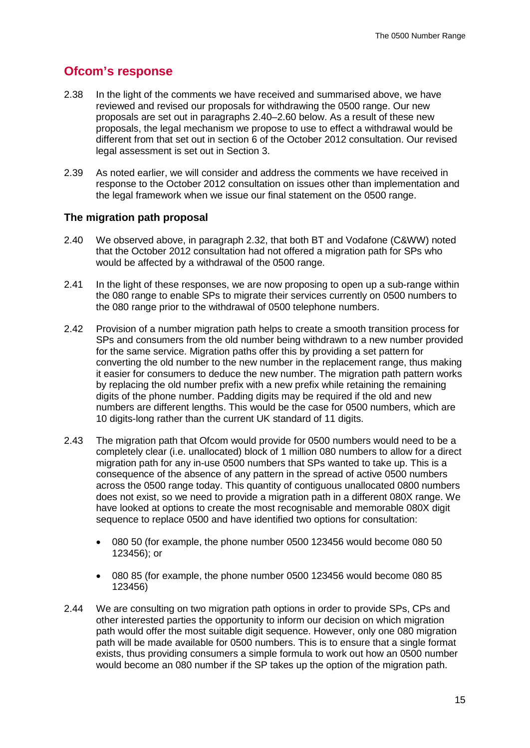## **Ofcom's response**

- 2.38 In the light of the comments we have received and summarised above, we have reviewed and revised our proposals for withdrawing the 0500 range. Our new proposals are set out in paragraphs 2.40–2.60 below. As a result of these new proposals, the legal mechanism we propose to use to effect a withdrawal would be different from that set out in section 6 of the October 2012 consultation. Our revised legal assessment is set out in Section 3.
- 2.39 As noted earlier, we will consider and address the comments we have received in response to the October 2012 consultation on issues other than implementation and the legal framework when we issue our final statement on the 0500 range.

### **The migration path proposal**

- 2.40 We observed above, in paragraph 2.32, that both BT and Vodafone (C&WW) noted that the October 2012 consultation had not offered a migration path for SPs who would be affected by a withdrawal of the 0500 range.
- 2.41 In the light of these responses, we are now proposing to open up a sub-range within the 080 range to enable SPs to migrate their services currently on 0500 numbers to the 080 range prior to the withdrawal of 0500 telephone numbers.
- 2.42 Provision of a number migration path helps to create a smooth transition process for SPs and consumers from the old number being withdrawn to a new number provided for the same service. Migration paths offer this by providing a set pattern for converting the old number to the new number in the replacement range, thus making it easier for consumers to deduce the new number. The migration path pattern works by replacing the old number prefix with a new prefix while retaining the remaining digits of the phone number. Padding digits may be required if the old and new numbers are different lengths. This would be the case for 0500 numbers, which are 10 digits-long rather than the current UK standard of 11 digits.
- 2.43 The migration path that Ofcom would provide for 0500 numbers would need to be a completely clear (i.e. unallocated) block of 1 million 080 numbers to allow for a direct migration path for any in-use 0500 numbers that SPs wanted to take up. This is a consequence of the absence of any pattern in the spread of active 0500 numbers across the 0500 range today. This quantity of contiguous unallocated 0800 numbers does not exist, so we need to provide a migration path in a different 080X range. We have looked at options to create the most recognisable and memorable 080X digit sequence to replace 0500 and have identified two options for consultation:
	- 080 50 (for example, the phone number 0500 123456 would become 080 50 123456); or
	- 080 85 (for example, the phone number 0500 123456 would become 080 85 123456)
- 2.44 We are consulting on two migration path options in order to provide SPs, CPs and other interested parties the opportunity to inform our decision on which migration path would offer the most suitable digit sequence. However, only one 080 migration path will be made available for 0500 numbers. This is to ensure that a single format exists, thus providing consumers a simple formula to work out how an 0500 number would become an 080 number if the SP takes up the option of the migration path.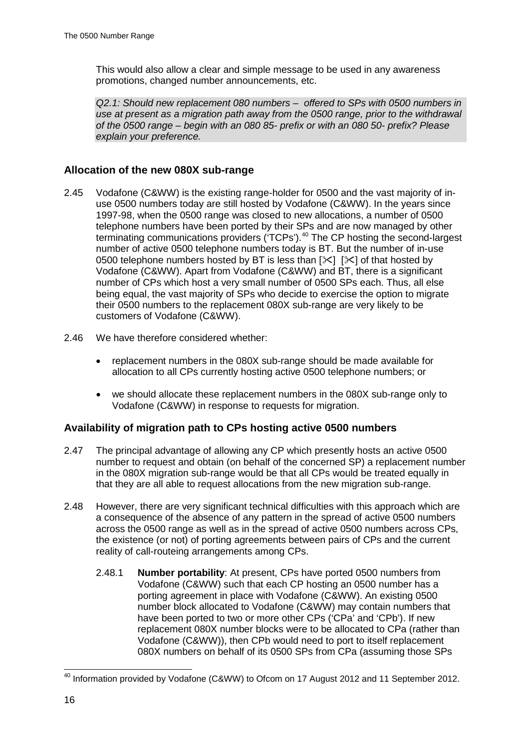This would also allow a clear and simple message to be used in any awareness promotions, changed number announcements, etc.

*Q2.1: Should new replacement 080 numbers – offered to SPs with 0500 numbers in use at present as a migration path away from the 0500 range, prior to the withdrawal of the 0500 range – begin with an 080 85- prefix or with an 080 50- prefix? Please explain your preference.* 

### **Allocation of the new 080X sub-range**

- 2.45 Vodafone (C&WW) is the existing range-holder for 0500 and the vast majority of inuse 0500 numbers today are still hosted by Vodafone (C&WW). In the years since 1997-98, when the 0500 range was closed to new allocations, a number of 0500 telephone numbers have been ported by their SPs and are now managed by other terminating communications providers ('TCPs').<sup>[40](#page-16-0)</sup> The CP hosting the second-largest number of active 0500 telephone numbers today is BT. But the number of in-use 0500 telephone numbers hosted by BT is less than  $[\times]$   $[\times]$  of that hosted by Vodafone (C&WW). Apart from Vodafone (C&WW) and BT, there is a significant number of CPs which host a very small number of 0500 SPs each. Thus, all else being equal, the vast majority of SPs who decide to exercise the option to migrate their 0500 numbers to the replacement 080X sub-range are very likely to be customers of Vodafone (C&WW).
- 2.46 We have therefore considered whether:
	- replacement numbers in the 080X sub-range should be made available for allocation to all CPs currently hosting active 0500 telephone numbers; or
	- we should allocate these replacement numbers in the 080X sub-range only to Vodafone (C&WW) in response to requests for migration.

### **Availability of migration path to CPs hosting active 0500 numbers**

- 2.47 The principal advantage of allowing any CP which presently hosts an active 0500 number to request and obtain (on behalf of the concerned SP) a replacement number in the 080X migration sub-range would be that all CPs would be treated equally in that they are all able to request allocations from the new migration sub-range.
- 2.48 However, there are very significant technical difficulties with this approach which are a consequence of the absence of any pattern in the spread of active 0500 numbers across the 0500 range as well as in the spread of active 0500 numbers across CPs, the existence (or not) of porting agreements between pairs of CPs and the current reality of call-routeing arrangements among CPs.
	- 2.48.1 **Number portability**: At present, CPs have ported 0500 numbers from Vodafone (C&WW) such that each CP hosting an 0500 number has a porting agreement in place with Vodafone (C&WW). An existing 0500 number block allocated to Vodafone (C&WW) may contain numbers that have been ported to two or more other CPs ('CPa' and 'CPb'). If new replacement 080X number blocks were to be allocated to CPa (rather than Vodafone (C&WW)), then CPb would need to port to itself replacement 080X numbers on behalf of its 0500 SPs from CPa (assuming those SPs

<span id="page-16-0"></span><sup>&</sup>lt;sup>40</sup> Information provided by Vodafone (C&WW) to Ofcom on 17 August 2012 and 11 September 2012.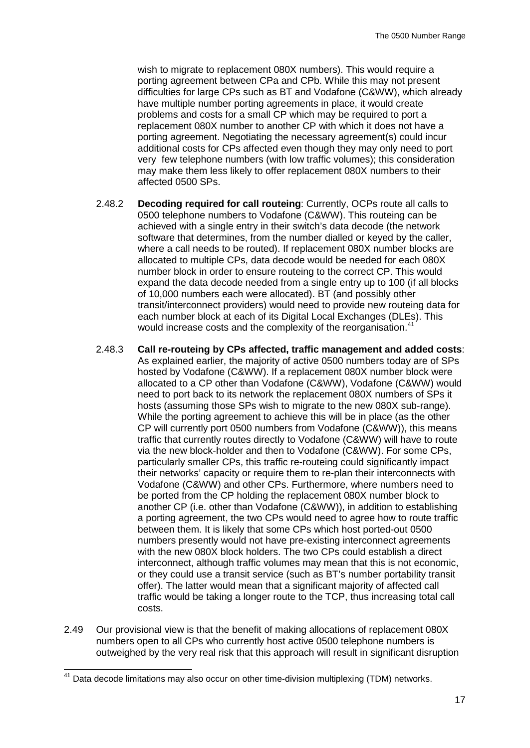wish to migrate to replacement 080X numbers). This would require a porting agreement between CPa and CPb. While this may not present difficulties for large CPs such as BT and Vodafone (C&WW), which already have multiple number porting agreements in place, it would create problems and costs for a small CP which may be required to port a replacement 080X number to another CP with which it does not have a porting agreement. Negotiating the necessary agreement(s) could incur additional costs for CPs affected even though they may only need to port very few telephone numbers (with low traffic volumes); this consideration may make them less likely to offer replacement 080X numbers to their affected 0500 SPs.

- 2.48.2 **Decoding required for call routeing**: Currently, OCPs route all calls to 0500 telephone numbers to Vodafone (C&WW). This routeing can be achieved with a single entry in their switch's data decode (the network software that determines, from the number dialled or keyed by the caller, where a call needs to be routed). If replacement 080X number blocks are allocated to multiple CPs, data decode would be needed for each 080X number block in order to ensure routeing to the correct CP. This would expand the data decode needed from a single entry up to 100 (if all blocks of 10,000 numbers each were allocated). BT (and possibly other transit/interconnect providers) would need to provide new routeing data for each number block at each of its Digital Local Exchanges (DLEs). This would increase costs and the complexity of the reorganisation.<sup>[41](#page-17-0)</sup>
- 2.48.3 **Call re-routeing by CPs affected, traffic management and added costs**: As explained earlier, the majority of active 0500 numbers today are of SPs hosted by Vodafone (C&WW). If a replacement 080X number block were allocated to a CP other than Vodafone (C&WW), Vodafone (C&WW) would need to port back to its network the replacement 080X numbers of SPs it hosts (assuming those SPs wish to migrate to the new 080X sub-range). While the porting agreement to achieve this will be in place (as the other CP will currently port 0500 numbers from Vodafone (C&WW)), this means traffic that currently routes directly to Vodafone (C&WW) will have to route via the new block-holder and then to Vodafone (C&WW). For some CPs, particularly smaller CPs, this traffic re-routeing could significantly impact their networks' capacity or require them to re-plan their interconnects with Vodafone (C&WW) and other CPs. Furthermore, where numbers need to be ported from the CP holding the replacement 080X number block to another CP (i.e. other than Vodafone (C&WW)), in addition to establishing a porting agreement, the two CPs would need to agree how to route traffic between them. It is likely that some CPs which host ported-out 0500 numbers presently would not have pre-existing interconnect agreements with the new 080X block holders. The two CPs could establish a direct interconnect, although traffic volumes may mean that this is not economic, or they could use a transit service (such as BT's number portability transit offer). The latter would mean that a significant majority of affected call traffic would be taking a longer route to the TCP, thus increasing total call costs.
- 2.49 Our provisional view is that the benefit of making allocations of replacement 080X numbers open to all CPs who currently host active 0500 telephone numbers is outweighed by the very real risk that this approach will result in significant disruption

<span id="page-17-0"></span> $41$  Data decode limitations may also occur on other time-division multiplexing (TDM) networks.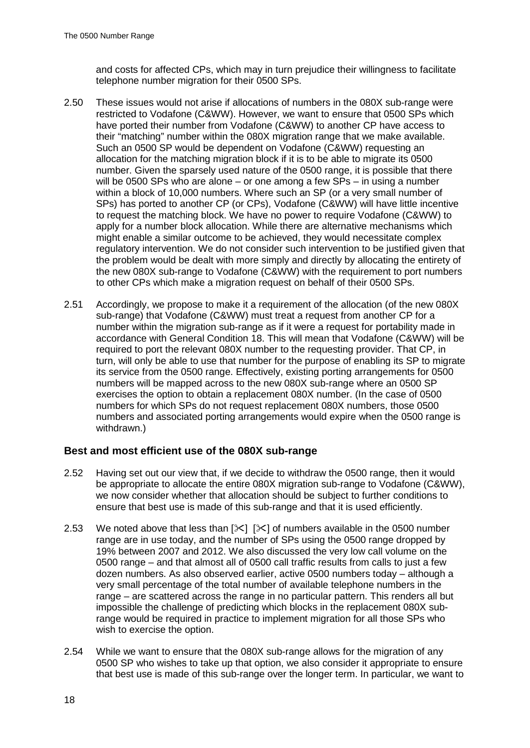and costs for affected CPs, which may in turn prejudice their willingness to facilitate telephone number migration for their 0500 SPs.

- 2.50 These issues would not arise if allocations of numbers in the 080X sub-range were restricted to Vodafone (C&WW). However, we want to ensure that 0500 SPs which have ported their number from Vodafone (C&WW) to another CP have access to their "matching" number within the 080X migration range that we make available. Such an 0500 SP would be dependent on Vodafone (C&WW) requesting an allocation for the matching migration block if it is to be able to migrate its 0500 number. Given the sparsely used nature of the 0500 range, it is possible that there will be 0500 SPs who are alone – or one among a few SPs – in using a number within a block of 10,000 numbers. Where such an SP (or a very small number of SPs) has ported to another CP (or CPs), Vodafone (C&WW) will have little incentive to request the matching block. We have no power to require Vodafone (C&WW) to apply for a number block allocation. While there are alternative mechanisms which might enable a similar outcome to be achieved, they would necessitate complex regulatory intervention. We do not consider such intervention to be justified given that the problem would be dealt with more simply and directly by allocating the entirety of the new 080X sub-range to Vodafone (C&WW) with the requirement to port numbers to other CPs which make a migration request on behalf of their 0500 SPs.
- 2.51 Accordingly, we propose to make it a requirement of the allocation (of the new 080X sub-range) that Vodafone (C&WW) must treat a request from another CP for a number within the migration sub-range as if it were a request for portability made in accordance with General Condition 18. This will mean that Vodafone (C&WW) will be required to port the relevant 080X number to the requesting provider. That CP, in turn, will only be able to use that number for the purpose of enabling its SP to migrate its service from the 0500 range. Effectively, existing porting arrangements for 0500 numbers will be mapped across to the new 080X sub-range where an 0500 SP exercises the option to obtain a replacement 080X number. (In the case of 0500 numbers for which SPs do not request replacement 080X numbers, those 0500 numbers and associated porting arrangements would expire when the 0500 range is withdrawn.)

### **Best and most efficient use of the 080X sub-range**

- 2.52 Having set out our view that, if we decide to withdraw the 0500 range, then it would be appropriate to allocate the entire 080X migration sub-range to Vodafone (C&WW), we now consider whether that allocation should be subject to further conditions to ensure that best use is made of this sub-range and that it is used efficiently.
- 2.53 We noted above that less than  $[\times]$   $[\times]$  of numbers available in the 0500 number range are in use today, and the number of SPs using the 0500 range dropped by 19% between 2007 and 2012. We also discussed the very low call volume on the 0500 range – and that almost all of 0500 call traffic results from calls to just a few dozen numbers. As also observed earlier, active 0500 numbers today – although a very small percentage of the total number of available telephone numbers in the range – are scattered across the range in no particular pattern. This renders all but impossible the challenge of predicting which blocks in the replacement 080X subrange would be required in practice to implement migration for all those SPs who wish to exercise the option.
- 2.54 While we want to ensure that the 080X sub-range allows for the migration of any 0500 SP who wishes to take up that option, we also consider it appropriate to ensure that best use is made of this sub-range over the longer term. In particular, we want to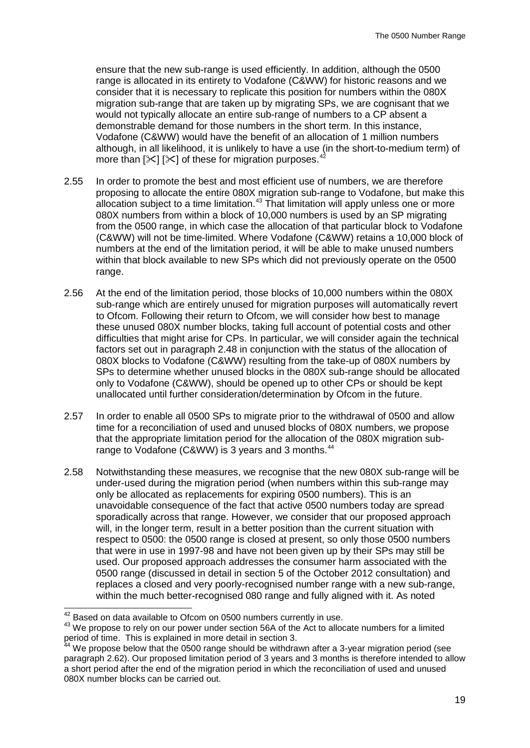ensure that the new sub-range is used efficiently. In addition, although the 0500 range is allocated in its entirety to Vodafone (C&WW) for historic reasons and we consider that it is necessary to replicate this position for numbers within the 080X migration sub-range that are taken up by migrating SPs, we are cognisant that we would not typically allocate an entire sub-range of numbers to a CP absent a demonstrable demand for those numbers in the short term. In this instance, Vodafone (C&WW) would have the benefit of an allocation of 1 million numbers although, in all likelihood, it is unlikely to have a use (in the short-to-medium term) of more than  $[\times] [\times]$  of these for migration purposes.<sup>[42](#page-19-0)</sup>

- 2.55 In order to promote the best and most efficient use of numbers, we are therefore proposing to allocate the entire 080X migration sub-range to Vodafone, but make this allocation subject to a time limitation.<sup>[43](#page-19-1)</sup> That limitation will apply unless one or more 080X numbers from within a block of 10,000 numbers is used by an SP migrating from the 0500 range, in which case the allocation of that particular block to Vodafone (C&WW) will not be time-limited. Where Vodafone (C&WW) retains a 10,000 block of numbers at the end of the limitation period, it will be able to make unused numbers within that block available to new SPs which did not previously operate on the 0500 range.
- 2.56 At the end of the limitation period, those blocks of 10,000 numbers within the 080X sub-range which are entirely unused for migration purposes will automatically revert to Ofcom. Following their return to Ofcom, we will consider how best to manage these unused 080X number blocks, taking full account of potential costs and other difficulties that might arise for CPs. In particular, we will consider again the technical factors set out in paragraph 2.48 in conjunction with the status of the allocation of 080X blocks to Vodafone (C&WW) resulting from the take-up of 080X numbers by SPs to determine whether unused blocks in the 080X sub-range should be allocated only to Vodafone (C&WW), should be opened up to other CPs or should be kept unallocated until further consideration/determination by Ofcom in the future.
- 2.57 In order to enable all 0500 SPs to migrate prior to the withdrawal of 0500 and allow time for a reconciliation of used and unused blocks of 080X numbers, we propose that the appropriate limitation period for the allocation of the 080X migration subrange to Vodafone (C&WW) is 3 years and 3 months.<sup>44</sup>
- 2.58 Notwithstanding these measures, we recognise that the new 080X sub-range will be under-used during the migration period (when numbers within this sub-range may only be allocated as replacements for expiring 0500 numbers). This is an unavoidable consequence of the fact that active 0500 numbers today are spread sporadically across that range. However, we consider that our proposed approach will, in the longer term, result in a better position than the current situation with respect to 0500: the 0500 range is closed at present, so only those 0500 numbers that were in use in 1997-98 and have not been given up by their SPs may still be used. Our proposed approach addresses the consumer harm associated with the 0500 range (discussed in detail in section 5 of the October 2012 consultation) and replaces a closed and very poorly-recognised number range with a new sub-range, within the much better-recognised 080 range and fully aligned with it. As noted

<span id="page-19-1"></span><span id="page-19-0"></span> $^{42}$  Based on data available to Ofcom on 0500 numbers currently in use.<br> $^{43}$  We propose to rely on our power under section 56A of the Act to allocate numbers for a limited period of time. This is explained in more detail in section 3.

<span id="page-19-2"></span>We propose below that the 0500 range should be withdrawn after a 3-year migration period (see paragraph 2.62). Our proposed limitation period of 3 years and 3 months is therefore intended to allow a short period after the end of the migration period in which the reconciliation of used and unused 080X number blocks can be carried out.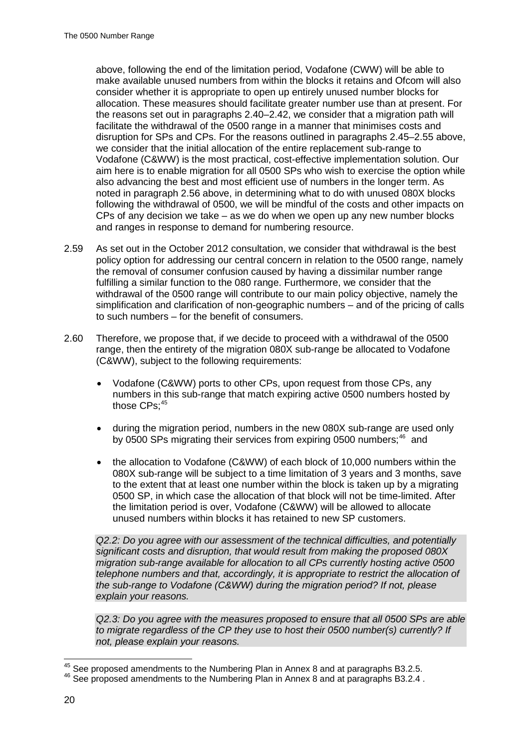above, following the end of the limitation period, Vodafone (CWW) will be able to make available unused numbers from within the blocks it retains and Ofcom will also consider whether it is appropriate to open up entirely unused number blocks for allocation. These measures should facilitate greater number use than at present. For the reasons set out in paragraphs 2.40–2.42, we consider that a migration path will facilitate the withdrawal of the 0500 range in a manner that minimises costs and disruption for SPs and CPs. For the reasons outlined in paragraphs 2.45–2.55 above, we consider that the initial allocation of the entire replacement sub-range to Vodafone (C&WW) is the most practical, cost-effective implementation solution. Our aim here is to enable migration for all 0500 SPs who wish to exercise the option while also advancing the best and most efficient use of numbers in the longer term. As noted in paragraph 2.56 above, in determining what to do with unused 080X blocks following the withdrawal of 0500, we will be mindful of the costs and other impacts on CPs of any decision we take – as we do when we open up any new number blocks and ranges in response to demand for numbering resource.

- 2.59 As set out in the October 2012 consultation, we consider that withdrawal is the best policy option for addressing our central concern in relation to the 0500 range, namely the removal of consumer confusion caused by having a dissimilar number range fulfilling a similar function to the 080 range. Furthermore, we consider that the withdrawal of the 0500 range will contribute to our main policy objective, namely the simplification and clarification of non-geographic numbers – and of the pricing of calls to such numbers – for the benefit of consumers.
- 2.60 Therefore, we propose that, if we decide to proceed with a withdrawal of the 0500 range, then the entirety of the migration 080X sub-range be allocated to Vodafone (C&WW), subject to the following requirements:
	- Vodafone (C&WW) ports to other CPs, upon request from those CPs, any numbers in this sub-range that match expiring active 0500 numbers hosted by those CPs; [45](#page-20-0)
	- during the migration period, numbers in the new 080X sub-range are used only by 0500 SPs migrating their services from expiring 0500 numbers;<sup>[46](#page-20-1)</sup> and
	- the allocation to Vodafone (C&WW) of each block of 10,000 numbers within the 080X sub-range will be subject to a time limitation of 3 years and 3 months, save to the extent that at least one number within the block is taken up by a migrating 0500 SP, in which case the allocation of that block will not be time-limited. After the limitation period is over, Vodafone (C&WW) will be allowed to allocate unused numbers within blocks it has retained to new SP customers.

*Q2.2: Do you agree with our assessment of the technical difficulties, and potentially significant costs and disruption, that would result from making the proposed 080X migration sub-range available for allocation to all CPs currently hosting active 0500 telephone numbers and that, accordingly, it is appropriate to restrict the allocation of the sub-range to Vodafone (C&WW) during the migration period? If not, please explain your reasons.*

*Q2.3: Do you agree with the measures proposed to ensure that all 0500 SPs are able to migrate regardless of the CP they use to host their 0500 number(s) currently? If not, please explain your reasons.* 

<span id="page-20-1"></span><span id="page-20-0"></span><sup>&</sup>lt;sup>45</sup> See proposed amendments to the Numbering Plan in Annex 8 and at paragraphs B3.2.5.<br><sup>46</sup> See proposed amendments to the Numbering Plan in Annex 8 and at paragraphs B3.2.4 .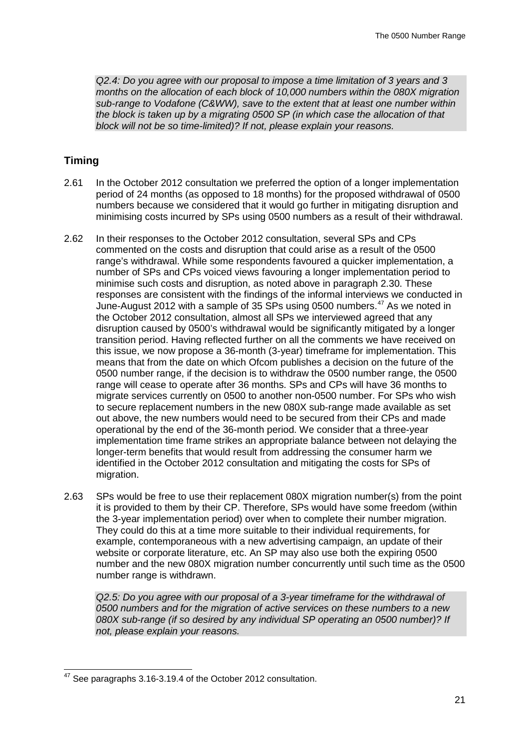*Q2.4: Do you agree with our proposal to impose a time limitation of 3 years and 3 months on the allocation of each block of 10,000 numbers within the 080X migration sub-range to Vodafone (C&WW), save to the extent that at least one number within the block is taken up by a migrating 0500 SP (in which case the allocation of that block will not be so time-limited)? If not, please explain your reasons.* 

### **Timing**

- 2.61 In the October 2012 consultation we preferred the option of a longer implementation period of 24 months (as opposed to 18 months) for the proposed withdrawal of 0500 numbers because we considered that it would go further in mitigating disruption and minimising costs incurred by SPs using 0500 numbers as a result of their withdrawal.
- 2.62 In their responses to the October 2012 consultation, several SPs and CPs commented on the costs and disruption that could arise as a result of the 0500 range's withdrawal. While some respondents favoured a quicker implementation, a number of SPs and CPs voiced views favouring a longer implementation period to minimise such costs and disruption, as noted above in paragraph 2.30. These responses are consistent with the findings of the informal interviews we conducted in June-August 2012 with a sample of 35 SPs using 0500 numbers.<sup>[47](#page-21-0)</sup> As we noted in the October 2012 consultation, almost all SPs we interviewed agreed that any disruption caused by 0500's withdrawal would be significantly mitigated by a longer transition period. Having reflected further on all the comments we have received on this issue, we now propose a 36-month (3-year) timeframe for implementation. This means that from the date on which Ofcom publishes a decision on the future of the 0500 number range, if the decision is to withdraw the 0500 number range, the 0500 range will cease to operate after 36 months. SPs and CPs will have 36 months to migrate services currently on 0500 to another non-0500 number. For SPs who wish to secure replacement numbers in the new 080X sub-range made available as set out above, the new numbers would need to be secured from their CPs and made operational by the end of the 36-month period. We consider that a three-year implementation time frame strikes an appropriate balance between not delaying the longer-term benefits that would result from addressing the consumer harm we identified in the October 2012 consultation and mitigating the costs for SPs of migration.
- 2.63 SPs would be free to use their replacement 080X migration number(s) from the point it is provided to them by their CP. Therefore, SPs would have some freedom (within the 3-year implementation period) over when to complete their number migration. They could do this at a time more suitable to their individual requirements, for example, contemporaneous with a new advertising campaign, an update of their website or corporate literature, etc. An SP may also use both the expiring 0500 number and the new 080X migration number concurrently until such time as the 0500 number range is withdrawn.

*Q2.5: Do you agree with our proposal of a 3-year timeframe for the withdrawal of 0500 numbers and for the migration of active services on these numbers to a new 080X sub-range (if so desired by any individual SP operating an 0500 number)? If not, please explain your reasons.*

<span id="page-21-0"></span><sup>&</sup>lt;sup>47</sup> See paragraphs 3.16-3.19.4 of the October 2012 consultation.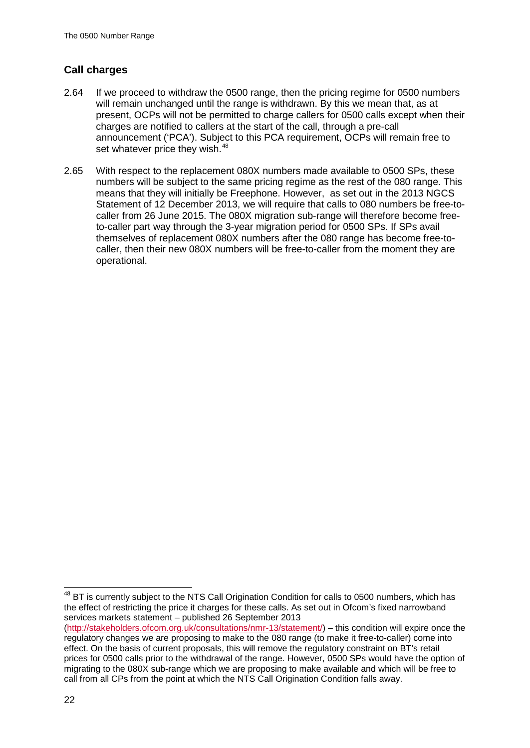## **Call charges**

- 2.64 If we proceed to withdraw the 0500 range, then the pricing regime for 0500 numbers will remain unchanged until the range is withdrawn. By this we mean that, as at present, OCPs will not be permitted to charge callers for 0500 calls except when their charges are notified to callers at the start of the call, through a pre-call announcement ('PCA'). Subject to this PCA requirement, OCPs will remain free to set whatever price they wish.<sup>[48](#page-22-0)</sup>
- 2.65 With respect to the replacement 080X numbers made available to 0500 SPs, these numbers will be subject to the same pricing regime as the rest of the 080 range. This means that they will initially be Freephone. However, as set out in the 2013 NGCS Statement of 12 December 2013, we will require that calls to 080 numbers be free-tocaller from 26 June 2015. The 080X migration sub-range will therefore become freeto-caller part way through the 3-year migration period for 0500 SPs. If SPs avail themselves of replacement 080X numbers after the 080 range has become free-tocaller, then their new 080X numbers will be free-to-caller from the moment they are operational.

<span id="page-22-0"></span><sup>&</sup>lt;sup>48</sup> BT is currently subject to the NTS Call Origination Condition for calls to 0500 numbers, which has the effect of restricting the price it charges for these calls. As set out in Ofcom's fixed narrowband services markets statement – published 26 September 2013

[<sup>\(</sup>http://stakeholders.ofcom.org.uk/consultations/nmr-13/statement/\)](http://stakeholders.ofcom.org.uk/consultations/nmr-13/statement/) – this condition will expire once the regulatory changes we are proposing to make to the 080 range (to make it free-to-caller) come into effect. On the basis of current proposals, this will remove the regulatory constraint on BT's retail prices for 0500 calls prior to the withdrawal of the range. However, 0500 SPs would have the option of migrating to the 080X sub-range which we are proposing to make available and which will be free to call from all CPs from the point at which the NTS Call Origination Condition falls away.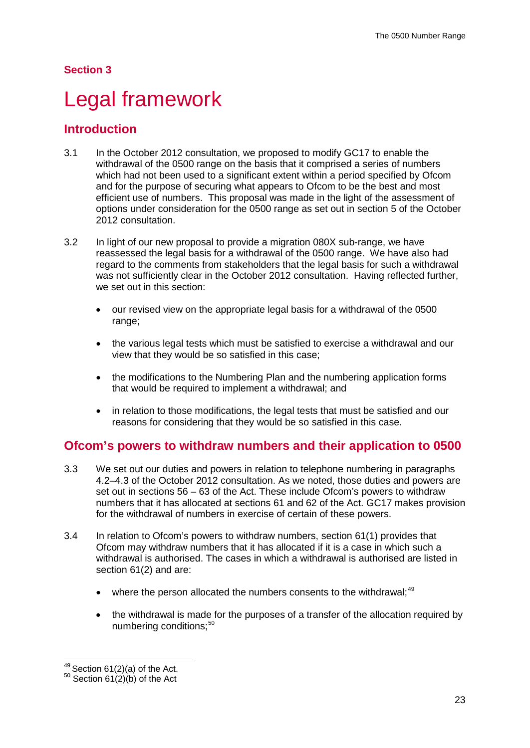## **Section 3**

# <span id="page-23-0"></span>Legal framework

## **Introduction**

- 3.1 In the October 2012 consultation, we proposed to modify GC17 to enable the withdrawal of the 0500 range on the basis that it comprised a series of numbers which had not been used to a significant extent within a period specified by Ofcom and for the purpose of securing what appears to Ofcom to be the best and most efficient use of numbers. This proposal was made in the light of the assessment of options under consideration for the 0500 range as set out in section 5 of the October 2012 consultation.
- 3.2 In light of our new proposal to provide a migration 080X sub-range, we have reassessed the legal basis for a withdrawal of the 0500 range. We have also had regard to the comments from stakeholders that the legal basis for such a withdrawal was not sufficiently clear in the October 2012 consultation. Having reflected further, we set out in this section:
	- our revised view on the appropriate legal basis for a withdrawal of the 0500 range;
	- the various legal tests which must be satisfied to exercise a withdrawal and our view that they would be so satisfied in this case;
	- the modifications to the Numbering Plan and the numbering application forms that would be required to implement a withdrawal; and
	- in relation to those modifications, the legal tests that must be satisfied and our reasons for considering that they would be so satisfied in this case.

## **Ofcom's powers to withdraw numbers and their application to 0500**

- 3.3 We set out our duties and powers in relation to telephone numbering in paragraphs 4.2–4.3 of the October 2012 consultation. As we noted, those duties and powers are set out in sections 56 – 63 of the Act. These include Ofcom's powers to withdraw numbers that it has allocated at sections 61 and 62 of the Act. GC17 makes provision for the withdrawal of numbers in exercise of certain of these powers.
- 3.4 In relation to Ofcom's powers to withdraw numbers, section 61(1) provides that Ofcom may withdraw numbers that it has allocated if it is a case in which such a withdrawal is authorised. The cases in which a withdrawal is authorised are listed in section 61(2) and are:
	- where the person allocated the numbers consents to the withdrawal;<sup>[49](#page-23-1)</sup>
	- the withdrawal is made for the purposes of a transfer of the allocation required by numbering conditions;<sup>[50](#page-23-2)</sup>

<span id="page-23-2"></span><span id="page-23-1"></span><sup>&</sup>lt;sup>49</sup> Section 61(2)(a) of the Act.<br><sup>50</sup> Section 61(2)(b) of the Act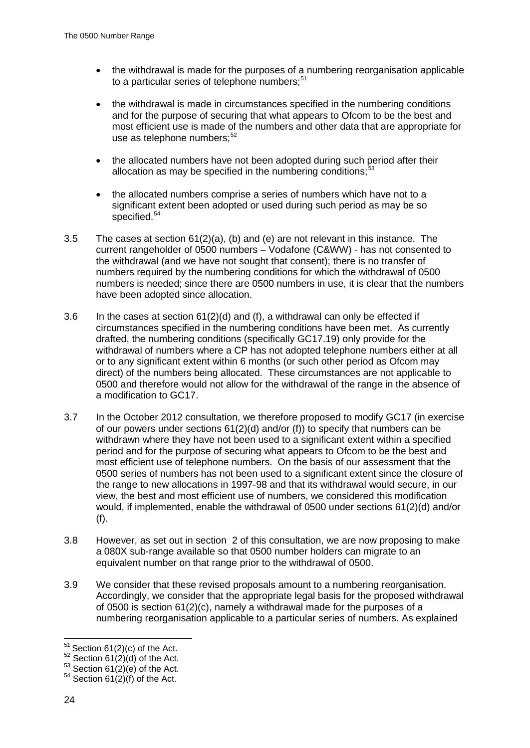- the withdrawal is made for the purposes of a numbering reorganisation applicable to a particular series of telephone numbers; $51$
- the withdrawal is made in circumstances specified in the numbering conditions and for the purpose of securing that what appears to Ofcom to be the best and most efficient use is made of the numbers and other data that are appropriate for use as telephone numbers:<sup>[52](#page-24-1)</sup>
- the allocated numbers have not been adopted during such period after their allocation as may be specified in the numbering conditions:  $53$
- the allocated numbers comprise a series of numbers which have not to a significant extent been adopted or used during such period as may be so specified.<sup>[54](#page-24-3)</sup>
- 3.5 The cases at section 61(2)(a), (b) and (e) are not relevant in this instance. The current rangeholder of 0500 numbers – Vodafone (C&WW) - has not consented to the withdrawal (and we have not sought that consent); there is no transfer of numbers required by the numbering conditions for which the withdrawal of 0500 numbers is needed; since there are 0500 numbers in use, it is clear that the numbers have been adopted since allocation.
- 3.6 In the cases at section 61(2)(d) and (f), a withdrawal can only be effected if circumstances specified in the numbering conditions have been met. As currently drafted, the numbering conditions (specifically GC17.19) only provide for the withdrawal of numbers where a CP has not adopted telephone numbers either at all or to any significant extent within 6 months (or such other period as Ofcom may direct) of the numbers being allocated. These circumstances are not applicable to 0500 and therefore would not allow for the withdrawal of the range in the absence of a modification to GC17.
- 3.7 In the October 2012 consultation, we therefore proposed to modify GC17 (in exercise of our powers under sections 61(2)(d) and/or (f)) to specify that numbers can be withdrawn where they have not been used to a significant extent within a specified period and for the purpose of securing what appears to Ofcom to be the best and most efficient use of telephone numbers. On the basis of our assessment that the 0500 series of numbers has not been used to a significant extent since the closure of the range to new allocations in 1997-98 and that its withdrawal would secure, in our view, the best and most efficient use of numbers, we considered this modification would, if implemented, enable the withdrawal of 0500 under sections 61(2)(d) and/or (f).
- 3.8 However, as set out in section 2 of this consultation, we are now proposing to make a 080X sub-range available so that 0500 number holders can migrate to an equivalent number on that range prior to the withdrawal of 0500.
- 3.9 We consider that these revised proposals amount to a numbering reorganisation. Accordingly, we consider that the appropriate legal basis for the proposed withdrawal of 0500 is section 61(2)(c), namely a withdrawal made for the purposes of a numbering reorganisation applicable to a particular series of numbers. As explained

<span id="page-24-1"></span>

<span id="page-24-0"></span><sup>&</sup>lt;sup>51</sup> Section 61(2)(c) of the Act.<br><sup>52</sup> Section 61(2)(d) of the Act.<br><sup>53</sup> Section 61(2)(e) of the Act.<br><sup>54</sup> Section 61(2)(f) of the Act.

<span id="page-24-3"></span><span id="page-24-2"></span>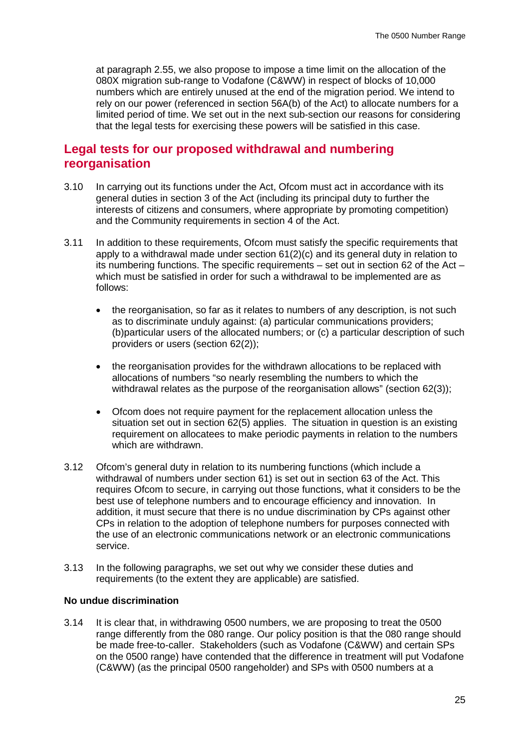at paragraph 2.55, we also propose to impose a time limit on the allocation of the 080X migration sub-range to Vodafone (C&WW) in respect of blocks of 10,000 numbers which are entirely unused at the end of the migration period. We intend to rely on our power (referenced in section 56A(b) of the Act) to allocate numbers for a limited period of time. We set out in the next sub-section our reasons for considering that the legal tests for exercising these powers will be satisfied in this case.

## **Legal tests for our proposed withdrawal and numbering reorganisation**

- 3.10 In carrying out its functions under the Act, Ofcom must act in accordance with its general duties in section 3 of the Act (including its principal duty to further the interests of citizens and consumers, where appropriate by promoting competition) and the Community requirements in section 4 of the Act.
- 3.11 In addition to these requirements, Ofcom must satisfy the specific requirements that apply to a withdrawal made under section 61(2)(c) and its general duty in relation to its numbering functions. The specific requirements – set out in section 62 of the Act – which must be satisfied in order for such a withdrawal to be implemented are as follows:
	- the reorganisation, so far as it relates to numbers of any description, is not such as to discriminate unduly against: (a) particular communications providers; (b)particular users of the allocated numbers; or (c) a particular description of such providers or users (section 62(2));
	- the reorganisation provides for the withdrawn allocations to be replaced with allocations of numbers "so nearly resembling the numbers to which the withdrawal relates as the purpose of the reorganisation allows" (section 62(3));
	- Ofcom does not require payment for the replacement allocation unless the situation set out in section 62(5) applies. The situation in question is an existing requirement on allocatees to make periodic payments in relation to the numbers which are withdrawn.
- 3.12 Ofcom's general duty in relation to its numbering functions (which include a withdrawal of numbers under section 61) is set out in section 63 of the Act. This requires Ofcom to secure, in carrying out those functions, what it considers to be the best use of telephone numbers and to encourage efficiency and innovation. In addition, it must secure that there is no undue discrimination by CPs against other CPs in relation to the adoption of telephone numbers for purposes connected with the use of an electronic communications network or an electronic communications service.
- 3.13 In the following paragraphs, we set out why we consider these duties and requirements (to the extent they are applicable) are satisfied.

#### **No undue discrimination**

3.14 It is clear that, in withdrawing 0500 numbers, we are proposing to treat the 0500 range differently from the 080 range. Our policy position is that the 080 range should be made free-to-caller. Stakeholders (such as Vodafone (C&WW) and certain SPs on the 0500 range) have contended that the difference in treatment will put Vodafone (C&WW) (as the principal 0500 rangeholder) and SPs with 0500 numbers at a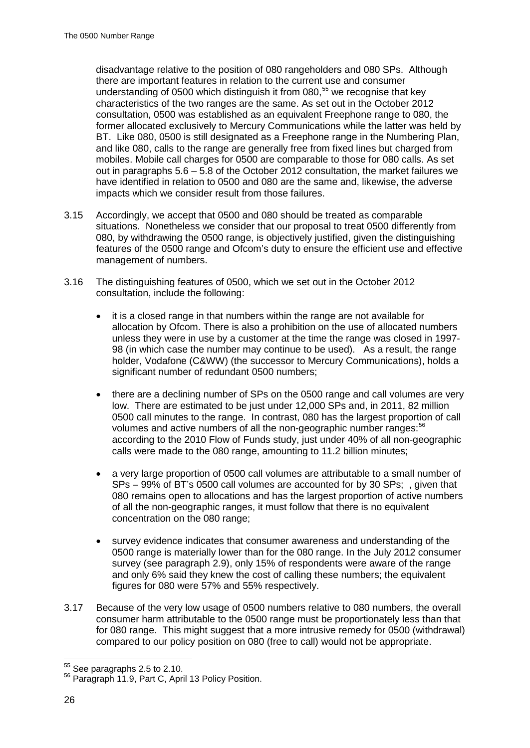disadvantage relative to the position of 080 rangeholders and 080 SPs. Although there are important features in relation to the current use and consumer understanding of 0500 which distinguish it from 080,<sup>[55](#page-26-0)</sup> we recognise that key characteristics of the two ranges are the same. As set out in the October 2012 consultation, 0500 was established as an equivalent Freephone range to 080, the former allocated exclusively to Mercury Communications while the latter was held by BT. Like 080, 0500 is still designated as a Freephone range in the Numbering Plan, and like 080, calls to the range are generally free from fixed lines but charged from mobiles. Mobile call charges for 0500 are comparable to those for 080 calls. As set out in paragraphs 5.6 – 5.8 of the October 2012 consultation, the market failures we have identified in relation to 0500 and 080 are the same and, likewise, the adverse impacts which we consider result from those failures.

- 3.15 Accordingly, we accept that 0500 and 080 should be treated as comparable situations. Nonetheless we consider that our proposal to treat 0500 differently from 080, by withdrawing the 0500 range, is objectively justified, given the distinguishing features of the 0500 range and Ofcom's duty to ensure the efficient use and effective management of numbers.
- 3.16 The distinguishing features of 0500, which we set out in the October 2012 consultation, include the following:
	- it is a closed range in that numbers within the range are not available for allocation by Ofcom. There is also a prohibition on the use of allocated numbers unless they were in use by a customer at the time the range was closed in 1997- 98 (in which case the number may continue to be used). As a result, the range holder, Vodafone (C&WW) (the successor to Mercury Communications), holds a significant number of redundant 0500 numbers;
	- there are a declining number of SPs on the 0500 range and call volumes are very low. There are estimated to be just under 12,000 SPs and, in 2011, 82 million 0500 call minutes to the range. In contrast, 080 has the largest proportion of call volumes and active numbers of all the non-geographic number ranges:<sup>[56](#page-26-1)</sup> according to the 2010 Flow of Funds study, just under 40% of all non-geographic calls were made to the 080 range, amounting to 11.2 billion minutes;
	- a very large proportion of 0500 call volumes are attributable to a small number of SPs – 99% of BT's 0500 call volumes are accounted for by 30 SPs; , given that 080 remains open to allocations and has the largest proportion of active numbers of all the non-geographic ranges, it must follow that there is no equivalent concentration on the 080 range;
	- survev evidence indicates that consumer awareness and understanding of the 0500 range is materially lower than for the 080 range. In the July 2012 consumer survey (see paragraph 2.9), only 15% of respondents were aware of the range and only 6% said they knew the cost of calling these numbers; the equivalent figures for 080 were 57% and 55% respectively.
- 3.17 Because of the very low usage of 0500 numbers relative to 080 numbers, the overall consumer harm attributable to the 0500 range must be proportionately less than that for 080 range. This might suggest that a more intrusive remedy for 0500 (withdrawal) compared to our policy position on 080 (free to call) would not be appropriate.

<span id="page-26-1"></span><span id="page-26-0"></span> $55$  See paragraphs 2.5 to 2.10.<br> $56$  Paragraph 11.9, Part C, April 13 Policy Position.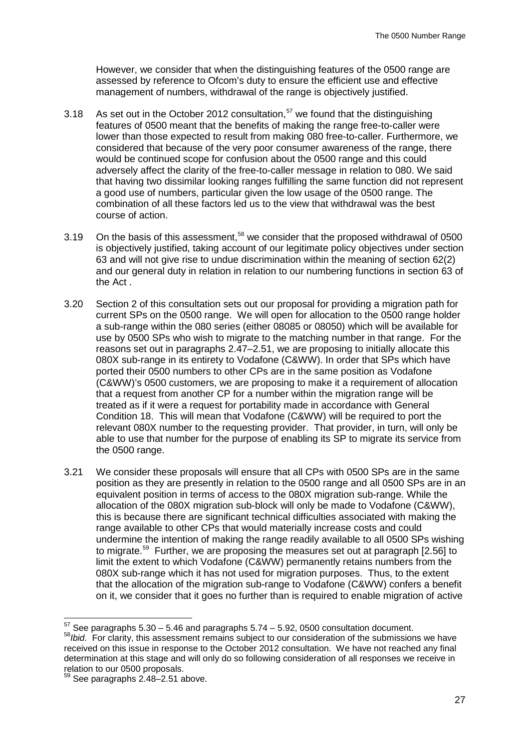However, we consider that when the distinguishing features of the 0500 range are assessed by reference to Ofcom's duty to ensure the efficient use and effective management of numbers, withdrawal of the range is objectively justified.

- 3.18 As set out in the October 2012 consultation,  $57$  we found that the distinguishing features of 0500 meant that the benefits of making the range free-to-caller were lower than those expected to result from making 080 free-to-caller. Furthermore, we considered that because of the very poor consumer awareness of the range, there would be continued scope for confusion about the 0500 range and this could adversely affect the clarity of the free-to-caller message in relation to 080. We said that having two dissimilar looking ranges fulfilling the same function did not represent a good use of numbers, particular given the low usage of the 0500 range. The combination of all these factors led us to the view that withdrawal was the best course of action.
- 3.19 On the basis of this assessment,<sup>[58](#page-27-1)</sup> we consider that the proposed withdrawal of 0500 is objectively justified, taking account of our legitimate policy objectives under section 63 and will not give rise to undue discrimination within the meaning of section 62(2) and our general duty in relation in relation to our numbering functions in section 63 of the Act .
- 3.20 Section 2 of this consultation sets out our proposal for providing a migration path for current SPs on the 0500 range. We will open for allocation to the 0500 range holder a sub-range within the 080 series (either 08085 or 08050) which will be available for use by 0500 SPs who wish to migrate to the matching number in that range. For the reasons set out in paragraphs 2.47–2.51, we are proposing to initially allocate this 080X sub-range in its entirety to Vodafone (C&WW). In order that SPs which have ported their 0500 numbers to other CPs are in the same position as Vodafone (C&WW)'s 0500 customers, we are proposing to make it a requirement of allocation that a request from another CP for a number within the migration range will be treated as if it were a request for portability made in accordance with General Condition 18. This will mean that Vodafone (C&WW) will be required to port the relevant 080X number to the requesting provider. That provider, in turn, will only be able to use that number for the purpose of enabling its SP to migrate its service from the 0500 range.
- 3.21 We consider these proposals will ensure that all CPs with 0500 SPs are in the same position as they are presently in relation to the 0500 range and all 0500 SPs are in an equivalent position in terms of access to the 080X migration sub-range. While the allocation of the 080X migration sub-block will only be made to Vodafone (C&WW), this is because there are significant technical difficulties associated with making the range available to other CPs that would materially increase costs and could undermine the intention of making the range readily available to all 0500 SPs wishing to migrate.<sup>59</sup> Further, we are proposing the measures set out at paragraph [2.56] to limit the extent to which Vodafone (C&WW) permanently retains numbers from the 080X sub-range which it has not used for migration purposes. Thus, to the extent that the allocation of the migration sub-range to Vodafone (C&WW) confers a benefit on it, we consider that it goes no further than is required to enable migration of active

 $57$  See paragraphs  $5.30 - 5.46$  and paragraphs  $5.74 - 5.92$ , 0500 consultation document.

<span id="page-27-1"></span><span id="page-27-0"></span><sup>&</sup>lt;sup>58</sup>*Ibid.* For clarity, this assessment remains subject to our consideration of the submissions we have received on this issue in response to the October 2012 consultation. We have not reached any final determination at this stage and will only do so following consideration of all responses we receive in relation to our 0500 proposals.

<span id="page-27-2"></span>See paragraphs  $2.48 - 2.51$  above.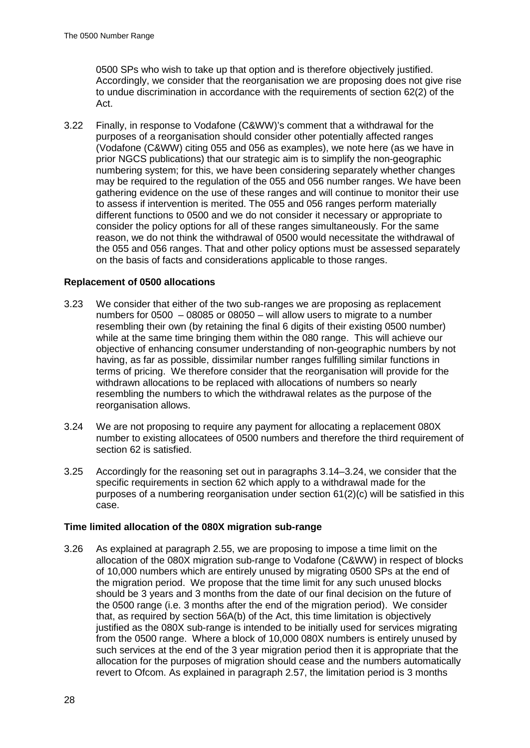0500 SPs who wish to take up that option and is therefore objectively justified. Accordingly, we consider that the reorganisation we are proposing does not give rise to undue discrimination in accordance with the requirements of section 62(2) of the Act.

3.22 Finally, in response to Vodafone (C&WW)'s comment that a withdrawal for the purposes of a reorganisation should consider other potentially affected ranges (Vodafone (C&WW) citing 055 and 056 as examples), we note here (as we have in prior NGCS publications) that our strategic aim is to simplify the non-geographic numbering system; for this, we have been considering separately whether changes may be required to the regulation of the 055 and 056 number ranges. We have been gathering evidence on the use of these ranges and will continue to monitor their use to assess if intervention is merited. The 055 and 056 ranges perform materially different functions to 0500 and we do not consider it necessary or appropriate to consider the policy options for all of these ranges simultaneously. For the same reason, we do not think the withdrawal of 0500 would necessitate the withdrawal of the 055 and 056 ranges. That and other policy options must be assessed separately on the basis of facts and considerations applicable to those ranges.

### **Replacement of 0500 allocations**

- 3.23 We consider that either of the two sub-ranges we are proposing as replacement numbers for 0500 – 08085 or 08050 – will allow users to migrate to a number resembling their own (by retaining the final 6 digits of their existing 0500 number) while at the same time bringing them within the 080 range. This will achieve our objective of enhancing consumer understanding of non-geographic numbers by not having, as far as possible, dissimilar number ranges fulfilling similar functions in terms of pricing. We therefore consider that the reorganisation will provide for the withdrawn allocations to be replaced with allocations of numbers so nearly resembling the numbers to which the withdrawal relates as the purpose of the reorganisation allows.
- 3.24 We are not proposing to require any payment for allocating a replacement 080X number to existing allocatees of 0500 numbers and therefore the third requirement of section 62 is satisfied.
- 3.25 Accordingly for the reasoning set out in paragraphs 3.14–3.24, we consider that the specific requirements in section 62 which apply to a withdrawal made for the purposes of a numbering reorganisation under section 61(2)(c) will be satisfied in this case.

### **Time limited allocation of the 080X migration sub-range**

3.26 As explained at paragraph 2.55, we are proposing to impose a time limit on the allocation of the 080X migration sub-range to Vodafone (C&WW) in respect of blocks of 10,000 numbers which are entirely unused by migrating 0500 SPs at the end of the migration period. We propose that the time limit for any such unused blocks should be 3 years and 3 months from the date of our final decision on the future of the 0500 range (i.e. 3 months after the end of the migration period). We consider that, as required by section 56A(b) of the Act, this time limitation is objectively justified as the 080X sub-range is intended to be initially used for services migrating from the 0500 range. Where a block of 10,000 080X numbers is entirely unused by such services at the end of the 3 year migration period then it is appropriate that the allocation for the purposes of migration should cease and the numbers automatically revert to Ofcom. As explained in paragraph 2.57, the limitation period is 3 months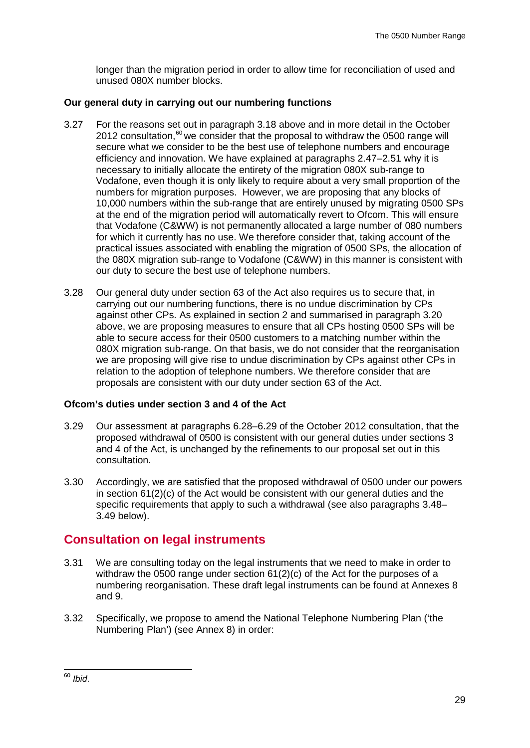longer than the migration period in order to allow time for reconciliation of used and unused 080X number blocks.

### **Our general duty in carrying out our numbering functions**

- 3.27 For the reasons set out in paragraph 3.18 above and in more detail in the October 2012 consultation, $60$  we consider that the proposal to withdraw the 0500 range will secure what we consider to be the best use of telephone numbers and encourage efficiency and innovation. We have explained at paragraphs 2.47–2.51 why it is necessary to initially allocate the entirety of the migration 080X sub-range to Vodafone, even though it is only likely to require about a very small proportion of the numbers for migration purposes. However, we are proposing that any blocks of 10,000 numbers within the sub-range that are entirely unused by migrating 0500 SPs at the end of the migration period will automatically revert to Ofcom. This will ensure that Vodafone (C&WW) is not permanently allocated a large number of 080 numbers for which it currently has no use. We therefore consider that, taking account of the practical issues associated with enabling the migration of 0500 SPs, the allocation of the 080X migration sub-range to Vodafone (C&WW) in this manner is consistent with our duty to secure the best use of telephone numbers.
- 3.28 Our general duty under section 63 of the Act also requires us to secure that, in carrying out our numbering functions, there is no undue discrimination by CPs against other CPs. As explained in section 2 and summarised in paragraph 3.20 above, we are proposing measures to ensure that all CPs hosting 0500 SPs will be able to secure access for their 0500 customers to a matching number within the 080X migration sub-range. On that basis, we do not consider that the reorganisation we are proposing will give rise to undue discrimination by CPs against other CPs in relation to the adoption of telephone numbers. We therefore consider that are proposals are consistent with our duty under section 63 of the Act.

### **Ofcom's duties under section 3 and 4 of the Act**

- 3.29 Our assessment at paragraphs 6.28–6.29 of the October 2012 consultation, that the proposed withdrawal of 0500 is consistent with our general duties under sections 3 and 4 of the Act, is unchanged by the refinements to our proposal set out in this consultation.
- 3.30 Accordingly, we are satisfied that the proposed withdrawal of 0500 under our powers in section 61(2)(c) of the Act would be consistent with our general duties and the specific requirements that apply to such a withdrawal (see also paragraphs 3.48– 3.49 below).

## **Consultation on legal instruments**

- 3.31 We are consulting today on the legal instruments that we need to make in order to withdraw the 0500 range under section 61(2)(c) of the Act for the purposes of a numbering reorganisation. These draft legal instruments can be found at Annexes 8 and 9.
- 3.32 Specifically, we propose to amend the National Telephone Numbering Plan ('the Numbering Plan') (see Annex 8) in order:

<span id="page-29-0"></span> <sup>60</sup> *Ibid*.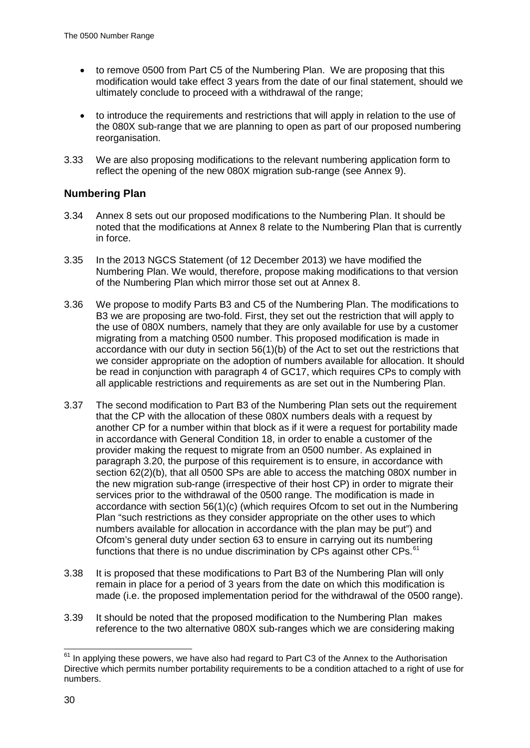- to remove 0500 from Part C5 of the Numbering Plan. We are proposing that this modification would take effect 3 years from the date of our final statement, should we ultimately conclude to proceed with a withdrawal of the range;
- to introduce the requirements and restrictions that will apply in relation to the use of the 080X sub-range that we are planning to open as part of our proposed numbering reorganisation.
- 3.33 We are also proposing modifications to the relevant numbering application form to reflect the opening of the new 080X migration sub-range (see Annex 9).

## **Numbering Plan**

- 3.34 Annex 8 sets out our proposed modifications to the Numbering Plan. It should be noted that the modifications at Annex 8 relate to the Numbering Plan that is currently in force.
- 3.35 In the 2013 NGCS Statement (of 12 December 2013) we have modified the Numbering Plan. We would, therefore, propose making modifications to that version of the Numbering Plan which mirror those set out at Annex 8.
- 3.36 We propose to modify Parts B3 and C5 of the Numbering Plan. The modifications to B3 we are proposing are two-fold. First, they set out the restriction that will apply to the use of 080X numbers, namely that they are only available for use by a customer migrating from a matching 0500 number. This proposed modification is made in accordance with our duty in section 56(1)(b) of the Act to set out the restrictions that we consider appropriate on the adoption of numbers available for allocation. It should be read in conjunction with paragraph 4 of GC17, which requires CPs to comply with all applicable restrictions and requirements as are set out in the Numbering Plan.
- 3.37 The second modification to Part B3 of the Numbering Plan sets out the requirement that the CP with the allocation of these 080X numbers deals with a request by another CP for a number within that block as if it were a request for portability made in accordance with General Condition 18, in order to enable a customer of the provider making the request to migrate from an 0500 number. As explained in paragraph 3.20, the purpose of this requirement is to ensure, in accordance with section 62(2)(b), that all 0500 SPs are able to access the matching 080X number in the new migration sub-range (irrespective of their host CP) in order to migrate their services prior to the withdrawal of the 0500 range. The modification is made in accordance with section 56(1)(c) (which requires Ofcom to set out in the Numbering Plan "such restrictions as they consider appropriate on the other uses to which numbers available for allocation in accordance with the plan may be put") and Ofcom's general duty under section 63 to ensure in carrying out its numbering functions that there is no undue discrimination by CPs against other CPs.<sup>61</sup>
- 3.38 It is proposed that these modifications to Part B3 of the Numbering Plan will only remain in place for a period of 3 years from the date on which this modification is made (i.e. the proposed implementation period for the withdrawal of the 0500 range).
- 3.39 It should be noted that the proposed modification to the Numbering Plan makes reference to the two alternative 080X sub-ranges which we are considering making

<span id="page-30-0"></span> $61$  In applying these powers, we have also had regard to Part C3 of the Annex to the Authorisation Directive which permits number portability requirements to be a condition attached to a right of use for numbers.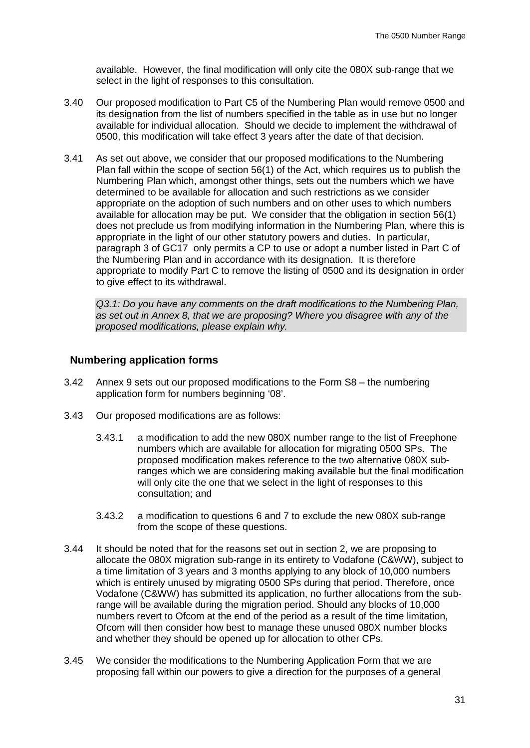available. However, the final modification will only cite the 080X sub-range that we select in the light of responses to this consultation.

- 3.40 Our proposed modification to Part C5 of the Numbering Plan would remove 0500 and its designation from the list of numbers specified in the table as in use but no longer available for individual allocation. Should we decide to implement the withdrawal of 0500, this modification will take effect 3 years after the date of that decision.
- 3.41 As set out above, we consider that our proposed modifications to the Numbering Plan fall within the scope of section 56(1) of the Act, which requires us to publish the Numbering Plan which, amongst other things, sets out the numbers which we have determined to be available for allocation and such restrictions as we consider appropriate on the adoption of such numbers and on other uses to which numbers available for allocation may be put. We consider that the obligation in section 56(1) does not preclude us from modifying information in the Numbering Plan, where this is appropriate in the light of our other statutory powers and duties. In particular, paragraph 3 of GC17 only permits a CP to use or adopt a number listed in Part C of the Numbering Plan and in accordance with its designation. It is therefore appropriate to modify Part C to remove the listing of 0500 and its designation in order to give effect to its withdrawal.

*Q3.1: Do you have any comments on the draft modifications to the Numbering Plan, as set out in Annex 8, that we are proposing? Where you disagree with any of the proposed modifications, please explain why.*

### **Numbering application forms**

- 3.42 Annex 9 sets out our proposed modifications to the Form S8 the numbering application form for numbers beginning '08'.
- 3.43 Our proposed modifications are as follows:
	- 3.43.1 a modification to add the new 080X number range to the list of Freephone numbers which are available for allocation for migrating 0500 SPs. The proposed modification makes reference to the two alternative 080X subranges which we are considering making available but the final modification will only cite the one that we select in the light of responses to this consultation; and
	- 3.43.2 a modification to questions 6 and 7 to exclude the new 080X sub-range from the scope of these questions.
- 3.44 It should be noted that for the reasons set out in section 2, we are proposing to allocate the 080X migration sub-range in its entirety to Vodafone (C&WW), subject to a time limitation of 3 years and 3 months applying to any block of 10,000 numbers which is entirely unused by migrating 0500 SPs during that period. Therefore, once Vodafone (C&WW) has submitted its application, no further allocations from the subrange will be available during the migration period. Should any blocks of 10,000 numbers revert to Ofcom at the end of the period as a result of the time limitation, Ofcom will then consider how best to manage these unused 080X number blocks and whether they should be opened up for allocation to other CPs.
- 3.45 We consider the modifications to the Numbering Application Form that we are proposing fall within our powers to give a direction for the purposes of a general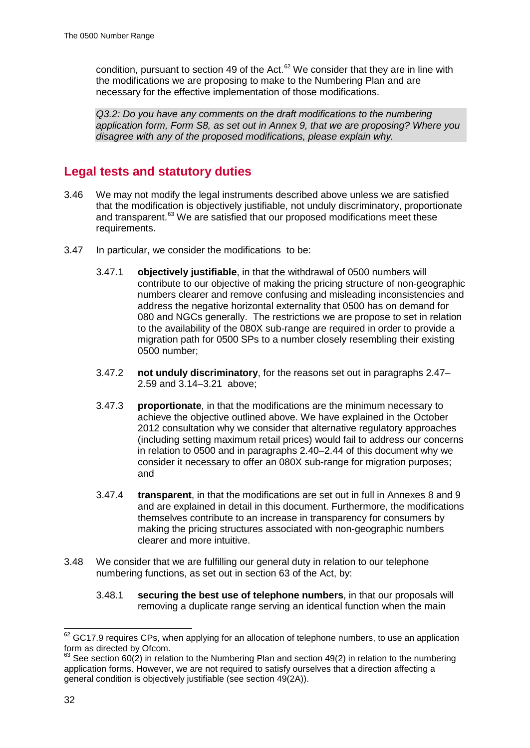condition, pursuant to section 49 of the Act.<sup>[62](#page-32-0)</sup> We consider that they are in line with the modifications we are proposing to make to the Numbering Plan and are necessary for the effective implementation of those modifications.

*Q3.2: Do you have any comments on the draft modifications to the numbering application form, Form S8, as set out in Annex 9, that we are proposing? Where you disagree with any of the proposed modifications, please explain why.* 

## **Legal tests and statutory duties**

- 3.46 We may not modify the legal instruments described above unless we are satisfied that the modification is objectively justifiable, not unduly discriminatory, proportionate and transparent.<sup>[63](#page-32-1)</sup> We are satisfied that our proposed modifications meet these requirements.
- 3.47 In particular, we consider the modifications to be:
	- 3.47.1 **objectively justifiable**, in that the withdrawal of 0500 numbers will contribute to our objective of making the pricing structure of non-geographic numbers clearer and remove confusing and misleading inconsistencies and address the negative horizontal externality that 0500 has on demand for 080 and NGCs generally. The restrictions we are propose to set in relation to the availability of the 080X sub-range are required in order to provide a migration path for 0500 SPs to a number closely resembling their existing 0500 number;
	- 3.47.2 **not unduly discriminatory**, for the reasons set out in paragraphs 2.47– 2.59 and 3.14–3.21 above;
	- 3.47.3 **proportionate**, in that the modifications are the minimum necessary to achieve the objective outlined above. We have explained in the October 2012 consultation why we consider that alternative regulatory approaches (including setting maximum retail prices) would fail to address our concerns in relation to 0500 and in paragraphs 2.40–2.44 of this document why we consider it necessary to offer an 080X sub-range for migration purposes; and
	- 3.47.4 **transparent**, in that the modifications are set out in full in Annexes 8 and 9 and are explained in detail in this document. Furthermore, the modifications themselves contribute to an increase in transparency for consumers by making the pricing structures associated with non-geographic numbers clearer and more intuitive.
- 3.48 We consider that we are fulfilling our general duty in relation to our telephone numbering functions, as set out in section 63 of the Act, by:
	- 3.48.1 **securing the best use of telephone numbers**, in that our proposals will removing a duplicate range serving an identical function when the main

<span id="page-32-0"></span> $62$  GC17.9 requires CPs, when applying for an allocation of telephone numbers, to use an application form as directed by Ofcom.

<span id="page-32-1"></span> $63$  See section 60(2) in relation to the Numbering Plan and section 49(2) in relation to the numbering application forms. However, we are not required to satisfy ourselves that a direction affecting a general condition is objectively justifiable (see section 49(2A)).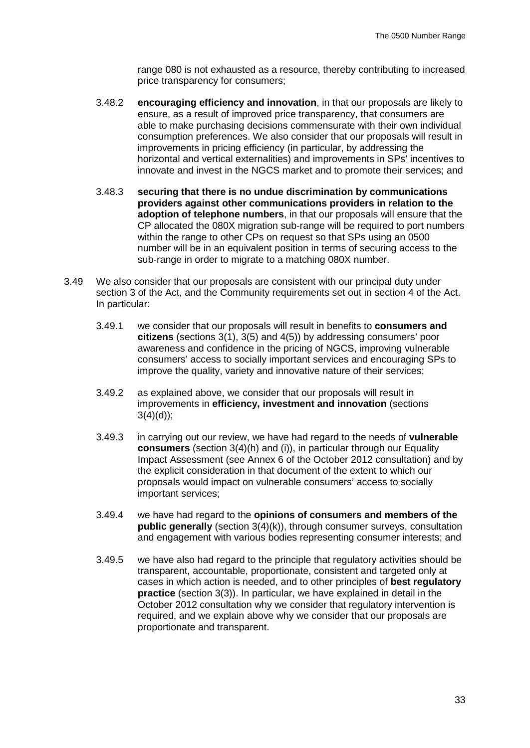range 080 is not exhausted as a resource, thereby contributing to increased price transparency for consumers;

- 3.48.2 **encouraging efficiency and innovation**, in that our proposals are likely to ensure, as a result of improved price transparency, that consumers are able to make purchasing decisions commensurate with their own individual consumption preferences. We also consider that our proposals will result in improvements in pricing efficiency (in particular, by addressing the horizontal and vertical externalities) and improvements in SPs' incentives to innovate and invest in the NGCS market and to promote their services; and
- 3.48.3 **securing that there is no undue discrimination by communications providers against other communications providers in relation to the adoption of telephone numbers**, in that our proposals will ensure that the CP allocated the 080X migration sub-range will be required to port numbers within the range to other CPs on request so that SPs using an 0500 number will be in an equivalent position in terms of securing access to the sub-range in order to migrate to a matching 080X number.
- 3.49 We also consider that our proposals are consistent with our principal duty under section 3 of the Act, and the Community requirements set out in section 4 of the Act. In particular:
	- 3.49.1 we consider that our proposals will result in benefits to **consumers and citizens** (sections 3(1), 3(5) and 4(5)) by addressing consumers' poor awareness and confidence in the pricing of NGCS, improving vulnerable consumers' access to socially important services and encouraging SPs to improve the quality, variety and innovative nature of their services;
	- 3.49.2 as explained above, we consider that our proposals will result in improvements in **efficiency, investment and innovation** (sections  $3(4)(d)$ ;
	- 3.49.3 in carrying out our review, we have had regard to the needs of **vulnerable consumers** (section 3(4)(h) and (i)), in particular through our Equality Impact Assessment (see Annex 6 of the October 2012 consultation) and by the explicit consideration in that document of the extent to which our proposals would impact on vulnerable consumers' access to socially important services;
	- 3.49.4 we have had regard to the **opinions of consumers and members of the public generally** (section 3(4)(k)), through consumer surveys, consultation and engagement with various bodies representing consumer interests; and
	- 3.49.5 we have also had regard to the principle that regulatory activities should be transparent, accountable, proportionate, consistent and targeted only at cases in which action is needed, and to other principles of **best regulatory practice** (section 3(3)). In particular, we have explained in detail in the October 2012 consultation why we consider that regulatory intervention is required, and we explain above why we consider that our proposals are proportionate and transparent.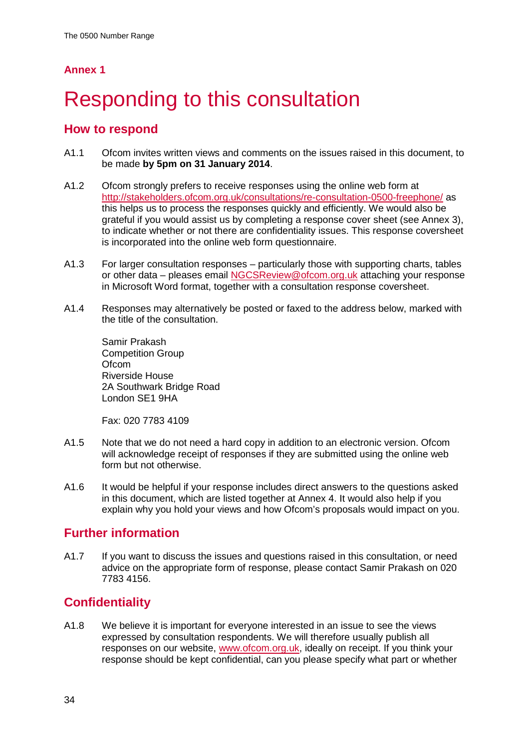# <span id="page-34-0"></span>Responding to this consultation

## **How to respond**

- A1.1 Ofcom invites written views and comments on the issues raised in this document, to be made **by 5pm on 31 January 2014**.
- A1.2 Ofcom strongly prefers to receive responses using the online web form at <http://stakeholders.ofcom.org.uk/consultations/re-consultation-0500-freephone/> as this helps us to process the responses quickly and efficiently. We would also be grateful if you would assist us by completing a response cover sheet (see Annex 3), to indicate whether or not there are confidentiality issues. This response coversheet is incorporated into the online web form questionnaire.
- A1.3 For larger consultation responses particularly those with supporting charts, tables or other data – pleases email [NGCSReview@ofcom.org.uk](mailto:NGCSReview@ofcom.org.uks) attaching your response in Microsoft Word format, together with a consultation response coversheet.
- A1.4 Responses may alternatively be posted or faxed to the address below, marked with the title of the consultation.

Samir Prakash Competition Group **Ofcom** Riverside House 2A Southwark Bridge Road London SE1 9HA

Fax: 020 7783 4109

- A1.5 Note that we do not need a hard copy in addition to an electronic version. Ofcom will acknowledge receipt of responses if they are submitted using the online web form but not otherwise.
- A1.6 It would be helpful if your response includes direct answers to the questions asked in this document, which are listed together at Annex 4. It would also help if you explain why you hold your views and how Ofcom's proposals would impact on you.

## **Further information**

A1.7 If you want to discuss the issues and questions raised in this consultation, or need advice on the appropriate form of response, please contact Samir Prakash on 020 7783 4156.

## **Confidentiality**

A1.8 We believe it is important for everyone interested in an issue to see the views expressed by consultation respondents. We will therefore usually publish all responses on our website, [www.ofcom.org.uk,](http://www.ofcom.org.uk/) ideally on receipt. If you think your response should be kept confidential, can you please specify what part or whether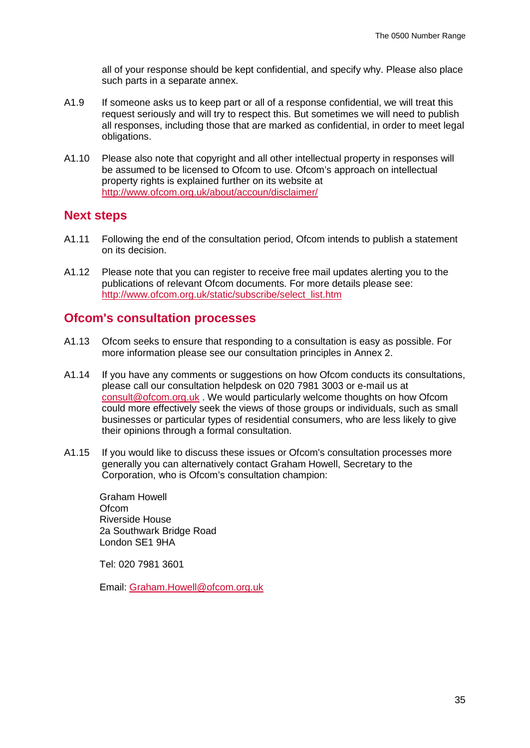all of your response should be kept confidential, and specify why. Please also place such parts in a separate annex.

- A1.9 If someone asks us to keep part or all of a response confidential, we will treat this request seriously and will try to respect this. But sometimes we will need to publish all responses, including those that are marked as confidential, in order to meet legal obligations.
- A1.10 Please also note that copyright and all other intellectual property in responses will be assumed to be licensed to Ofcom to use. Ofcom's approach on intellectual property rights is explained further on its website at <http://www.ofcom.org.uk/about/accoun/disclaimer/>

## **Next steps**

- A1.11 Following the end of the consultation period, Ofcom intends to publish a statement on its decision.
- A1.12 Please note that you can register to receive free mail updates alerting you to the publications of relevant Ofcom documents. For more details please see: [http://www.ofcom.org.uk/static/subscribe/select\\_list.htm](http://www.ofcom.org.uk/static/subscribe/select_list.htm)

## **Ofcom's consultation processes**

- A1.13 Ofcom seeks to ensure that responding to a consultation is easy as possible. For more information please see our consultation principles in Annex 2.
- A1.14 If you have any comments or suggestions on how Ofcom conducts its consultations, please call our consultation helpdesk on 020 7981 3003 or e-mail us at [consult@ofcom.org.uk](mailto:consult@ofcom.org.uk) . We would particularly welcome thoughts on how Ofcom could more effectively seek the views of those groups or individuals, such as small businesses or particular types of residential consumers, who are less likely to give their opinions through a formal consultation.
- A1.15 If you would like to discuss these issues or Ofcom's consultation processes more generally you can alternatively contact Graham Howell, Secretary to the Corporation, who is Ofcom's consultation champion:

Graham Howell **Ofcom** Riverside House 2a Southwark Bridge Road London SE1 9HA

Tel: 020 7981 3601

Email: [Graham.Howell@ofcom.org.uk](mailto:Graham.Howell@ofcom.org.uk)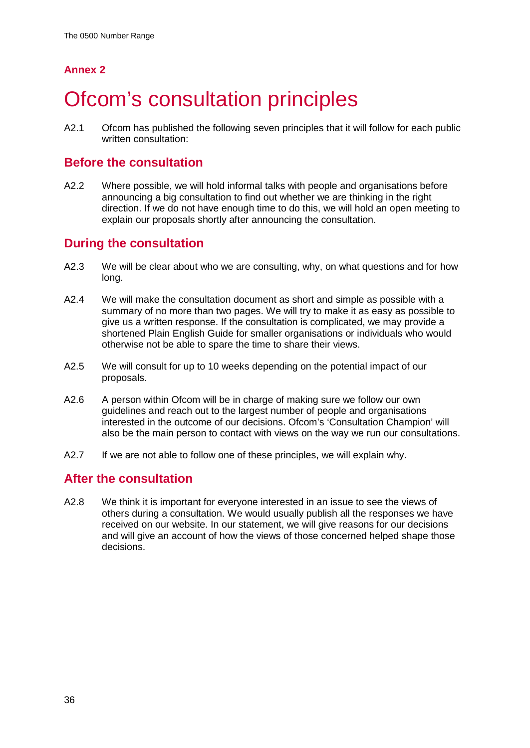# <span id="page-36-0"></span>**Ofcom's consultation principles**

A2.1 Ofcom has published the following seven principles that it will follow for each public written consultation:

## **Before the consultation**

A2.2 Where possible, we will hold informal talks with people and organisations before announcing a big consultation to find out whether we are thinking in the right direction. If we do not have enough time to do this, we will hold an open meeting to explain our proposals shortly after announcing the consultation.

## **During the consultation**

- A2.3 We will be clear about who we are consulting, why, on what questions and for how long.
- A2.4 We will make the consultation document as short and simple as possible with a summary of no more than two pages. We will try to make it as easy as possible to give us a written response. If the consultation is complicated, we may provide a shortened Plain English Guide for smaller organisations or individuals who would otherwise not be able to spare the time to share their views.
- A2.5 We will consult for up to 10 weeks depending on the potential impact of our proposals.
- A2.6 A person within Ofcom will be in charge of making sure we follow our own guidelines and reach out to the largest number of people and organisations interested in the outcome of our decisions. Ofcom's 'Consultation Champion' will also be the main person to contact with views on the way we run our consultations.
- A2.7 If we are not able to follow one of these principles, we will explain why.

## **After the consultation**

A2.8 We think it is important for everyone interested in an issue to see the views of others during a consultation. We would usually publish all the responses we have received on our website. In our statement, we will give reasons for our decisions and will give an account of how the views of those concerned helped shape those decisions.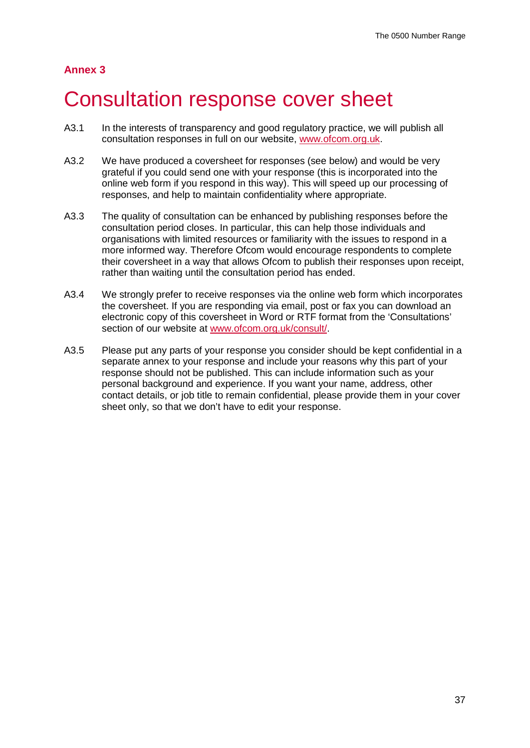## <span id="page-37-0"></span>3 Consultation response cover sheet

- A3.1 In the interests of transparency and good regulatory practice, we will publish all consultation responses in full on our website, [www.ofcom.org.uk.](http://www.ofcom.org.uk/)
- A3.2 We have produced a coversheet for responses (see below) and would be very grateful if you could send one with your response (this is incorporated into the online web form if you respond in this way). This will speed up our processing of responses, and help to maintain confidentiality where appropriate.
- A3.3 The quality of consultation can be enhanced by publishing responses before the consultation period closes. In particular, this can help those individuals and organisations with limited resources or familiarity with the issues to respond in a more informed way. Therefore Ofcom would encourage respondents to complete their coversheet in a way that allows Ofcom to publish their responses upon receipt, rather than waiting until the consultation period has ended.
- A3.4 We strongly prefer to receive responses via the online web form which incorporates the coversheet. If you are responding via email, post or fax you can download an electronic copy of this coversheet in Word or RTF format from the 'Consultations' section of our website at [www.ofcom.org.uk/consult/.](http://www.ofcom.org.uk/consult/)
- A3.5 Please put any parts of your response you consider should be kept confidential in a separate annex to your response and include your reasons why this part of your response should not be published. This can include information such as your personal background and experience. If you want your name, address, other contact details, or job title to remain confidential, please provide them in your cover sheet only, so that we don't have to edit your response.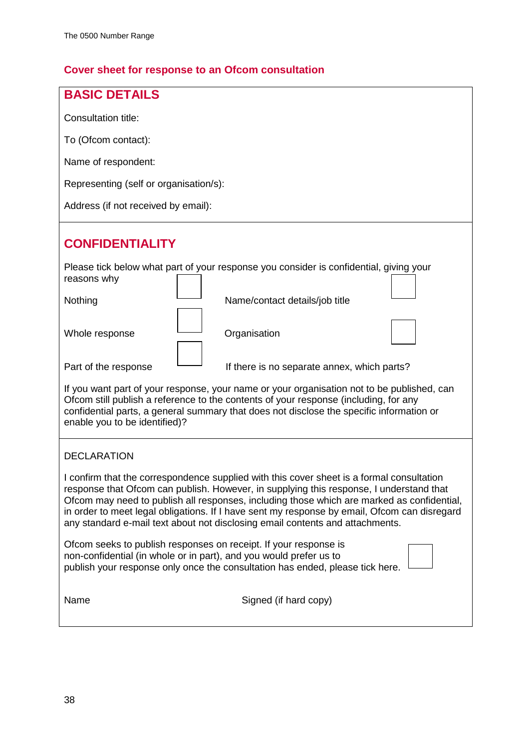## **Cover sheet for response to an Ofcom consultation**

| <b>BASIC DETAILS</b>                                                                                                                                                                                                                                                                                                                                                                                                                                                |  |  |  |  |  |  |  |  |
|---------------------------------------------------------------------------------------------------------------------------------------------------------------------------------------------------------------------------------------------------------------------------------------------------------------------------------------------------------------------------------------------------------------------------------------------------------------------|--|--|--|--|--|--|--|--|
| Consultation title:                                                                                                                                                                                                                                                                                                                                                                                                                                                 |  |  |  |  |  |  |  |  |
| To (Ofcom contact):                                                                                                                                                                                                                                                                                                                                                                                                                                                 |  |  |  |  |  |  |  |  |
| Name of respondent:                                                                                                                                                                                                                                                                                                                                                                                                                                                 |  |  |  |  |  |  |  |  |
| Representing (self or organisation/s):                                                                                                                                                                                                                                                                                                                                                                                                                              |  |  |  |  |  |  |  |  |
| Address (if not received by email):                                                                                                                                                                                                                                                                                                                                                                                                                                 |  |  |  |  |  |  |  |  |
| <b>CONFIDENTIALITY</b>                                                                                                                                                                                                                                                                                                                                                                                                                                              |  |  |  |  |  |  |  |  |
| Please tick below what part of your response you consider is confidential, giving your<br>reasons why                                                                                                                                                                                                                                                                                                                                                               |  |  |  |  |  |  |  |  |
| Nothing<br>Name/contact details/job title                                                                                                                                                                                                                                                                                                                                                                                                                           |  |  |  |  |  |  |  |  |
| Whole response<br>Organisation                                                                                                                                                                                                                                                                                                                                                                                                                                      |  |  |  |  |  |  |  |  |
| Part of the response<br>If there is no separate annex, which parts?                                                                                                                                                                                                                                                                                                                                                                                                 |  |  |  |  |  |  |  |  |
| If you want part of your response, your name or your organisation not to be published, can<br>Ofcom still publish a reference to the contents of your response (including, for any<br>confidential parts, a general summary that does not disclose the specific information or<br>enable you to be identified)?                                                                                                                                                     |  |  |  |  |  |  |  |  |
| <b>DECLARATION</b>                                                                                                                                                                                                                                                                                                                                                                                                                                                  |  |  |  |  |  |  |  |  |
| I confirm that the correspondence supplied with this cover sheet is a formal consultation<br>response that Ofcom can publish. However, in supplying this response, I understand that<br>Ofcom may need to publish all responses, including those which are marked as confidential,<br>in order to meet legal obligations. If I have sent my response by email, Ofcom can disregard<br>any standard e-mail text about not disclosing email contents and attachments. |  |  |  |  |  |  |  |  |
| Ofcom seeks to publish responses on receipt. If your response is<br>non-confidential (in whole or in part), and you would prefer us to<br>publish your response only once the consultation has ended, please tick here.                                                                                                                                                                                                                                             |  |  |  |  |  |  |  |  |
| Signed (if hard copy)<br>Name                                                                                                                                                                                                                                                                                                                                                                                                                                       |  |  |  |  |  |  |  |  |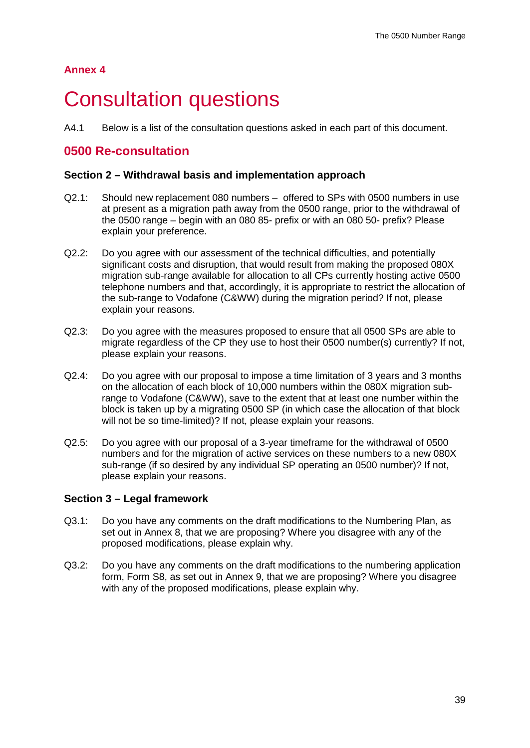## <span id="page-39-0"></span>**Consultation questions**

A4.1 Below is a list of the consultation questions asked in each part of this document.

## **0500 Re-consultation**

### **Section 2 – Withdrawal basis and implementation approach**

- Q2.1: Should new replacement 080 numbers offered to SPs with 0500 numbers in use at present as a migration path away from the 0500 range, prior to the withdrawal of the 0500 range – begin with an 080 85- prefix or with an 080 50- prefix? Please explain your preference.
- Q2.2: Do you agree with our assessment of the technical difficulties, and potentially significant costs and disruption, that would result from making the proposed 080X migration sub-range available for allocation to all CPs currently hosting active 0500 telephone numbers and that, accordingly, it is appropriate to restrict the allocation of the sub-range to Vodafone (C&WW) during the migration period? If not, please explain your reasons.
- Q2.3: Do you agree with the measures proposed to ensure that all 0500 SPs are able to migrate regardless of the CP they use to host their 0500 number(s) currently? If not, please explain your reasons.
- Q2.4: Do you agree with our proposal to impose a time limitation of 3 years and 3 months on the allocation of each block of 10,000 numbers within the 080X migration subrange to Vodafone (C&WW), save to the extent that at least one number within the block is taken up by a migrating 0500 SP (in which case the allocation of that block will not be so time-limited)? If not, please explain your reasons.
- Q2.5: Do you agree with our proposal of a 3-year timeframe for the withdrawal of 0500 numbers and for the migration of active services on these numbers to a new 080X sub-range (if so desired by any individual SP operating an 0500 number)? If not, please explain your reasons.

## **Section 3 – Legal framework**

- Q3.1: Do you have any comments on the draft modifications to the Numbering Plan, as set out in Annex 8, that we are proposing? Where you disagree with any of the proposed modifications, please explain why.
- Q3.2: Do you have any comments on the draft modifications to the numbering application form, Form S8, as set out in Annex 9, that we are proposing? Where you disagree with any of the proposed modifications, please explain why.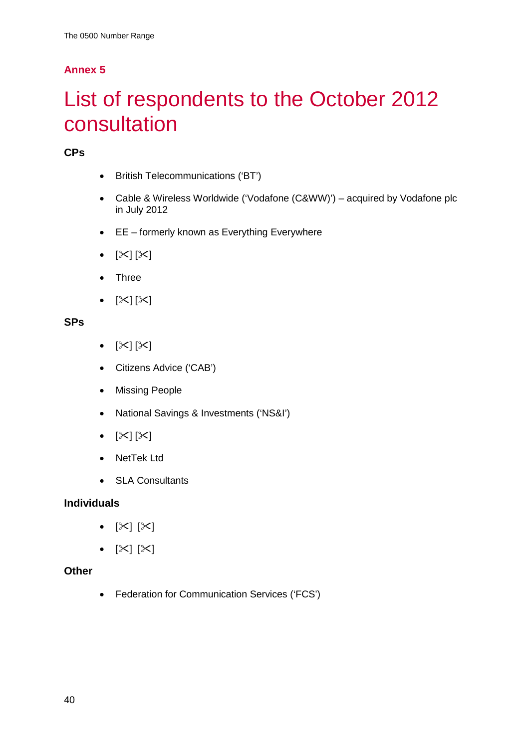# <span id="page-40-0"></span>5 List of respondents to the October 2012 consultation

## **CPs**

- British Telecommunications ('BT')
- Cable & Wireless Worldwide ('Vodafone (C&WW)') acquired by Vodafone plc in July 2012
- EE formerly known as Everything Everywhere
- $[\times] [\times]$
- Three
- $[\times] [\times]$

## **SPs**

- $[\mathbb{X}][\mathbb{X}]$
- Citizens Advice ('CAB')
- Missing People
- National Savings & Investments ('NS&I')
- $[\times] [\times]$
- NetTek Ltd
- SLA Consultants

## **Individuals**

- $[\mathbb{X}]$   $[\mathbb{X}]$
- $[\mathbb{X}] [\mathbb{X}]$

## **Other**

• Federation for Communication Services ('FCS')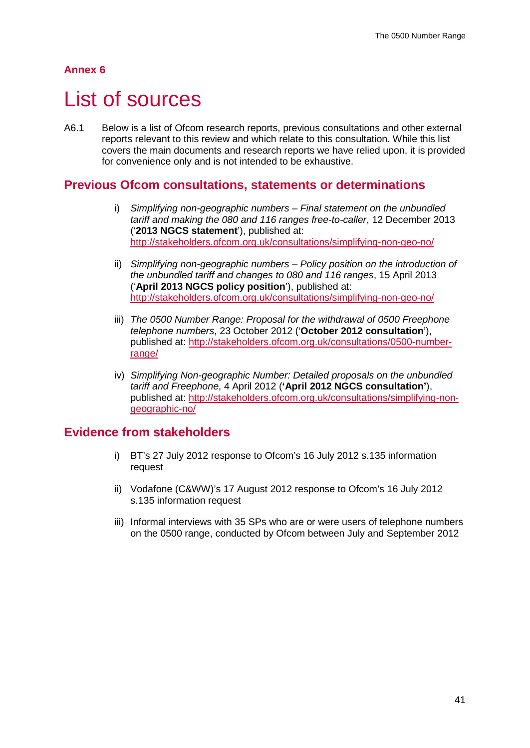## <span id="page-41-0"></span>List of sources

A6.1 Below is a list of Ofcom research reports, previous consultations and other external reports relevant to this review and which relate to this consultation. While this list covers the main documents and research reports we have relied upon, it is provided for convenience only and is not intended to be exhaustive.

## **Previous Ofcom consultations, statements or determinations**

- i) *Simplifying non-geographic numbers – Final statement on the unbundled tariff and making the 080 and 116 ranges free-to-caller*, 12 December 2013 ('**2013 NGCS statement**'), published at: <http://stakeholders.ofcom.org.uk/consultations/simplifying-non-geo-no/>
- ii) *Simplifying non-geographic numbers – Policy position on the introduction of the unbundled tariff and changes to 080 and 116 ranges*, 15 April 2013 ('**April 2013 NGCS policy position**'), published at: <http://stakeholders.ofcom.org.uk/consultations/simplifying-non-geo-no/>
- iii) *The 0500 Number Range: Proposal for the withdrawal of 0500 Freephone telephone numbers*, 23 October 2012 ('**October 2012 consultation**'), published at: [http://stakeholders.ofcom.org.uk/consultations/0500-number](http://stakeholders.ofcom.org.uk/consultations/0500-number-range/)[range/](http://stakeholders.ofcom.org.uk/consultations/0500-number-range/)
- iv) *Simplifying Non-geographic Number: Detailed proposals on the unbundled tariff and Freephone*, 4 April 2012 (**'April 2012 NGCS consultation'**), published at: [http://stakeholders.ofcom.org.uk/consultations/simplifying-non](http://stakeholders.ofcom.org.uk/consultations/simplifying-non-geographic-no/)[geographic-no/](http://stakeholders.ofcom.org.uk/consultations/simplifying-non-geographic-no/)

## **Evidence from stakeholders**

- i) BT's 27 July 2012 response to Ofcom's 16 July 2012 s.135 information request
- ii) Vodafone (C&WW)'s 17 August 2012 response to Ofcom's 16 July 2012 s.135 information request
- iii) Informal interviews with 35 SPs who are or were users of telephone numbers on the 0500 range, conducted by Ofcom between July and September 2012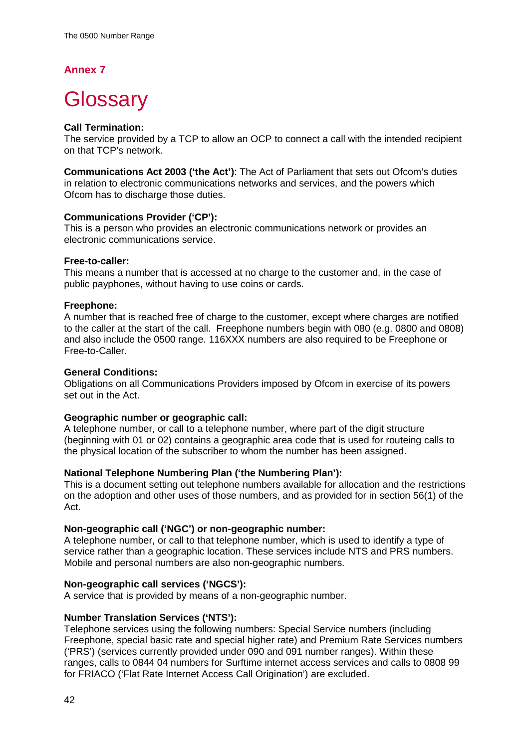# <span id="page-42-0"></span>**Glossary**

### **Call Termination:**

The service provided by a TCP to allow an OCP to connect a call with the intended recipient on that TCP's network.

**Communications Act 2003 ('the Act')**: The Act of Parliament that sets out Ofcom's duties in relation to electronic communications networks and services, and the powers which Ofcom has to discharge those duties.

### **Communications Provider ('CP'):**

This is a person who provides an electronic communications network or provides an electronic communications service.

#### **Free-to-caller:**

This means a number that is accessed at no charge to the customer and, in the case of public payphones, without having to use coins or cards.

#### **Freephone:**

A number that is reached free of charge to the customer, except where charges are notified to the caller at the start of the call. Freephone numbers begin with 080 (e.g. 0800 and 0808) and also include the 0500 range. 116XXX numbers are also required to be Freephone or Free-to-Caller.

### **General Conditions:**

Obligations on all Communications Providers imposed by Ofcom in exercise of its powers set out in the Act.

### **Geographic number or geographic call:**

A telephone number, or call to a telephone number, where part of the digit structure (beginning with 01 or 02) contains a geographic area code that is used for routeing calls to the physical location of the subscriber to whom the number has been assigned.

### **National Telephone Numbering Plan ('the Numbering Plan'):**

This is a document setting out telephone numbers available for allocation and the restrictions on the adoption and other uses of those numbers, and as provided for in section 56(1) of the Act.

### **Non-geographic call ('NGC') or non-geographic number:**

A telephone number, or call to that telephone number, which is used to identify a type of service rather than a geographic location. These services include NTS and PRS numbers. Mobile and personal numbers are also non-geographic numbers.

### **Non-geographic call services ('NGCS'):**

A service that is provided by means of a non-geographic number.

### **Number Translation Services ('NTS'):**

Telephone services using the following numbers: Special Service numbers (including Freephone, special basic rate and special higher rate) and Premium Rate Services numbers ('PRS') (services currently provided under 090 and 091 number ranges). Within these ranges, calls to 0844 04 numbers for Surftime internet access services and calls to 0808 99 for FRIACO ('Flat Rate Internet Access Call Origination') are excluded.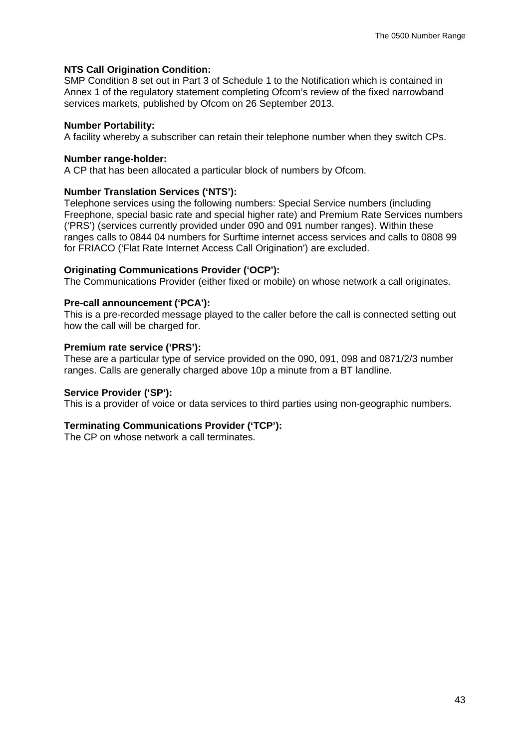#### **NTS Call Origination Condition:**

SMP Condition 8 set out in Part 3 of Schedule 1 to the Notification which is contained in Annex 1 of the regulatory statement completing Ofcom's review of the fixed narrowband services markets, published by Ofcom on 26 September 2013.

#### **Number Portability:**

A facility whereby a subscriber can retain their telephone number when they switch CPs.

#### **Number range-holder:**

A CP that has been allocated a particular block of numbers by Ofcom.

#### **Number Translation Services ('NTS'):**

Telephone services using the following numbers: Special Service numbers (including Freephone, special basic rate and special higher rate) and Premium Rate Services numbers ('PRS') (services currently provided under 090 and 091 number ranges). Within these ranges calls to 0844 04 numbers for Surftime internet access services and calls to 0808 99 for FRIACO ('Flat Rate Internet Access Call Origination') are excluded.

#### **Originating Communications Provider ('OCP'):**

The Communications Provider (either fixed or mobile) on whose network a call originates.

#### **Pre-call announcement ('PCA'):**

This is a pre-recorded message played to the caller before the call is connected setting out how the call will be charged for.

#### **Premium rate service ('PRS'):**

These are a particular type of service provided on the 090, 091, 098 and 0871/2/3 number ranges. Calls are generally charged above 10p a minute from a BT landline.

#### **Service Provider ('SP'):**

This is a provider of voice or data services to third parties using non-geographic numbers.

### **Terminating Communications Provider ('TCP'):**

The CP on whose network a call terminates.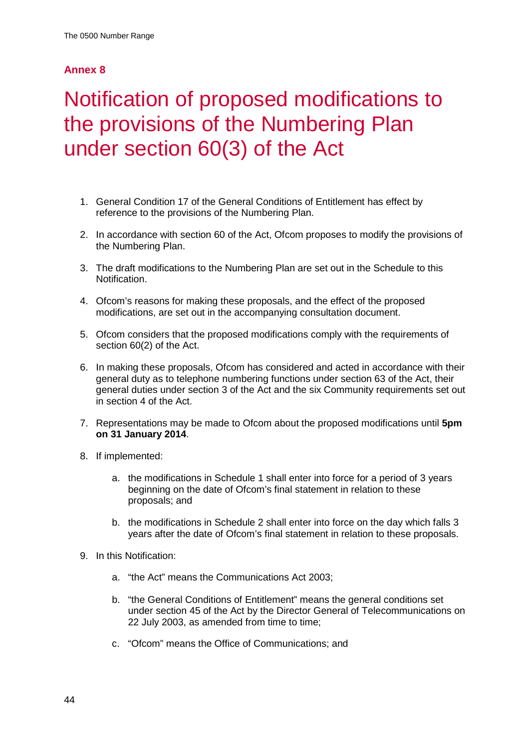# <span id="page-44-0"></span>Notification of proposed modifications to the provisions of the Numbering Plan under section 60(3) of the Act

- 1. General Condition 17 of the General Conditions of Entitlement has effect by reference to the provisions of the Numbering Plan.
- 2. In accordance with section 60 of the Act, Ofcom proposes to modify the provisions of the Numbering Plan.
- 3. The draft modifications to the Numbering Plan are set out in the Schedule to this Notification.
- 4. Ofcom's reasons for making these proposals, and the effect of the proposed modifications, are set out in the accompanying consultation document.
- 5. Ofcom considers that the proposed modifications comply with the requirements of section 60(2) of the Act.
- 6. In making these proposals, Ofcom has considered and acted in accordance with their general duty as to telephone numbering functions under section 63 of the Act, their general duties under section 3 of the Act and the six Community requirements set out in section 4 of the Act.
- 7. Representations may be made to Ofcom about the proposed modifications until **5pm on 31 January 2014**.
- 8. If implemented:
	- a. the modifications in Schedule 1 shall enter into force for a period of 3 years beginning on the date of Ofcom's final statement in relation to these proposals; and
	- b. the modifications in Schedule 2 shall enter into force on the day which falls 3 years after the date of Ofcom's final statement in relation to these proposals.
- 9. In this Notification:
	- a. "the Act" means the Communications Act 2003;
	- b. "the General Conditions of Entitlement" means the general conditions set under section 45 of the Act by the Director General of Telecommunications on 22 July 2003, as amended from time to time;
	- c. "Ofcom" means the Office of Communications; and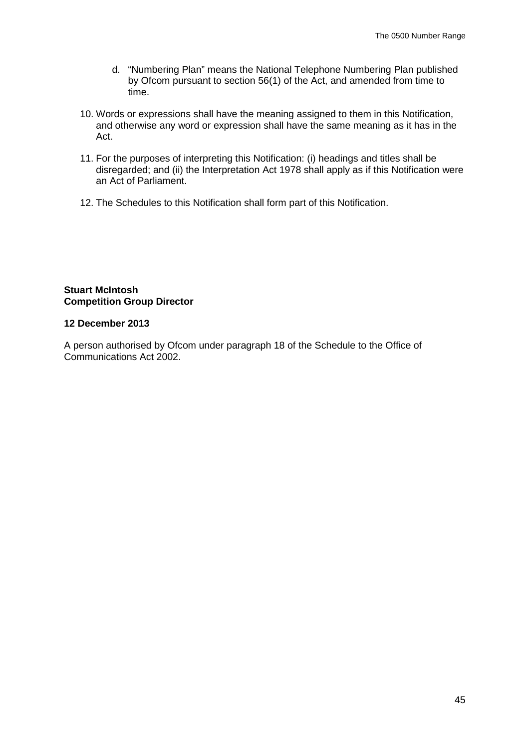- d. "Numbering Plan" means the National Telephone Numbering Plan published by Ofcom pursuant to section 56(1) of the Act, and amended from time to time.
- 10. Words or expressions shall have the meaning assigned to them in this Notification, and otherwise any word or expression shall have the same meaning as it has in the Act.
- 11. For the purposes of interpreting this Notification: (i) headings and titles shall be disregarded; and (ii) the Interpretation Act 1978 shall apply as if this Notification were an Act of Parliament.
- 12. The Schedules to this Notification shall form part of this Notification.

#### **Stuart McIntosh Competition Group Director**

#### **12 December 2013**

A person authorised by Ofcom under paragraph 18 of the Schedule to the Office of Communications Act 2002.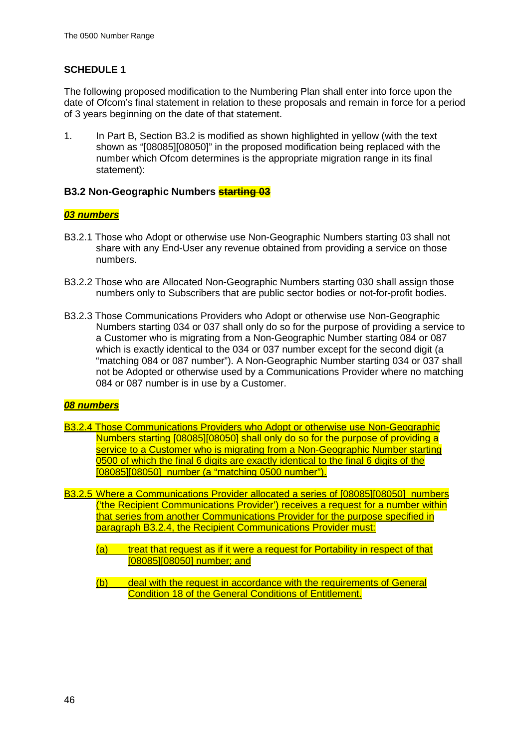## **SCHEDULE 1**

The following proposed modification to the Numbering Plan shall enter into force upon the date of Ofcom's final statement in relation to these proposals and remain in force for a period of 3 years beginning on the date of that statement.

1. In Part B, Section B3.2 is modified as shown highlighted in yellow (with the text shown as "[08085][08050]" in the proposed modification being replaced with the number which Ofcom determines is the appropriate migration range in its final statement):

### **B3.2 Non-Geographic Numbers starting 03**

### *03 numbers*

- B3.2.1 Those who Adopt or otherwise use Non-Geographic Numbers starting 03 shall not share with any End-User any revenue obtained from providing a service on those numbers.
- B3.2.2 Those who are Allocated Non-Geographic Numbers starting 030 shall assign those numbers only to Subscribers that are public sector bodies or not-for-profit bodies.
- B3.2.3 Those Communications Providers who Adopt or otherwise use Non-Geographic Numbers starting 034 or 037 shall only do so for the purpose of providing a service to a Customer who is migrating from a Non-Geographic Number starting 084 or 087 which is exactly identical to the 034 or 037 number except for the second digit (a "matching 084 or 087 number"). A Non-Geographic Number starting 034 or 037 shall not be Adopted or otherwise used by a Communications Provider where no matching 084 or 087 number is in use by a Customer.

### *08 numbers*

- B3.2.4 Those Communications Providers who Adopt or otherwise use Non-Geographic Numbers starting [08085][08050] shall only do so for the purpose of providing a service to a Customer who is migrating from a Non-Geographic Number starting 0500 of which the final 6 digits are exactly identical to the final 6 digits of the [08085][08050] number (a "matching 0500 number").
- B3.2.5 Where a Communications Provider allocated a series of [08085][08050] numbers ('the Recipient Communications Provider') receives a request for a number within that series from another Communications Provider for the purpose specified in paragraph B3.2.4, the Recipient Communications Provider must:
	- (a) treat that request as if it were a request for Portability in respect of that [08085][08050] number; and
	- (b) deal with the request in accordance with the requirements of General Condition 18 of the General Conditions of Entitlement.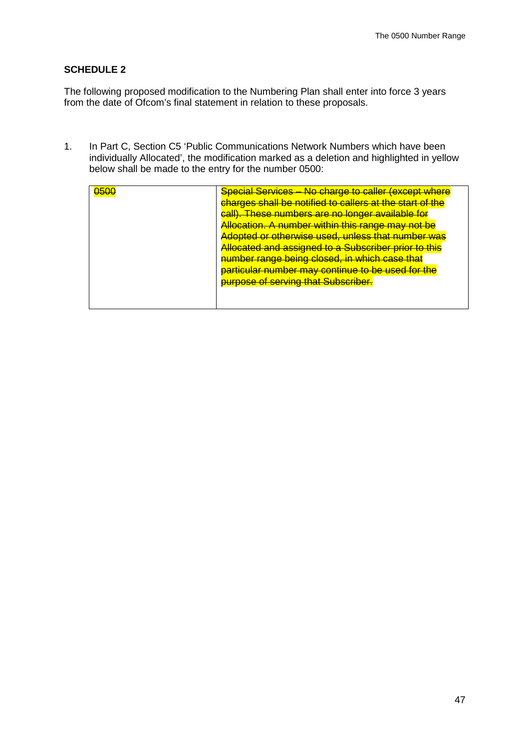### **SCHEDULE 2**

The following proposed modification to the Numbering Plan shall enter into force 3 years from the date of Ofcom's final statement in relation to these proposals.

1. In Part C, Section C5 'Public Communications Network Numbers which have been individually Allocated', the modification marked as a deletion and highlighted in yellow below shall be made to the entry for the number 0500:

| 0500 | <b>Special Services – No charge to caller (except where</b><br>charges shall be notified to callers at the start of<br><u>These numbers are no longer available for</u><br><u>call)</u><br>Allocation. A number within this range may not be<br><del>Adopted or otherwise used, unless that number was</del><br>Allocated and assigned to a Subscriber prior to this<br>number range being closed, in which case that<br>particular number may continue to be used for the<br>purpose of serving that Subscriber. |
|------|-------------------------------------------------------------------------------------------------------------------------------------------------------------------------------------------------------------------------------------------------------------------------------------------------------------------------------------------------------------------------------------------------------------------------------------------------------------------------------------------------------------------|
|      |                                                                                                                                                                                                                                                                                                                                                                                                                                                                                                                   |
|      |                                                                                                                                                                                                                                                                                                                                                                                                                                                                                                                   |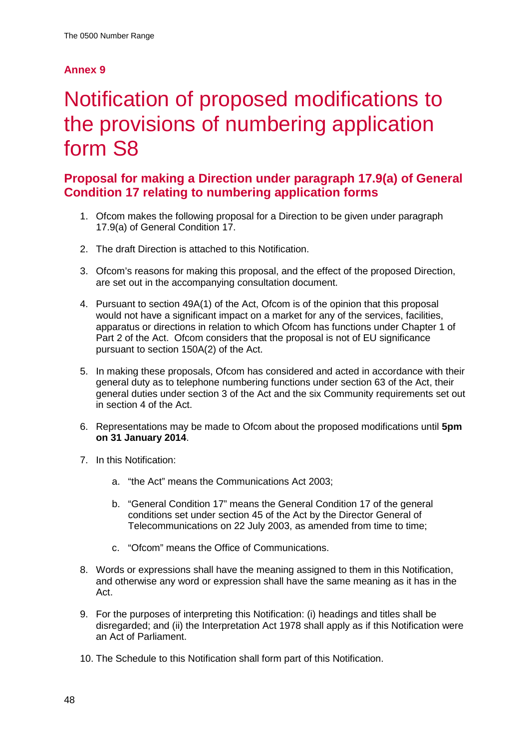# <span id="page-48-0"></span>Notification of proposed modifications to the provisions of numbering application form S8

## **Proposal for making a Direction under paragraph 17.9(a) of General Condition 17 relating to numbering application forms**

- 1. Ofcom makes the following proposal for a Direction to be given under paragraph 17.9(a) of General Condition 17.
- 2. The draft Direction is attached to this Notification.
- 3. Ofcom's reasons for making this proposal, and the effect of the proposed Direction, are set out in the accompanying consultation document.
- 4. Pursuant to section 49A(1) of the Act, Ofcom is of the opinion that this proposal would not have a significant impact on a market for any of the services, facilities, apparatus or directions in relation to which Ofcom has functions under Chapter 1 of Part 2 of the Act. Ofcom considers that the proposal is not of EU significance pursuant to section 150A(2) of the Act.
- 5. In making these proposals, Ofcom has considered and acted in accordance with their general duty as to telephone numbering functions under section 63 of the Act, their general duties under section 3 of the Act and the six Community requirements set out in section 4 of the Act.
- 6. Representations may be made to Ofcom about the proposed modifications until **5pm on 31 January 2014**.
- 7. In this Notification:
	- a. "the Act" means the Communications Act 2003;
	- b. "General Condition 17" means the General Condition 17 of the general conditions set under section 45 of the Act by the Director General of Telecommunications on 22 July 2003, as amended from time to time;
	- c. "Ofcom" means the Office of Communications.
- 8. Words or expressions shall have the meaning assigned to them in this Notification, and otherwise any word or expression shall have the same meaning as it has in the Act.
- 9. For the purposes of interpreting this Notification: (i) headings and titles shall be disregarded; and (ii) the Interpretation Act 1978 shall apply as if this Notification were an Act of Parliament.
- 10. The Schedule to this Notification shall form part of this Notification.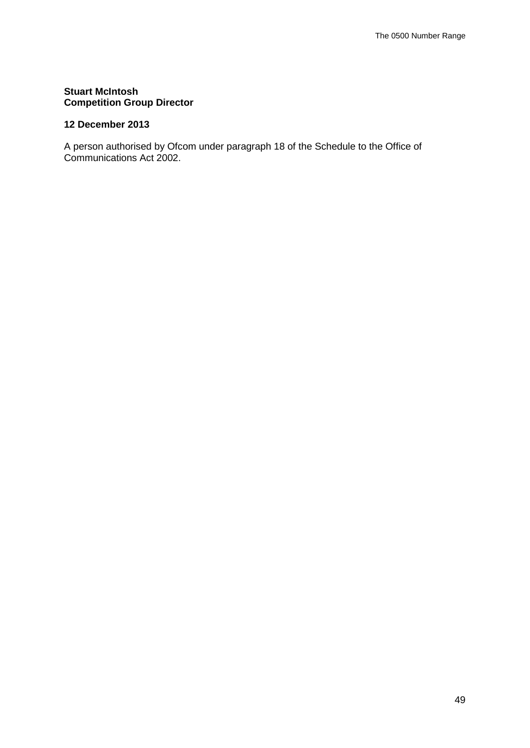## **Stuart McIntosh Competition Group Director**

## **12 December 2013**

A person authorised by Ofcom under paragraph 18 of the Schedule to the Office of Communications Act 2002.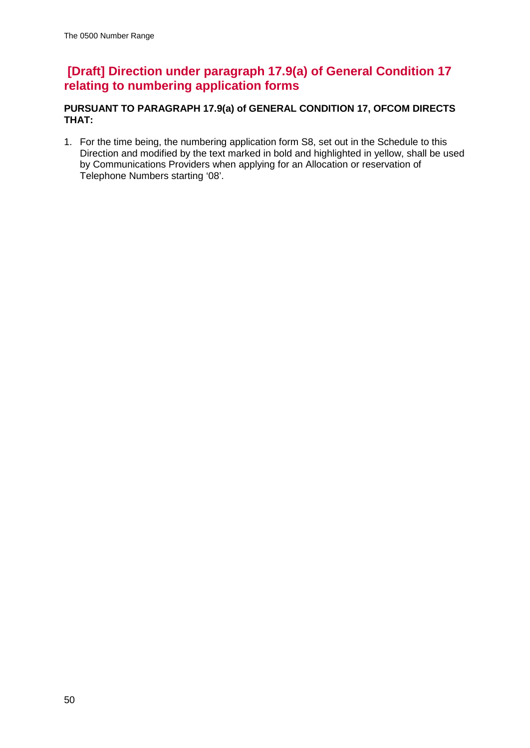## **[Draft] Direction under paragraph 17.9(a) of General Condition 17 relating to numbering application forms**

## **PURSUANT TO PARAGRAPH 17.9(a) of GENERAL CONDITION 17, OFCOM DIRECTS THAT:**

1. For the time being, the numbering application form S8, set out in the Schedule to this Direction and modified by the text marked in bold and highlighted in yellow, shall be used by Communications Providers when applying for an Allocation or reservation of Telephone Numbers starting '08'.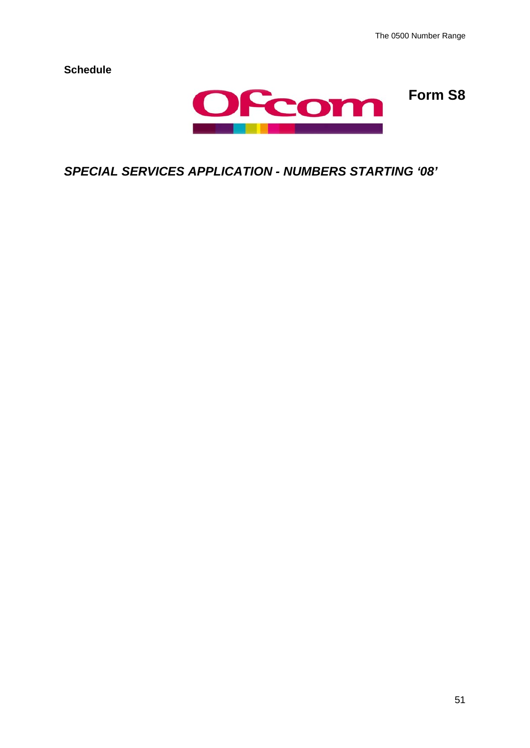**Form S8**

**Schedule**



*SPECIAL SERVICES APPLICATION - NUMBERS STARTING '08'*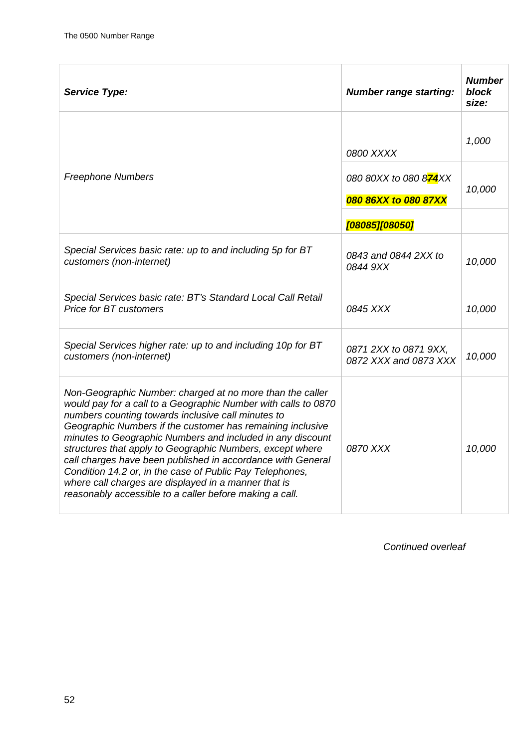| <b>Service Type:</b>                                                                                                                                                                                                                                                                                                                                                                                                                                                                                                                                                                                                     | <b>Number range starting:</b>                           | <b>Number</b><br>block<br>size: |  |  |  |  |
|--------------------------------------------------------------------------------------------------------------------------------------------------------------------------------------------------------------------------------------------------------------------------------------------------------------------------------------------------------------------------------------------------------------------------------------------------------------------------------------------------------------------------------------------------------------------------------------------------------------------------|---------------------------------------------------------|---------------------------------|--|--|--|--|
|                                                                                                                                                                                                                                                                                                                                                                                                                                                                                                                                                                                                                          | 0800 XXXX                                               | 1,000                           |  |  |  |  |
| <b>Freephone Numbers</b>                                                                                                                                                                                                                                                                                                                                                                                                                                                                                                                                                                                                 | 080 80XX to 080 874XX<br>10,000<br>080 86XX to 080 87XX |                                 |  |  |  |  |
|                                                                                                                                                                                                                                                                                                                                                                                                                                                                                                                                                                                                                          | [08085][08050]                                          |                                 |  |  |  |  |
| Special Services basic rate: up to and including 5p for BT<br>customers (non-internet)                                                                                                                                                                                                                                                                                                                                                                                                                                                                                                                                   | 0843 and 0844 2XX to<br>0844 9XX                        | 10,000                          |  |  |  |  |
| Special Services basic rate: BT's Standard Local Call Retail<br><b>Price for BT customers</b>                                                                                                                                                                                                                                                                                                                                                                                                                                                                                                                            | 0845 XXX                                                | 10,000                          |  |  |  |  |
| Special Services higher rate: up to and including 10p for BT<br>customers (non-internet)                                                                                                                                                                                                                                                                                                                                                                                                                                                                                                                                 | 0871 2XX to 0871 9XX.<br>0872 XXX and 0873 XXX          | 10,000                          |  |  |  |  |
| Non-Geographic Number: charged at no more than the caller<br>would pay for a call to a Geographic Number with calls to 0870<br>numbers counting towards inclusive call minutes to<br>Geographic Numbers if the customer has remaining inclusive<br>minutes to Geographic Numbers and included in any discount<br>structures that apply to Geographic Numbers, except where<br>call charges have been published in accordance with General<br>Condition 14.2 or, in the case of Public Pay Telephones,<br>where call charges are displayed in a manner that is<br>reasonably accessible to a caller before making a call. | 0870 XXX                                                | 10,000                          |  |  |  |  |

*Continued overleaf*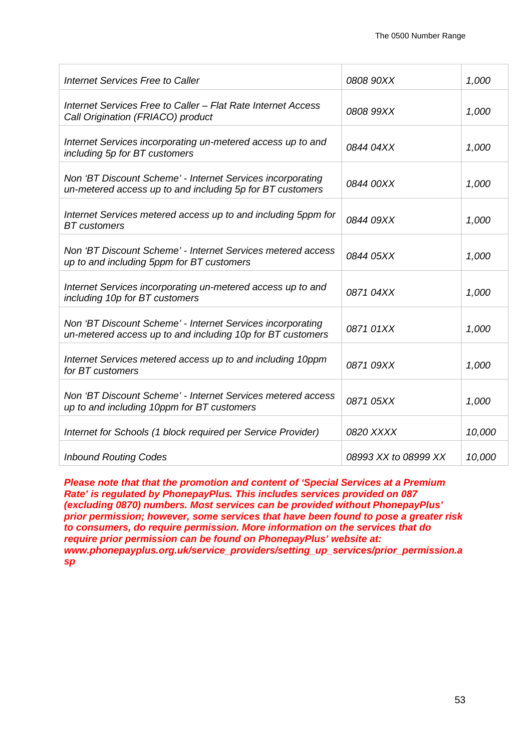| Internet Services Free to Caller                                                                                         | 0808 90XX            | 1,000  |
|--------------------------------------------------------------------------------------------------------------------------|----------------------|--------|
| Internet Services Free to Caller - Flat Rate Internet Access<br>Call Origination (FRIACO) product                        | 0808 99XX            | 1,000  |
| Internet Services incorporating un-metered access up to and<br>including 5p for BT customers                             | 0844 04XX            | 1,000  |
| Non 'BT Discount Scheme' - Internet Services incorporating<br>un-metered access up to and including 5p for BT customers  | 0844 00XX            | 1,000  |
| Internet Services metered access up to and including 5ppm for<br><b>BT</b> customers                                     | 0844 09XX            | 1,000  |
| Non 'BT Discount Scheme' - Internet Services metered access<br>up to and including 5ppm for BT customers                 | 0844 05XX            | 1,000  |
| Internet Services incorporating un-metered access up to and<br>including 10p for BT customers                            | 0871 04XX            | 1,000  |
| Non 'BT Discount Scheme' - Internet Services incorporating<br>un-metered access up to and including 10p for BT customers | 0871 01XX            | 1,000  |
| Internet Services metered access up to and including 10ppm<br>for BT customers                                           | 0871 09XX            | 1,000  |
| Non 'BT Discount Scheme' - Internet Services metered access<br>up to and including 10ppm for BT customers                | 0871 05XX            | 1,000  |
| Internet for Schools (1 block required per Service Provider)                                                             | 0820 XXXX            | 10,000 |
| <b>Inbound Routing Codes</b>                                                                                             | 08993 XX to 08999 XX | 10,000 |

*Please note that that the promotion and content of 'Special Services at a Premium Rate' is regulated by PhonepayPlus. This includes services provided on 087 (excluding 0870) numbers. Most services can be provided without PhonepayPlus' prior permission; however, some services that have been found to pose a greater risk to consumers, do require permission. More information on the services that do require prior permission can be found on PhonepayPlus' website at: www.phonepayplus.org.uk/service\_providers/setting\_up\_services/prior\_permission.a sp*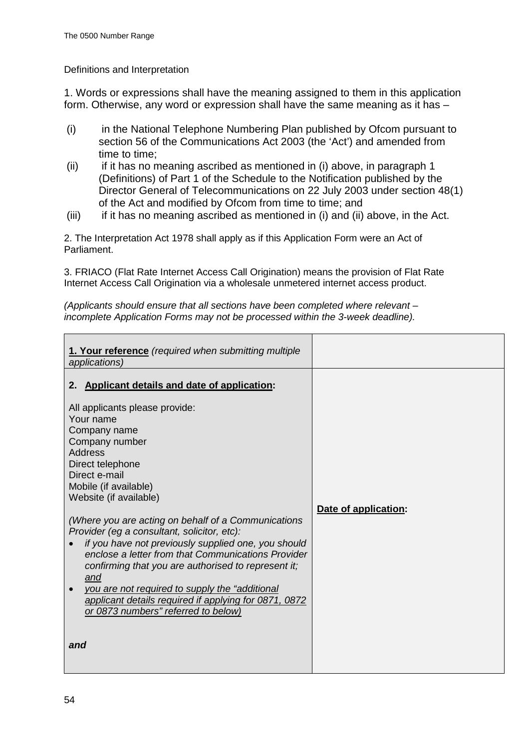### Definitions and Interpretation

1. Words or expressions shall have the meaning assigned to them in this application form. Otherwise, any word or expression shall have the same meaning as it has –

- (i) in the National Telephone Numbering Plan published by Ofcom pursuant to section 56 of the Communications Act 2003 (the 'Act') and amended from time to time;
- (ii) if it has no meaning ascribed as mentioned in (i) above, in paragraph 1 (Definitions) of Part 1 of the Schedule to the Notification published by the Director General of Telecommunications on 22 July 2003 under section 48(1) of the Act and modified by Ofcom from time to time; and
- $(iii)$  if it has no meaning ascribed as mentioned in (i) and (ii) above, in the Act.

2. The Interpretation Act 1978 shall apply as if this Application Form were an Act of Parliament.

3. FRIACO (Flat Rate Internet Access Call Origination) means the provision of Flat Rate Internet Access Call Origination via a wholesale unmetered internet access product.

*(Applicants should ensure that all sections have been completed where relevant – incomplete Application Forms may not be processed within the 3-week deadline).*

| 1. Your reference (required when submitting multiple<br>applications)                                                                                                                                                                                                                                                                                                                                                                                      |                      |
|------------------------------------------------------------------------------------------------------------------------------------------------------------------------------------------------------------------------------------------------------------------------------------------------------------------------------------------------------------------------------------------------------------------------------------------------------------|----------------------|
| 2. Applicant details and date of application:                                                                                                                                                                                                                                                                                                                                                                                                              |                      |
| All applicants please provide:<br>Your name<br>Company name<br>Company number<br><b>Address</b><br>Direct telephone<br>Direct e-mail<br>Mobile (if available)                                                                                                                                                                                                                                                                                              |                      |
| Website (if available)<br>(Where you are acting on behalf of a Communications<br>Provider (eg a consultant, solicitor, etc):<br>if you have not previously supplied one, you should<br>enclose a letter from that Communications Provider<br>confirming that you are authorised to represent it;<br>and<br>you are not required to supply the "additional"<br>applicant details required if applying for 0871, 0872<br>or 0873 numbers" referred to below) | Date of application: |
| and                                                                                                                                                                                                                                                                                                                                                                                                                                                        |                      |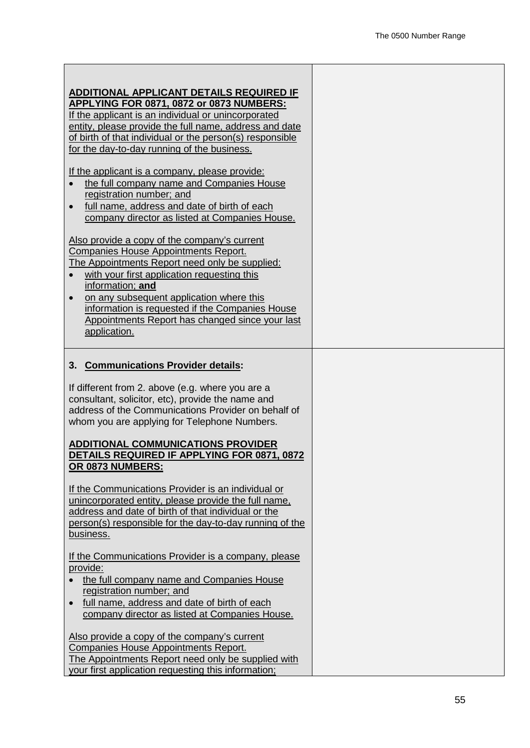| ADDITIONAL APPLICANT DETAILS REQUIRED IF<br>APPLYING FOR 0871, 0872 or 0873 NUMBERS:<br>If the applicant is an individual or unincorporated<br>entity, please provide the full name, address and date<br>of birth of that individual or the person(s) responsible<br>for the day-to-day running of the business.                                                                                                                                                                                                                                                                                                 |  |
|------------------------------------------------------------------------------------------------------------------------------------------------------------------------------------------------------------------------------------------------------------------------------------------------------------------------------------------------------------------------------------------------------------------------------------------------------------------------------------------------------------------------------------------------------------------------------------------------------------------|--|
| If the applicant is a company, please provide:<br>the full company name and Companies House<br>$\bullet$<br>registration number; and<br>full name, address and date of birth of each<br>company director as listed at Companies House.                                                                                                                                                                                                                                                                                                                                                                           |  |
| Also provide a copy of the company's current<br><b>Companies House Appointments Report.</b><br>The Appointments Report need only be supplied:<br>with your first application requesting this<br>$\bullet$<br>information; and<br>on any subsequent application where this<br>information is requested if the Companies House<br>Appointments Report has changed since your last<br>application.                                                                                                                                                                                                                  |  |
| 3. Communications Provider details:<br>If different from 2. above (e.g. where you are a<br>consultant, solicitor, etc), provide the name and<br>address of the Communications Provider on behalf of<br>whom you are applying for Telephone Numbers.<br><b>ADDITIONAL COMMUNICATIONS PROVIDER</b><br>DETAILS REQUIRED IF APPLYING FOR 0871, 0872<br>OR 0873 NUMBERS:<br>If the Communications Provider is an individual or<br>unincorporated entity, please provide the full name,<br>address and date of birth of that individual or the<br>person(s) responsible for the day-to-day running of the<br>business. |  |
| If the Communications Provider is a company, please<br>provide:<br>the full company name and Companies House<br>$\bullet$<br>registration number; and<br>full name, address and date of birth of each<br>$\bullet$<br>company director as listed at Companies House.<br>Also provide a copy of the company's current<br>Companies House Appointments Report.<br>The Appointments Report need only be supplied with<br>your first application requesting this information;                                                                                                                                        |  |

 $\overline{\phantom{a}}$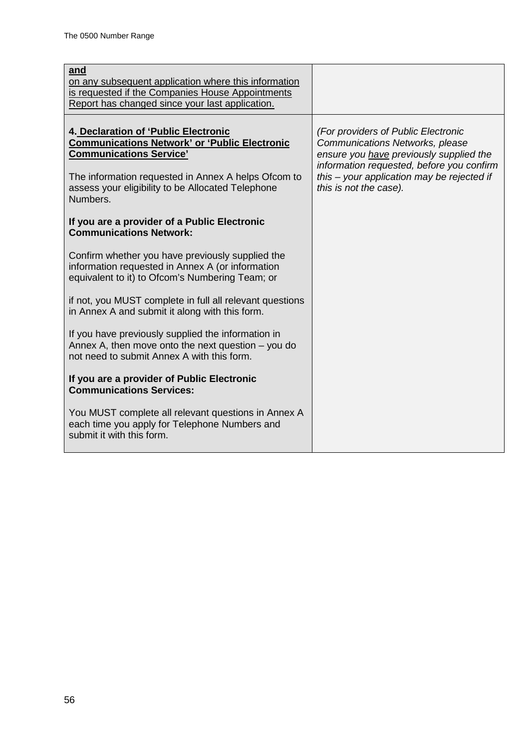| <u>and</u><br>on any subsequent application where this information<br>is requested if the Companies House Appointments<br>Report has changed since your last application.                                                                              |                                                                                                                                                                                                                                        |
|--------------------------------------------------------------------------------------------------------------------------------------------------------------------------------------------------------------------------------------------------------|----------------------------------------------------------------------------------------------------------------------------------------------------------------------------------------------------------------------------------------|
| 4. Declaration of 'Public Electronic<br><b>Communications Network' or 'Public Electronic</b><br><b>Communications Service'</b><br>The information requested in Annex A helps Ofcom to<br>assess your eligibility to be Allocated Telephone<br>Numbers. | (For providers of Public Electronic<br>Communications Networks, please<br>ensure you have previously supplied the<br>information requested, before you confirm<br>this - your application may be rejected if<br>this is not the case). |
| If you are a provider of a Public Electronic<br><b>Communications Network:</b>                                                                                                                                                                         |                                                                                                                                                                                                                                        |
| Confirm whether you have previously supplied the<br>information requested in Annex A (or information<br>equivalent to it) to Ofcom's Numbering Team; or                                                                                                |                                                                                                                                                                                                                                        |
| if not, you MUST complete in full all relevant questions<br>in Annex A and submit it along with this form.                                                                                                                                             |                                                                                                                                                                                                                                        |
| If you have previously supplied the information in<br>Annex A, then move onto the next question $-$ you do<br>not need to submit Annex A with this form.                                                                                               |                                                                                                                                                                                                                                        |
| If you are a provider of Public Electronic<br><b>Communications Services:</b>                                                                                                                                                                          |                                                                                                                                                                                                                                        |
| You MUST complete all relevant questions in Annex A<br>each time you apply for Telephone Numbers and<br>submit it with this form.                                                                                                                      |                                                                                                                                                                                                                                        |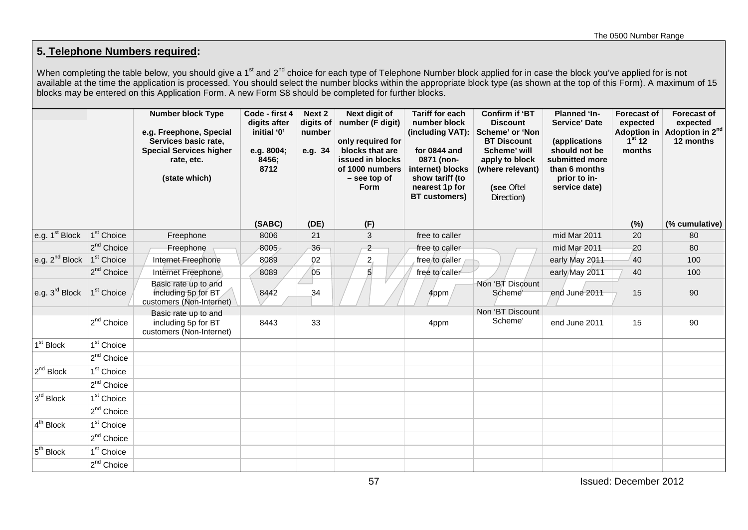## **5. Telephone Numbers required:**

When completing the table below, you should give a 1<sup>st</sup> and 2<sup>nd</sup> choice for each type of Telephone Number block applied for in case the block you've applied for is not available at the time the application is processed. You should select the number blocks within the appropriate block type (as shown at the top of this Form). A maximum of 15 blocks may be entered on this Application Form. A new Form S8 should be completed for further blocks.

|                            |                        | <b>Number block Type</b><br>e.g. Freephone, Special<br>Services basic rate,<br><b>Special Services higher</b><br>rate, etc.<br>(state which) | Code - first 4<br>digits after<br>initial '0'<br>e.g. 8004;<br>8456;<br>8712 | Next 2<br>digits of<br>number<br>e.g. 34 | Next digit of<br>number (F digit)<br>only required for<br>blocks that are<br>issued in blocks<br>of 1000 numbers<br>- see top of<br><b>Form</b> | <b>Tariff for each</b><br>number block<br>(including VAT):<br>for 0844 and<br>0871 (non-<br>internet) blocks<br>show tariff (to<br>nearest 1p for<br>BT customers) | <b>Confirm if 'BT</b><br><b>Discount</b><br>Scheme' or 'Non<br><b>BT Discount</b><br>Scheme' will<br>apply to block<br>(where relevant)<br>(see Oftel<br>Direction) | <b>Planned 'In-</b><br><b>Service' Date</b><br>(applications<br>should not be<br>submitted more<br>than 6 months<br>prior to in-<br>service date) | <b>Forecast of</b><br>expected<br>1 <sup>st</sup> 12<br>months | <b>Forecast of</b><br>expected<br>Adoption in Adoption in $2^{nd}$<br>12 months |
|----------------------------|------------------------|----------------------------------------------------------------------------------------------------------------------------------------------|------------------------------------------------------------------------------|------------------------------------------|-------------------------------------------------------------------------------------------------------------------------------------------------|--------------------------------------------------------------------------------------------------------------------------------------------------------------------|---------------------------------------------------------------------------------------------------------------------------------------------------------------------|---------------------------------------------------------------------------------------------------------------------------------------------------|----------------------------------------------------------------|---------------------------------------------------------------------------------|
|                            |                        |                                                                                                                                              | (SABC)                                                                       | (DE)                                     | (F)                                                                                                                                             |                                                                                                                                                                    |                                                                                                                                                                     |                                                                                                                                                   | (%)                                                            | (% cumulative)                                                                  |
| e.g. $1st Block$           | 1 <sup>st</sup> Choice | Freephone                                                                                                                                    | 8006                                                                         | 21                                       | 3                                                                                                                                               | free to caller                                                                                                                                                     |                                                                                                                                                                     | mid Mar 2011                                                                                                                                      | 20                                                             | 80                                                                              |
|                            | $2nd$ Choice           | Freephone                                                                                                                                    | 8005                                                                         | 36                                       | $\overline{c}$                                                                                                                                  | free to caller                                                                                                                                                     |                                                                                                                                                                     | mid Mar 2011                                                                                                                                      | 20                                                             | 80                                                                              |
| e.g. $2^{nd}$ Block        | 1 <sup>st</sup> Choice | Internet Freephone                                                                                                                           | 8089                                                                         | 02                                       | 2 <sub>1</sub>                                                                                                                                  | free to caller                                                                                                                                                     |                                                                                                                                                                     | early May 2011                                                                                                                                    | 40                                                             | 100                                                                             |
|                            | 2 <sup>nd</sup> Choice | Internet Freephone                                                                                                                           | 8089                                                                         | 05                                       | $\mathfrak{g}$                                                                                                                                  | free to caller                                                                                                                                                     |                                                                                                                                                                     | early/May 2011                                                                                                                                    | 40                                                             | 100                                                                             |
| e.g. $3^{\text{rd}}$ Block | 1 <sup>st</sup> Choice | Basic rate up to and<br>including 5p for BT<br>customers (Non-Internet)                                                                      | 8442                                                                         | 34                                       |                                                                                                                                                 | 4ppm                                                                                                                                                               | Non 'BT Discount<br>Scheme'                                                                                                                                         | end June 2011                                                                                                                                     | 15                                                             | 90                                                                              |
|                            | $2^{nd}$ Choice        | Basic rate up to and<br>including 5p for BT<br>customers (Non-Internet)                                                                      | 8443                                                                         | 33                                       |                                                                                                                                                 | 4ppm                                                                                                                                                               | Non 'BT Discount<br>Scheme'                                                                                                                                         | end June 2011                                                                                                                                     | 15                                                             | 90                                                                              |
| 1 <sup>st</sup> Block      | 1 <sup>st</sup> Choice |                                                                                                                                              |                                                                              |                                          |                                                                                                                                                 |                                                                                                                                                                    |                                                                                                                                                                     |                                                                                                                                                   |                                                                |                                                                                 |
|                            | 2 <sup>nd</sup> Choice |                                                                                                                                              |                                                                              |                                          |                                                                                                                                                 |                                                                                                                                                                    |                                                                                                                                                                     |                                                                                                                                                   |                                                                |                                                                                 |
| $2^{nd}$ Block             | 1 <sup>st</sup> Choice |                                                                                                                                              |                                                                              |                                          |                                                                                                                                                 |                                                                                                                                                                    |                                                                                                                                                                     |                                                                                                                                                   |                                                                |                                                                                 |
|                            | $2^{nd}$ Choice        |                                                                                                                                              |                                                                              |                                          |                                                                                                                                                 |                                                                                                                                                                    |                                                                                                                                                                     |                                                                                                                                                   |                                                                |                                                                                 |
| 3 <sup>rd</sup> Block      | 1 <sup>st</sup> Choice |                                                                                                                                              |                                                                              |                                          |                                                                                                                                                 |                                                                                                                                                                    |                                                                                                                                                                     |                                                                                                                                                   |                                                                |                                                                                 |
|                            | $2^{nd}$ Choice        |                                                                                                                                              |                                                                              |                                          |                                                                                                                                                 |                                                                                                                                                                    |                                                                                                                                                                     |                                                                                                                                                   |                                                                |                                                                                 |
| $4th$ Block                | 1 <sup>st</sup> Choice |                                                                                                                                              |                                                                              |                                          |                                                                                                                                                 |                                                                                                                                                                    |                                                                                                                                                                     |                                                                                                                                                   |                                                                |                                                                                 |
|                            | 2 <sup>nd</sup> Choice |                                                                                                                                              |                                                                              |                                          |                                                                                                                                                 |                                                                                                                                                                    |                                                                                                                                                                     |                                                                                                                                                   |                                                                |                                                                                 |
| 5 <sup>th</sup> Block      | 1 <sup>st</sup> Choice |                                                                                                                                              |                                                                              |                                          |                                                                                                                                                 |                                                                                                                                                                    |                                                                                                                                                                     |                                                                                                                                                   |                                                                |                                                                                 |
|                            | 2 <sup>nd</sup> Choice |                                                                                                                                              |                                                                              |                                          |                                                                                                                                                 |                                                                                                                                                                    |                                                                                                                                                                     |                                                                                                                                                   |                                                                |                                                                                 |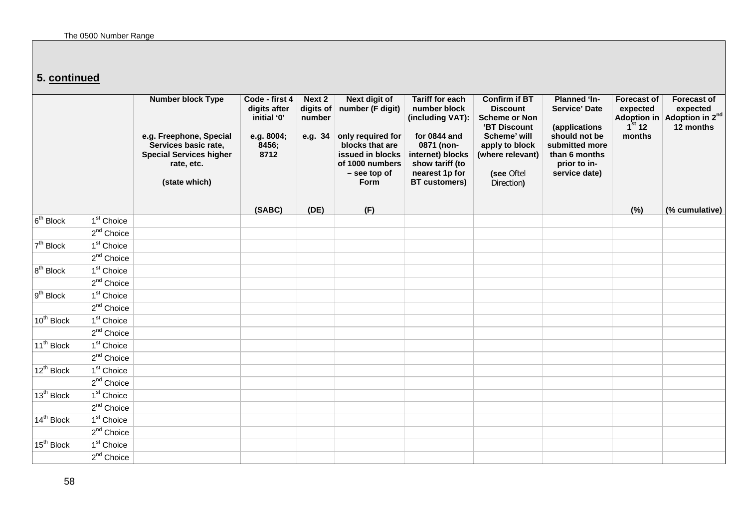## **5. continued**

|                        |                        | <b>Number block Type</b><br>e.g. Freephone, Special<br>Services basic rate,<br><b>Special Services higher</b><br>rate, etc.<br>(state which) | Code - first 4<br>digits after<br>initial '0'<br>e.g. 8004;<br>8456;<br>8712 | Next 2<br>digits of<br>number<br>e.g. 34 | <b>Next digit of</b><br>number (F digit)<br>only required for<br>blocks that are<br>issued in blocks<br>of 1000 numbers<br>- see top of<br>Form | <b>Tariff for each</b><br>number block<br>(including VAT):<br>for 0844 and<br>0871 (non-<br>internet) blocks<br>show tariff (to<br>nearest 1p for<br><b>BT</b> customers) | <b>Confirm if BT</b><br><b>Discount</b><br><b>Scheme or Non</b><br>'BT Discount<br>Scheme' will<br>apply to block<br>(where relevant)<br>(see Oftel<br>Direction) | <b>Planned 'In-</b><br><b>Service' Date</b><br>(applications<br>should not be<br>submitted more<br>than 6 months<br>prior to in-<br>service date) | <b>Forecast of</b><br>expected<br>1 <sup>st</sup> 12<br>months | <b>Forecast of</b><br>expected<br>Adoption in Adoption in $2^{nd}$<br>12 months |
|------------------------|------------------------|----------------------------------------------------------------------------------------------------------------------------------------------|------------------------------------------------------------------------------|------------------------------------------|-------------------------------------------------------------------------------------------------------------------------------------------------|---------------------------------------------------------------------------------------------------------------------------------------------------------------------------|-------------------------------------------------------------------------------------------------------------------------------------------------------------------|---------------------------------------------------------------------------------------------------------------------------------------------------|----------------------------------------------------------------|---------------------------------------------------------------------------------|
| 6 <sup>th</sup> Block  | 1 <sup>st</sup> Choice |                                                                                                                                              | (SABC)                                                                       | (DE)                                     | (F)                                                                                                                                             |                                                                                                                                                                           |                                                                                                                                                                   |                                                                                                                                                   | (%)                                                            | (% cumulative)                                                                  |
|                        | $2^{nd}$ Choice        |                                                                                                                                              |                                                                              |                                          |                                                                                                                                                 |                                                                                                                                                                           |                                                                                                                                                                   |                                                                                                                                                   |                                                                |                                                                                 |
| 7 <sup>th</sup> Block  | 1 <sup>st</sup> Choice |                                                                                                                                              |                                                                              |                                          |                                                                                                                                                 |                                                                                                                                                                           |                                                                                                                                                                   |                                                                                                                                                   |                                                                |                                                                                 |
|                        | $2^{nd}$ Choice        |                                                                                                                                              |                                                                              |                                          |                                                                                                                                                 |                                                                                                                                                                           |                                                                                                                                                                   |                                                                                                                                                   |                                                                |                                                                                 |
| $8th$ Block            | 1 <sup>st</sup> Choice |                                                                                                                                              |                                                                              |                                          |                                                                                                                                                 |                                                                                                                                                                           |                                                                                                                                                                   |                                                                                                                                                   |                                                                |                                                                                 |
|                        | $2^{nd}$ Choice        |                                                                                                                                              |                                                                              |                                          |                                                                                                                                                 |                                                                                                                                                                           |                                                                                                                                                                   |                                                                                                                                                   |                                                                |                                                                                 |
| 9 <sup>th</sup> Block  | 1 <sup>st</sup> Choice |                                                                                                                                              |                                                                              |                                          |                                                                                                                                                 |                                                                                                                                                                           |                                                                                                                                                                   |                                                                                                                                                   |                                                                |                                                                                 |
|                        | $2^{nd}$ Choice        |                                                                                                                                              |                                                                              |                                          |                                                                                                                                                 |                                                                                                                                                                           |                                                                                                                                                                   |                                                                                                                                                   |                                                                |                                                                                 |
| 10 <sup>th</sup> Block | $1st$ Choice           |                                                                                                                                              |                                                                              |                                          |                                                                                                                                                 |                                                                                                                                                                           |                                                                                                                                                                   |                                                                                                                                                   |                                                                |                                                                                 |
|                        | $2^{nd}$ Choice        |                                                                                                                                              |                                                                              |                                          |                                                                                                                                                 |                                                                                                                                                                           |                                                                                                                                                                   |                                                                                                                                                   |                                                                |                                                                                 |
| $11^{th}$ Block        | $1st$ Choice           |                                                                                                                                              |                                                                              |                                          |                                                                                                                                                 |                                                                                                                                                                           |                                                                                                                                                                   |                                                                                                                                                   |                                                                |                                                                                 |
|                        | $2nd$ Choice           |                                                                                                                                              |                                                                              |                                          |                                                                                                                                                 |                                                                                                                                                                           |                                                                                                                                                                   |                                                                                                                                                   |                                                                |                                                                                 |
| 12 <sup>th</sup> Block | $1st$ Choice           |                                                                                                                                              |                                                                              |                                          |                                                                                                                                                 |                                                                                                                                                                           |                                                                                                                                                                   |                                                                                                                                                   |                                                                |                                                                                 |
|                        | $2nd$ Choice           |                                                                                                                                              |                                                                              |                                          |                                                                                                                                                 |                                                                                                                                                                           |                                                                                                                                                                   |                                                                                                                                                   |                                                                |                                                                                 |
| 13 <sup>th</sup> Block | 1 <sup>st</sup> Choice |                                                                                                                                              |                                                                              |                                          |                                                                                                                                                 |                                                                                                                                                                           |                                                                                                                                                                   |                                                                                                                                                   |                                                                |                                                                                 |
|                        | $2nd$ Choice           |                                                                                                                                              |                                                                              |                                          |                                                                                                                                                 |                                                                                                                                                                           |                                                                                                                                                                   |                                                                                                                                                   |                                                                |                                                                                 |
| $14^{th}$ Block        | $1st$ Choice           |                                                                                                                                              |                                                                              |                                          |                                                                                                                                                 |                                                                                                                                                                           |                                                                                                                                                                   |                                                                                                                                                   |                                                                |                                                                                 |
|                        | $2nd$ Choice           |                                                                                                                                              |                                                                              |                                          |                                                                                                                                                 |                                                                                                                                                                           |                                                                                                                                                                   |                                                                                                                                                   |                                                                |                                                                                 |
| 15 <sup>th</sup> Block | 1 <sup>st</sup> Choice |                                                                                                                                              |                                                                              |                                          |                                                                                                                                                 |                                                                                                                                                                           |                                                                                                                                                                   |                                                                                                                                                   |                                                                |                                                                                 |
|                        | $2nd$ Choice           |                                                                                                                                              |                                                                              |                                          |                                                                                                                                                 |                                                                                                                                                                           |                                                                                                                                                                   |                                                                                                                                                   |                                                                |                                                                                 |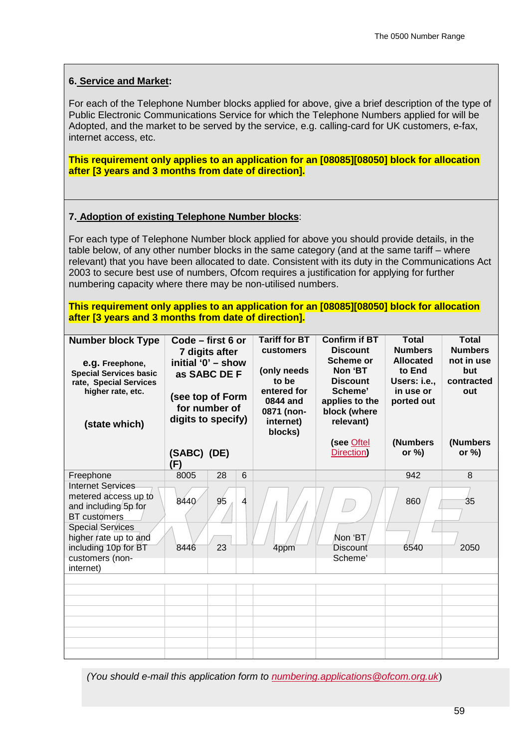## **6. Service and Market:**

For each of the Telephone Number blocks applied for above, give a brief description of the type of Public Electronic Communications Service for which the Telephone Numbers applied for will be Adopted, and the market to be served by the service, e.g. calling-card for UK customers, e-fax, internet access, etc.

**This requirement only applies to an application for an [08085][08050] block for allocation after [3 years and 3 months from date of direction].**

### **7. Adoption of existing Telephone Number blocks**:

For each type of Telephone Number block applied for above you should provide details, in the table below, of any other number blocks in the same category (and at the same tariff – where relevant) that you have been allocated to date. Consistent with its duty in the Communications Act 2003 to secure best use of numbers, Ofcom requires a justification for applying for further numbering capacity where there may be non-utilised numbers.

**This requirement only applies to an application for an [08085][08050] block for allocation after [3 years and 3 months from date of direction].**

| <b>Number block Type</b><br>e.g. Freephone,<br><b>Special Services basic</b><br>rate, Special Services<br>higher rate, etc.<br>(state which) | Code - first 6 or<br>7 digits after<br>initial '0' - show<br>as SABC DE F<br>(see top of Form<br>for number of<br>digits to specify) |                |   | <b>Tariff for BT</b><br>customers<br>(only needs<br>to be<br>entered for<br>0844 and<br>0871 (non-<br>internet)<br>blocks) | <b>Confirm if BT</b><br><b>Discount</b><br>Scheme or<br>Non 'BT<br><b>Discount</b><br>Scheme'<br>applies to the<br>block (where<br>relevant)<br>(see Oftel | <b>Total</b><br><b>Numbers</b><br><b>Allocated</b><br>to End<br>Users: i.e<br>in use or<br>ported out<br>(Numbers | <b>Total</b><br><b>Numbers</b><br>not in use<br>but<br>contracted<br>out<br>(Numbers |
|----------------------------------------------------------------------------------------------------------------------------------------------|--------------------------------------------------------------------------------------------------------------------------------------|----------------|---|----------------------------------------------------------------------------------------------------------------------------|------------------------------------------------------------------------------------------------------------------------------------------------------------|-------------------------------------------------------------------------------------------------------------------|--------------------------------------------------------------------------------------|
|                                                                                                                                              | (SABC) (DE)<br>(F)                                                                                                                   |                |   |                                                                                                                            | Direction)                                                                                                                                                 | or $\%$ )                                                                                                         | or $\%$ )                                                                            |
| Freephone                                                                                                                                    | 8005                                                                                                                                 | 28             | 6 |                                                                                                                            |                                                                                                                                                            | 942                                                                                                               | 8                                                                                    |
| <b>Internet Services</b><br>metered access up to<br>and including 5p for<br><b>BT</b> customers                                              | 8440                                                                                                                                 | 9 <sub>5</sub> | 4 |                                                                                                                            |                                                                                                                                                            | 860                                                                                                               | 35                                                                                   |
| <b>Special Services</b><br>higher rate up to and<br>including 10p for BT<br>customers (non-<br>internet)                                     | 8446                                                                                                                                 | 23             |   | 4ppm                                                                                                                       | Non 'BT<br>Discount<br>Scheme'                                                                                                                             | 6540                                                                                                              | 2050                                                                                 |
|                                                                                                                                              |                                                                                                                                      |                |   |                                                                                                                            |                                                                                                                                                            |                                                                                                                   |                                                                                      |
|                                                                                                                                              |                                                                                                                                      |                |   |                                                                                                                            |                                                                                                                                                            |                                                                                                                   |                                                                                      |
|                                                                                                                                              |                                                                                                                                      |                |   |                                                                                                                            |                                                                                                                                                            |                                                                                                                   |                                                                                      |
|                                                                                                                                              |                                                                                                                                      |                |   |                                                                                                                            |                                                                                                                                                            |                                                                                                                   |                                                                                      |
|                                                                                                                                              |                                                                                                                                      |                |   |                                                                                                                            |                                                                                                                                                            |                                                                                                                   |                                                                                      |
|                                                                                                                                              |                                                                                                                                      |                |   |                                                                                                                            |                                                                                                                                                            |                                                                                                                   |                                                                                      |
|                                                                                                                                              |                                                                                                                                      |                |   |                                                                                                                            |                                                                                                                                                            |                                                                                                                   |                                                                                      |

*(You should e-mail this application form to [numbering.applications@ofcom.org.uk](mailto:numbering.applications@ofcom.org.uk)*)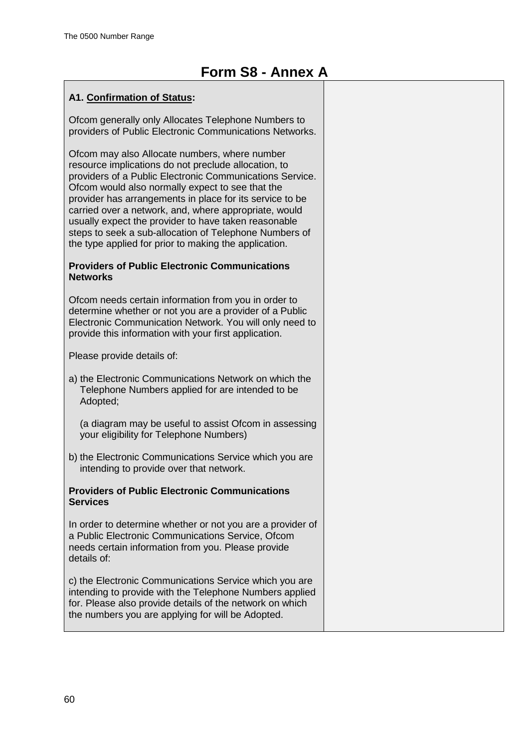## **A1. Confirmation of Status:**

Ofcom generally only Allocates Telephone Numbers to providers of Public Electronic Communications Networks.

Ofcom may also Allocate numbers, where number resource implications do not preclude allocation, to providers of a Public Electronic Communications Service. Ofcom would also normally expect to see that the provider has arrangements in place for its service to be carried over a network, and, where appropriate, would usually expect the provider to have taken reasonable steps to seek a sub-allocation of Telephone Numbers of the type applied for prior to making the application.

### **Providers of Public Electronic Communications Networks**

Ofcom needs certain information from you in order to determine whether or not you are a provider of a Public Electronic Communication Network. You will only need to provide this information with your first application.

Please provide details of:

- a) the Electronic Communications Network on which the Telephone Numbers applied for are intended to be Adopted;
	- (a diagram may be useful to assist Ofcom in assessing your eligibility for Telephone Numbers)
- b) the Electronic Communications Service which you are intending to provide over that network.

### **Providers of Public Electronic Communications Services**

In order to determine whether or not you are a provider of a Public Electronic Communications Service, Ofcom needs certain information from you. Please provide details of:

c) the Electronic Communications Service which you are intending to provide with the Telephone Numbers applied for. Please also provide details of the network on which the numbers you are applying for will be Adopted.